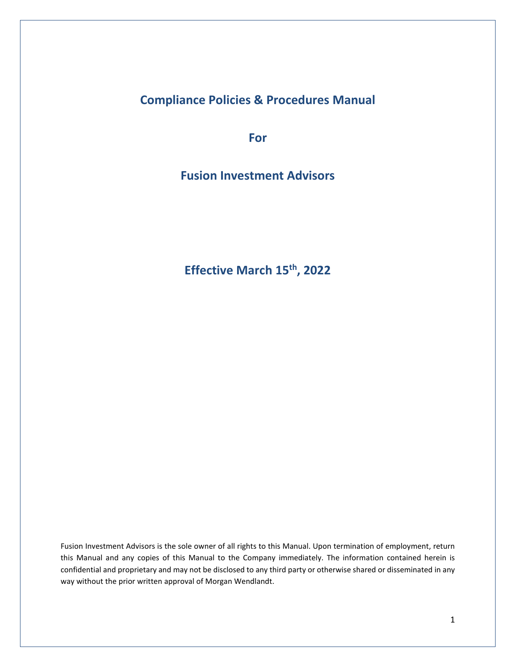**Compliance Policies & Procedures Manual**

**For** 

**Fusion Investment Advisors**

**Effective March 15th, 2022**

Fusion Investment Advisors is the sole owner of all rights to this Manual. Upon termination of employment, return this Manual and any copies of this Manual to the Company immediately. The information contained herein is confidential and proprietary and may not be disclosed to any third party or otherwise shared or disseminated in any way without the prior written approval of Morgan Wendlandt.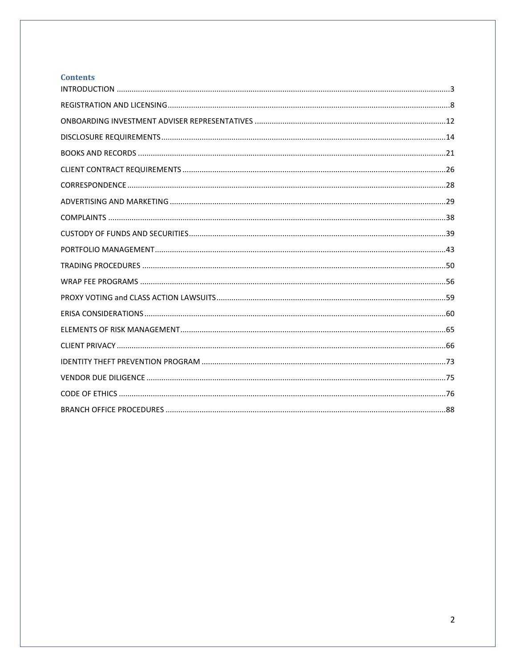# **Contents**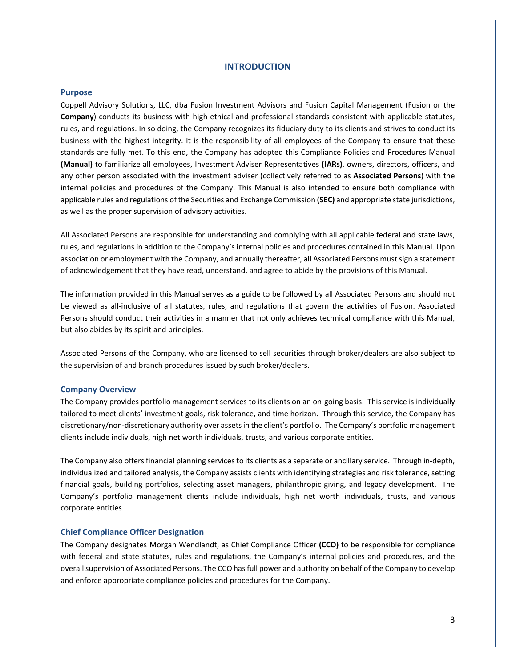# **INTRODUCTION**

#### <span id="page-2-0"></span>**Purpose**

Coppell Advisory Solutions, LLC, dba Fusion Investment Advisors and Fusion Capital Management (Fusion or the **Company**) conducts its business with high ethical and professional standards consistent with applicable statutes, rules, and regulations. In so doing, the Company recognizes its fiduciary duty to its clients and strives to conduct its business with the highest integrity. It is the responsibility of all employees of the Company to ensure that these standards are fully met. To this end, the Company has adopted this Compliance Policies and Procedures Manual **(Manual)** to familiarize all employees, Investment Adviser Representatives **(IARs)**, owners, directors, officers, and any other person associated with the investment adviser (collectively referred to as **Associated Persons**) with the internal policies and procedures of the Company. This Manual is also intended to ensure both compliance with applicable rules and regulations of the Securities and Exchange Commission **(SEC)** and appropriate state jurisdictions, as well as the proper supervision of advisory activities.

All Associated Persons are responsible for understanding and complying with all applicable federal and state laws, rules, and regulations in addition to the Company's internal policies and procedures contained in this Manual. Upon association or employment with the Company, and annually thereafter, all Associated Persons must sign a statement of acknowledgement that they have read, understand, and agree to abide by the provisions of this Manual.

The information provided in this Manual serves as a guide to be followed by all Associated Persons and should not be viewed as all-inclusive of all statutes, rules, and regulations that govern the activities of Fusion. Associated Persons should conduct their activities in a manner that not only achieves technical compliance with this Manual, but also abides by its spirit and principles.

Associated Persons of the Company, who are licensed to sell securities through broker/dealers are also subject to the supervision of and branch procedures issued by such broker/dealers.

#### **Company Overview**

The Company provides portfolio management services to its clients on an on-going basis. This service is individually tailored to meet clients' investment goals, risk tolerance, and time horizon. Through this service, the Company has discretionary/non-discretionary authority over assets in the client's portfolio. The Company's portfolio management clients include individuals, high net worth individuals, trusts, and various corporate entities.

The Company also offers financial planning services to its clients as a separate or ancillary service. Through in-depth, individualized and tailored analysis, the Company assists clients with identifying strategies and risk tolerance, setting financial goals, building portfolios, selecting asset managers, philanthropic giving, and legacy development. The Company's portfolio management clients include individuals, high net worth individuals, trusts, and various corporate entities.

## **Chief Compliance Officer Designation**

The Company designates Morgan Wendlandt, as Chief Compliance Officer **(CCO)** to be responsible for compliance with federal and state statutes, rules and regulations, the Company's internal policies and procedures, and the overall supervision of Associated Persons. The CCO has full power and authority on behalf of the Company to develop and enforce appropriate compliance policies and procedures for the Company.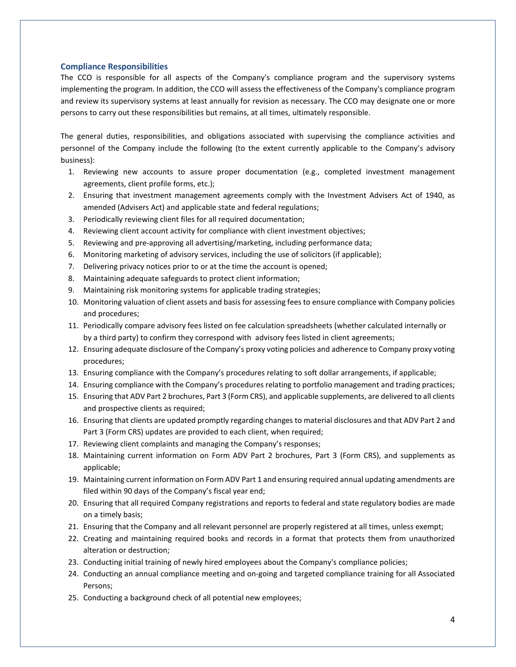# **Compliance Responsibilities**

The CCO is responsible for all aspects of the Company's compliance program and the supervisory systems implementing the program. In addition, the CCO will assess the effectiveness of the Company's compliance program and review its supervisory systems at least annually for revision as necessary. The CCO may designate one or more persons to carry out these responsibilities but remains, at all times, ultimately responsible.

The general duties, responsibilities, and obligations associated with supervising the compliance activities and personnel of the Company include the following (to the extent currently applicable to the Company's advisory business):

- 1. Reviewing new accounts to assure proper documentation (e.g., completed investment management agreements, client profile forms, etc.);
- 2. Ensuring that investment management agreements comply with the Investment Advisers Act of 1940, as amended (Advisers Act) and applicable state and federal regulations;
- 3. Periodically reviewing client files for all required documentation;
- 4. Reviewing client account activity for compliance with client investment objectives;
- 5. Reviewing and pre-approving all advertising/marketing, including performance data;
- 6. Monitoring marketing of advisory services, including the use of solicitors (if applicable);
- 7. Delivering privacy notices prior to or at the time the account is opened;
- 8. Maintaining adequate safeguards to protect client information;
- 9. Maintaining risk monitoring systems for applicable trading strategies;
- 10. Monitoring valuation of client assets and basis for assessing fees to ensure compliance with Company policies and procedures;
- 11. Periodically compare advisory fees listed on fee calculation spreadsheets (whether calculated internally or by a third party) to confirm they correspond with advisory fees listed in client agreements;
- 12. Ensuring adequate disclosure of the Company's proxy voting policies and adherence to Company proxy voting procedures;
- 13. Ensuring compliance with the Company's procedures relating to soft dollar arrangements, if applicable;
- 14. Ensuring compliance with the Company's procedures relating to portfolio management and trading practices;
- 15. Ensuring that ADV Part 2 brochures, Part 3 (Form CRS), and applicable supplements, are delivered to all clients and prospective clients as required;
- 16. Ensuring that clients are updated promptly regarding changes to material disclosures and that ADV Part 2 and Part 3 (Form CRS) updates are provided to each client, when required;
- 17. Reviewing client complaints and managing the Company's responses;
- 18. Maintaining current information on Form ADV Part 2 brochures, Part 3 (Form CRS), and supplements as applicable;
- 19. Maintaining current information on Form ADV Part 1 and ensuring required annual updating amendments are filed within 90 days of the Company's fiscal year end;
- 20. Ensuring that all required Company registrations and reports to federal and state regulatory bodies are made on a timely basis;
- 21. Ensuring that the Company and all relevant personnel are properly registered at all times, unless exempt;
- 22. Creating and maintaining required books and records in a format that protects them from unauthorized alteration or destruction;
- 23. Conducting initial training of newly hired employees about the Company's compliance policies;
- 24. Conducting an annual compliance meeting and on-going and targeted compliance training for all Associated Persons;
- 25. Conducting a background check of all potential new employees;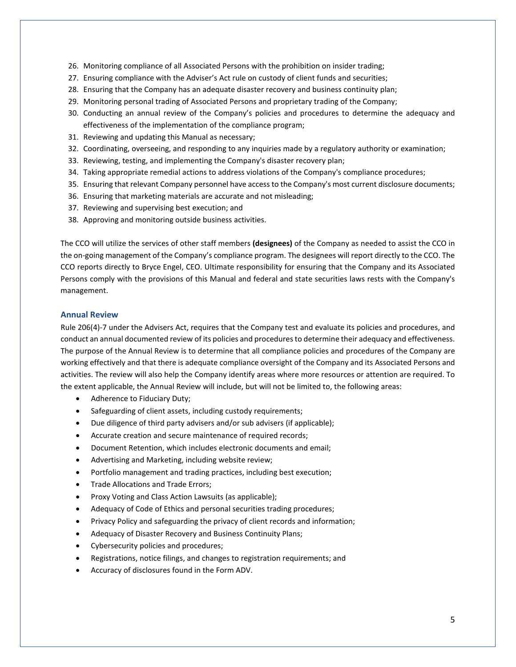- 26. Monitoring compliance of all Associated Persons with the prohibition on insider trading;
- 27. Ensuring compliance with the Adviser's Act rule on custody of client funds and securities;
- 28. Ensuring that the Company has an adequate disaster recovery and business continuity plan;
- 29. Monitoring personal trading of Associated Persons and proprietary trading of the Company;
- 30. Conducting an annual review of the Company's policies and procedures to determine the adequacy and effectiveness of the implementation of the compliance program;
- 31. Reviewing and updating this Manual as necessary;
- 32. Coordinating, overseeing, and responding to any inquiries made by a regulatory authority or examination;
- 33. Reviewing, testing, and implementing the Company's disaster recovery plan;
- 34. Taking appropriate remedial actions to address violations of the Company's compliance procedures;
- 35. Ensuring that relevant Company personnel have access to the Company's most current disclosure documents;
- 36. Ensuring that marketing materials are accurate and not misleading;
- 37. Reviewing and supervising best execution; and
- 38. Approving and monitoring outside business activities.

The CCO will utilize the services of other staff members **(designees)** of the Company as needed to assist the CCO in the on-going management of the Company's compliance program. The designees will report directly to the CCO. The CCO reports directly to Bryce Engel, CEO. Ultimate responsibility for ensuring that the Company and its Associated Persons comply with the provisions of this Manual and federal and state securities laws rests with the Company's management.

#### **Annual Review**

Rule 206(4)-7 under the Advisers Act, requires that the Company test and evaluate its policies and procedures, and conduct an annual documented review of its policies and procedures to determine their adequacy and effectiveness. The purpose of the Annual Review is to determine that all compliance policies and procedures of the Company are working effectively and that there is adequate compliance oversight of the Company and its Associated Persons and activities. The review will also help the Company identify areas where more resources or attention are required. To the extent applicable, the Annual Review will include, but will not be limited to, the following areas:

- Adherence to Fiduciary Duty;
- Safeguarding of client assets, including custody requirements;
- Due diligence of third party advisers and/or sub advisers (if applicable);
- Accurate creation and secure maintenance of required records;
- Document Retention, which includes electronic documents and email;
- Advertising and Marketing, including website review;
- Portfolio management and trading practices, including best execution;
- Trade Allocations and Trade Errors;
- Proxy Voting and Class Action Lawsuits (as applicable);
- Adequacy of Code of Ethics and personal securities trading procedures;
- Privacy Policy and safeguarding the privacy of client records and information;
- Adequacy of Disaster Recovery and Business Continuity Plans;
- Cybersecurity policies and procedures;
- Registrations, notice filings, and changes to registration requirements; and
- Accuracy of disclosures found in the Form ADV.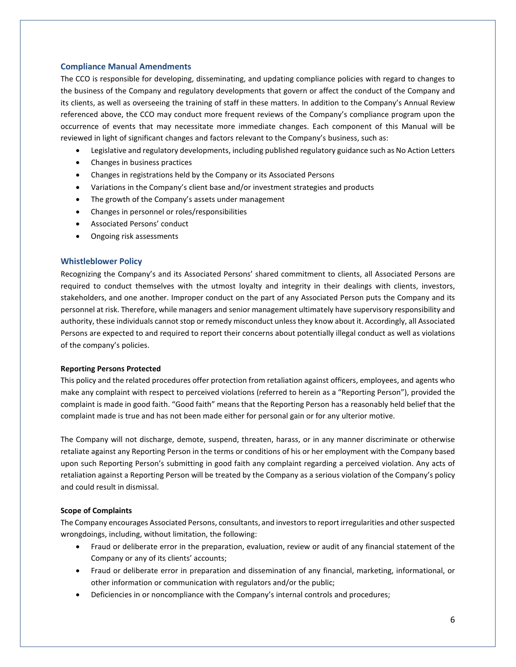# **Compliance Manual Amendments**

The CCO is responsible for developing, disseminating, and updating compliance policies with regard to changes to the business of the Company and regulatory developments that govern or affect the conduct of the Company and its clients, as well as overseeing the training of staff in these matters. In addition to the Company's Annual Review referenced above, the CCO may conduct more frequent reviews of the Company's compliance program upon the occurrence of events that may necessitate more immediate changes. Each component of this Manual will be reviewed in light of significant changes and factors relevant to the Company's business, such as:

- Legislative and regulatory developments, including published regulatory guidance such as No Action Letters
- Changes in business practices
- Changes in registrations held by the Company or its Associated Persons
- Variations in the Company's client base and/or investment strategies and products
- The growth of the Company's assets under management
- Changes in personnel or roles/responsibilities
- Associated Persons' conduct
- Ongoing risk assessments

### **Whistleblower Policy**

Recognizing the Company's and its Associated Persons' shared commitment to clients, all Associated Persons are required to conduct themselves with the utmost loyalty and integrity in their dealings with clients, investors, stakeholders, and one another. Improper conduct on the part of any Associated Person puts the Company and its personnel at risk. Therefore, while managers and senior management ultimately have supervisory responsibility and authority, these individuals cannot stop or remedy misconduct unless they know about it. Accordingly, all Associated Persons are expected to and required to report their concerns about potentially illegal conduct as well as violations of the company's policies.

### **Reporting Persons Protected**

This policy and the related procedures offer protection from retaliation against officers, employees, and agents who make any complaint with respect to perceived violations (referred to herein as a "Reporting Person"), provided the complaint is made in good faith. "Good faith" means that the Reporting Person has a reasonably held belief that the complaint made is true and has not been made either for personal gain or for any ulterior motive.

The Company will not discharge, demote, suspend, threaten, harass, or in any manner discriminate or otherwise retaliate against any Reporting Person in the terms or conditions of his or her employment with the Company based upon such Reporting Person's submitting in good faith any complaint regarding a perceived violation. Any acts of retaliation against a Reporting Person will be treated by the Company as a serious violation of the Company's policy and could result in dismissal.

### **Scope of Complaints**

The Company encourages Associated Persons, consultants, and investors to report irregularities and other suspected wrongdoings, including, without limitation, the following:

- Fraud or deliberate error in the preparation, evaluation, review or audit of any financial statement of the Company or any of its clients' accounts;
- Fraud or deliberate error in preparation and dissemination of any financial, marketing, informational, or other information or communication with regulators and/or the public;
- Deficiencies in or noncompliance with the Company's internal controls and procedures;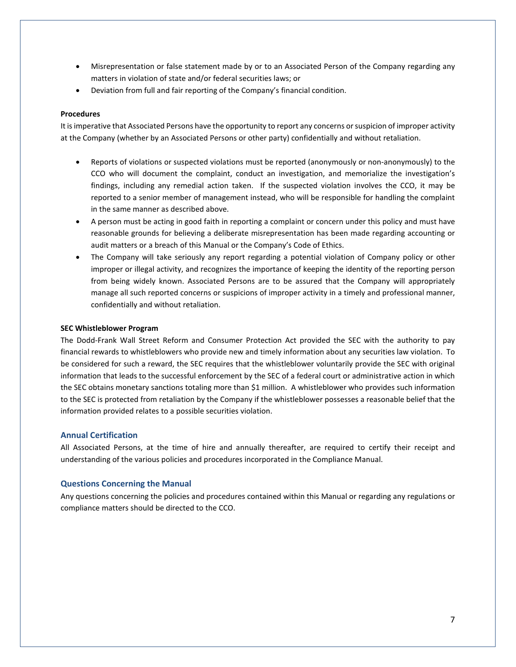- Misrepresentation or false statement made by or to an Associated Person of the Company regarding any matters in violation of state and/or federal securities laws; or
- Deviation from full and fair reporting of the Company's financial condition.

### **Procedures**

It is imperative that Associated Persons have the opportunity to report any concerns or suspicion of improper activity at the Company (whether by an Associated Persons or other party) confidentially and without retaliation.

- Reports of violations or suspected violations must be reported (anonymously or non-anonymously) to the CCO who will document the complaint, conduct an investigation, and memorialize the investigation's findings, including any remedial action taken. If the suspected violation involves the CCO, it may be reported to a senior member of management instead, who will be responsible for handling the complaint in the same manner as described above.
- A person must be acting in good faith in reporting a complaint or concern under this policy and must have reasonable grounds for believing a deliberate misrepresentation has been made regarding accounting or audit matters or a breach of this Manual or the Company's Code of Ethics.
- The Company will take seriously any report regarding a potential violation of Company policy or other improper or illegal activity, and recognizes the importance of keeping the identity of the reporting person from being widely known. Associated Persons are to be assured that the Company will appropriately manage all such reported concerns or suspicions of improper activity in a timely and professional manner, confidentially and without retaliation.

### **SEC Whistleblower Program**

The Dodd-Frank Wall Street Reform and Consumer Protection Act provided the SEC with the authority to pay financial rewards to whistleblowers who provide new and timely information about any securities law violation. To be considered for such a reward, the SEC requires that the whistleblower voluntarily provide the SEC with original information that leads to the successful enforcement by the SEC of a federal court or administrative action in which the SEC obtains monetary sanctions totaling more than \$1 million. A whistleblower who provides such information to the SEC is protected from retaliation by the Company if the whistleblower possesses a reasonable belief that the information provided relates to a possible securities violation.

# **Annual Certification**

All Associated Persons, at the time of hire and annually thereafter, are required to certify their receipt and understanding of the various policies and procedures incorporated in the Compliance Manual.

### **Questions Concerning the Manual**

Any questions concerning the policies and procedures contained within this Manual or regarding any regulations or compliance matters should be directed to the CCO.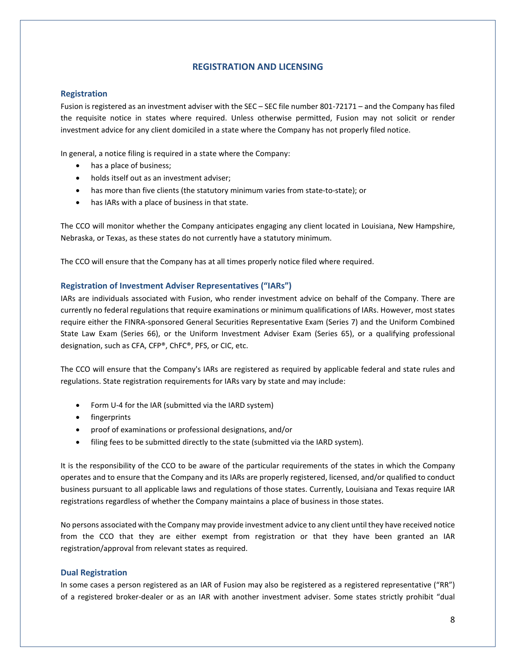# **REGISTRATION AND LICENSING**

# <span id="page-7-0"></span>**Registration**

Fusion is registered as an investment adviser with the SEC – SEC file number 801-72171 – and the Company has filed the requisite notice in states where required. Unless otherwise permitted, Fusion may not solicit or render investment advice for any client domiciled in a state where the Company has not properly filed notice.

In general, a notice filing is required in a state where the Company:

- has a place of business;
- holds itself out as an investment adviser;
- has more than five clients (the statutory minimum varies from state-to-state); or
- has IARs with a place of business in that state.

The CCO will monitor whether the Company anticipates engaging any client located in Louisiana, New Hampshire, Nebraska, or Texas, as these states do not currently have a statutory minimum.

The CCO will ensure that the Company has at all times properly notice filed where required.

# **Registration of Investment Adviser Representatives ("IARs")**

IARs are individuals associated with Fusion, who render investment advice on behalf of the Company. There are currently no federal regulations that require examinations or minimum qualifications of IARs. However, most states require either the FINRA-sponsored General Securities Representative Exam (Series 7) and the Uniform Combined State Law Exam (Series 66), or the Uniform Investment Adviser Exam (Series 65), or a qualifying professional designation, such as CFA, CFP®, ChFC®, PFS, or CIC, etc.

The CCO will ensure that the Company's IARs are registered as required by applicable federal and state rules and regulations. State registration requirements for IARs vary by state and may include:

- Form U-4 for the IAR (submitted via the IARD system)
- fingerprints
- proof of examinations or professional designations, and/or
- filing fees to be submitted directly to the state (submitted via the IARD system).

It is the responsibility of the CCO to be aware of the particular requirements of the states in which the Company operates and to ensure that the Company and its IARs are properly registered, licensed, and/or qualified to conduct business pursuant to all applicable laws and regulations of those states. Currently, Louisiana and Texas require IAR registrations regardless of whether the Company maintains a place of business in those states.

No persons associated with the Company may provide investment advice to any client until they have received notice from the CCO that they are either exempt from registration or that they have been granted an IAR registration/approval from relevant states as required.

### **Dual Registration**

In some cases a person registered as an IAR of Fusion may also be registered as a registered representative ("RR") of a registered broker-dealer or as an IAR with another investment adviser. Some states strictly prohibit "dual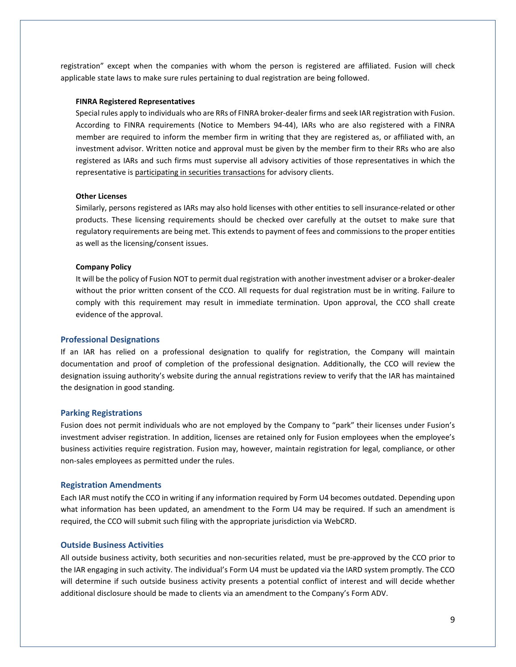registration" except when the companies with whom the person is registered are affiliated. Fusion will check applicable state laws to make sure rules pertaining to dual registration are being followed.

#### **FINRA Registered Representatives**

Special rules apply to individuals who are RRs of FINRA broker-dealer firms and seek IAR registration with Fusion. According to FINRA requirements (Notice to Members 94-44), IARs who are also registered with a FINRA member are required to inform the member firm in writing that they are registered as, or affiliated with, an investment advisor. Written notice and approval must be given by the member firm to their RRs who are also registered as IARs and such firms must supervise all advisory activities of those representatives in which the representative is participating in securities transactions for advisory clients.

#### **Other Licenses**

Similarly, persons registered as IARs may also hold licenses with other entities to sell insurance-related or other products. These licensing requirements should be checked over carefully at the outset to make sure that regulatory requirements are being met. This extends to payment of fees and commissions to the proper entities as well as the licensing/consent issues.

#### **Company Policy**

It will be the policy of Fusion NOT to permit dual registration with another investment adviser or a broker-dealer without the prior written consent of the CCO. All requests for dual registration must be in writing. Failure to comply with this requirement may result in immediate termination. Upon approval, the CCO shall create evidence of the approval.

#### **Professional Designations**

If an IAR has relied on a professional designation to qualify for registration, the Company will maintain documentation and proof of completion of the professional designation. Additionally, the CCO will review the designation issuing authority's website during the annual registrations review to verify that the IAR has maintained the designation in good standing.

#### **Parking Registrations**

Fusion does not permit individuals who are not employed by the Company to "park" their licenses under Fusion's investment adviser registration. In addition, licenses are retained only for Fusion employees when the employee's business activities require registration. Fusion may, however, maintain registration for legal, compliance, or other non-sales employees as permitted under the rules.

#### **Registration Amendments**

Each IAR must notify the CCO in writing if any information required by Form U4 becomes outdated. Depending upon what information has been updated, an amendment to the Form U4 may be required. If such an amendment is required, the CCO will submit such filing with the appropriate jurisdiction via WebCRD.

#### **Outside Business Activities**

All outside business activity, both securities and non-securities related, must be pre-approved by the CCO prior to the IAR engaging in such activity. The individual's Form U4 must be updated via the IARD system promptly. The CCO will determine if such outside business activity presents a potential conflict of interest and will decide whether additional disclosure should be made to clients via an amendment to the Company's Form ADV.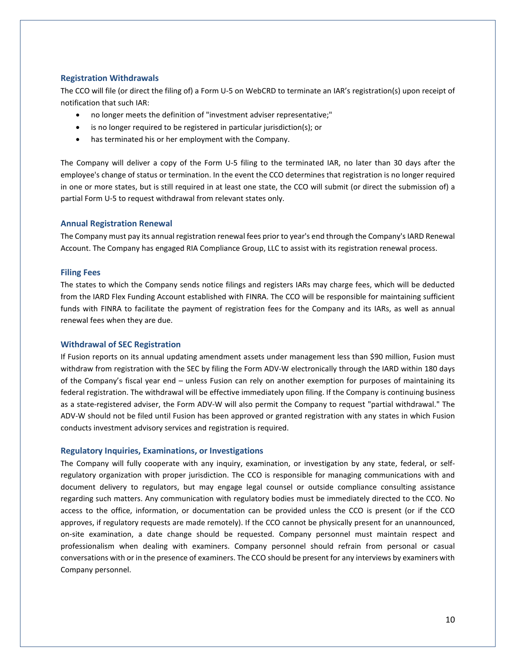### **Registration Withdrawals**

The CCO will file (or direct the filing of) a Form U-5 on WebCRD to terminate an IAR's registration(s) upon receipt of notification that such IAR:

- no longer meets the definition of "investment adviser representative;"
- is no longer required to be registered in particular jurisdiction(s); or
- has terminated his or her employment with the Company.

The Company will deliver a copy of the Form U-5 filing to the terminated IAR, no later than 30 days after the employee's change of status or termination. In the event the CCO determines that registration is no longer required in one or more states, but is still required in at least one state, the CCO will submit (or direct the submission of) a partial Form U-5 to request withdrawal from relevant states only.

#### **Annual Registration Renewal**

The Company must pay its annual registration renewal fees prior to year's end through the Company's IARD Renewal Account. The Company has engaged RIA Compliance Group, LLC to assist with its registration renewal process.

#### **Filing Fees**

The states to which the Company sends notice filings and registers IARs may charge fees, which will be deducted from the IARD Flex Funding Account established with FINRA. The CCO will be responsible for maintaining sufficient funds with FINRA to facilitate the payment of registration fees for the Company and its IARs, as well as annual renewal fees when they are due.

#### **Withdrawal of SEC Registration**

If Fusion reports on its annual updating amendment assets under management less than \$90 million, Fusion must withdraw from registration with the SEC by filing the Form ADV-W electronically through the IARD within 180 days of the Company's fiscal year end – unless Fusion can rely on another exemption for purposes of maintaining its federal registration. The withdrawal will be effective immediately upon filing. If the Company is continuing business as a state-registered adviser, the Form ADV-W will also permit the Company to request "partial withdrawal." The ADV-W should not be filed until Fusion has been approved or granted registration with any states in which Fusion conducts investment advisory services and registration is required.

#### **Regulatory Inquiries, Examinations, or Investigations**

The Company will fully cooperate with any inquiry, examination, or investigation by any state, federal, or selfregulatory organization with proper jurisdiction. The CCO is responsible for managing communications with and document delivery to regulators, but may engage legal counsel or outside compliance consulting assistance regarding such matters. Any communication with regulatory bodies must be immediately directed to the CCO. No access to the office, information, or documentation can be provided unless the CCO is present (or if the CCO approves, if regulatory requests are made remotely). If the CCO cannot be physically present for an unannounced, on-site examination, a date change should be requested. Company personnel must maintain respect and professionalism when dealing with examiners. Company personnel should refrain from personal or casual conversations with or in the presence of examiners. The CCO should be present for any interviews by examiners with Company personnel.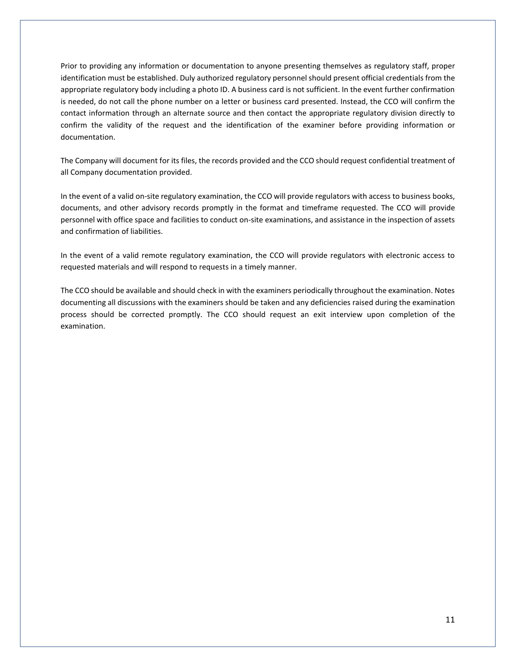Prior to providing any information or documentation to anyone presenting themselves as regulatory staff, proper identification must be established. Duly authorized regulatory personnel should present official credentials from the appropriate regulatory body including a photo ID. A business card is not sufficient. In the event further confirmation is needed, do not call the phone number on a letter or business card presented. Instead, the CCO will confirm the contact information through an alternate source and then contact the appropriate regulatory division directly to confirm the validity of the request and the identification of the examiner before providing information or documentation.

The Company will document for its files, the records provided and the CCO should request confidential treatment of all Company documentation provided.

In the event of a valid on-site regulatory examination, the CCO will provide regulators with access to business books, documents, and other advisory records promptly in the format and timeframe requested. The CCO will provide personnel with office space and facilities to conduct on-site examinations, and assistance in the inspection of assets and confirmation of liabilities.

In the event of a valid remote regulatory examination, the CCO will provide regulators with electronic access to requested materials and will respond to requests in a timely manner.

The CCO should be available and should check in with the examiners periodically throughout the examination. Notes documenting all discussions with the examiners should be taken and any deficiencies raised during the examination process should be corrected promptly. The CCO should request an exit interview upon completion of the examination.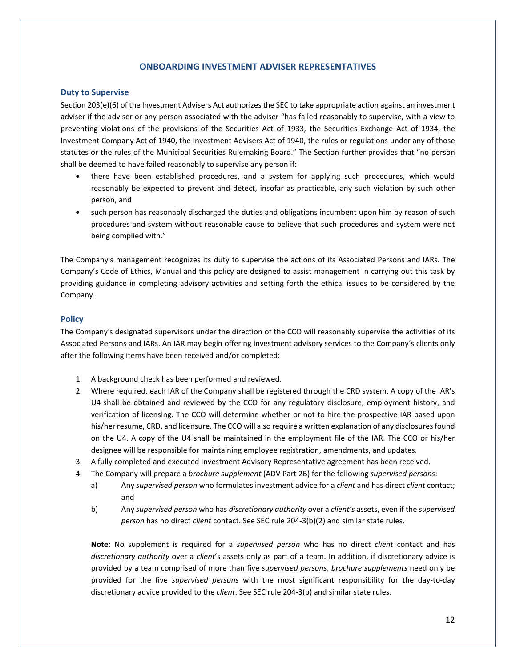# **ONBOARDING INVESTMENT ADVISER REPRESENTATIVES**

## <span id="page-11-0"></span>**Duty to Supervise**

Section 203(e)(6) of the Investment Advisers Act authorizes the SEC to take appropriate action against an investment adviser if the adviser or any person associated with the adviser "has failed reasonably to supervise, with a view to preventing violations of the provisions of the Securities Act of 1933, the Securities Exchange Act of 1934, the Investment Company Act of 1940, the Investment Advisers Act of 1940, the rules or regulations under any of those statutes or the rules of the Municipal Securities Rulemaking Board." The Section further provides that "no person shall be deemed to have failed reasonably to supervise any person if:

- there have been established procedures, and a system for applying such procedures, which would reasonably be expected to prevent and detect, insofar as practicable, any such violation by such other person, and
- such person has reasonably discharged the duties and obligations incumbent upon him by reason of such procedures and system without reasonable cause to believe that such procedures and system were not being complied with."

The Company's management recognizes its duty to supervise the actions of its Associated Persons and IARs. The Company's Code of Ethics, Manual and this policy are designed to assist management in carrying out this task by providing guidance in completing advisory activities and setting forth the ethical issues to be considered by the Company.

# **Policy**

The Company's designated supervisors under the direction of the CCO will reasonably supervise the activities of its Associated Persons and IARs. An IAR may begin offering investment advisory services to the Company's clients only after the following items have been received and/or completed:

- 1. A background check has been performed and reviewed.
- 2. Where required, each IAR of the Company shall be registered through the CRD system. A copy of the IAR's U4 shall be obtained and reviewed by the CCO for any regulatory disclosure, employment history, and verification of licensing. The CCO will determine whether or not to hire the prospective IAR based upon his/her resume, CRD, and licensure. The CCO will also require a written explanation of any disclosures found on the U4. A copy of the U4 shall be maintained in the employment file of the IAR. The CCO or his/her designee will be responsible for maintaining employee registration, amendments, and updates.
- 3. A fully completed and executed Investment Advisory Representative agreement has been received.
- 4. The Company will prepare a *brochure supplement* (ADV Part 2B) for the following *supervised persons*:
	- a) Any *supervised person* who formulates investment advice for a *client* and has direct *client* contact; and
	- b) Any *supervised person* who has *discretionary authority* over a *client's* assets, even if the *supervised person* has no direct *client* contact. See SEC rule 204-3(b)(2) and similar state rules.

**Note:** No supplement is required for a *supervised person* who has no direct *client* contact and has *discretionary authority* over a *client*'s assets only as part of a team. In addition, if discretionary advice is provided by a team comprised of more than five *supervised persons*, *brochure supplements* need only be provided for the five *supervised persons* with the most significant responsibility for the day-to-day discretionary advice provided to the *client*. See SEC rule 204-3(b) and similar state rules.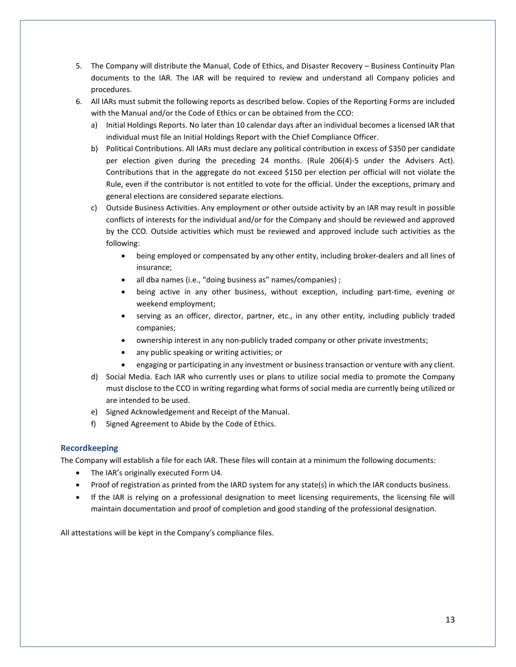- 5. The Company will distribute the Manual, Code of Ethics, and Disaster Recovery Business Continuity Plan documents to the IAR. The IAR will be required to review and understand all Company policies and procedures.
- 6. All IARs must submit the following reports as described below. Copies of the Reporting Forms are included with the Manual and/or the Code of Ethics or can be obtained from the CCO:
	- a) Initial Holdings Reports. No later than 10 calendar days after an individual becomes a licensed IAR that individual must file an Initial Holdings Report with the Chief Compliance Officer.
	- b) Political Contributions. All IARs must declare any political contribution in excess of \$350 per candidate per election given during the preceding 24 months. (Rule 206(4)-5 under the Advisers Act). Contributions that in the aggregate do not exceed \$150 per election per official will not violate the Rule, even if the contributor is not entitled to vote for the official. Under the exceptions, primary and general elections are considered separate elections.
	- c) Outside Business Activities. Any employment or other outside activity by an IAR may result in possible conflicts of interests for the individual and/or for the Company and should be reviewed and approved by the CCO. Outside activities which must be reviewed and approved include such activities as the following:
		- being employed or compensated by any other entity, including broker-dealers and all lines of insurance;
		- all dba names (i.e., "doing business as" names/companies) ;
		- being active in any other business, without exception, including part-time, evening or weekend employment;
		- serving as an officer, director, partner, etc., in any other entity, including publicly traded companies;
		- ownership interest in any non-publicly traded company or other private investments;
		- any public speaking or writing activities; or
		- engaging or participating in any investment or business transaction or venture with any client.
	- d) Social Media. Each IAR who currently uses or plans to utilize social media to promote the Company must disclose to the CCO in writing regarding what forms of social media are currently being utilized or are intended to be used.
	- e) Signed Acknowledgement and Receipt of the Manual.
	- f) Signed Agreement to Abide by the Code of Ethics.

# **Recordkeeping**

The Company will establish a file for each IAR. These files will contain at a minimum the following documents:

- The IAR's originally executed Form U4.
- Proof of registration as printed from the IARD system for any state(s) in which the IAR conducts business.
- If the IAR is relying on a professional designation to meet licensing requirements, the licensing file will maintain documentation and proof of completion and good standing of the professional designation.

All attestations will be kept in the Company's compliance files.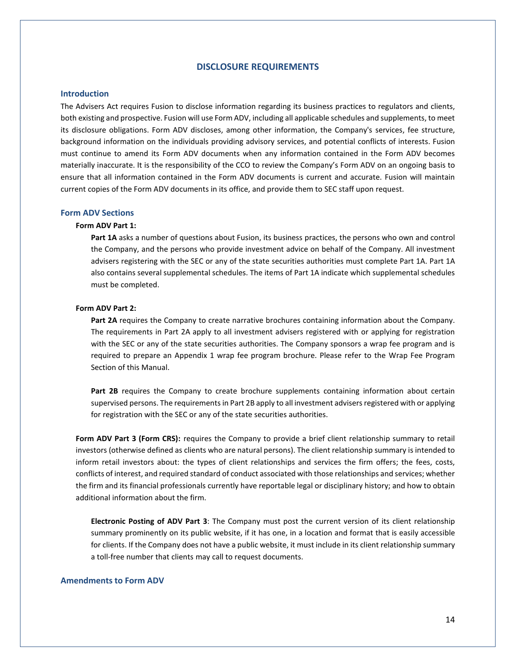# **DISCLOSURE REQUIREMENTS**

# <span id="page-13-0"></span>**Introduction**

The Advisers Act requires Fusion to disclose information regarding its business practices to regulators and clients, both existing and prospective. Fusion will use Form ADV, including all applicable schedules and supplements, to meet its disclosure obligations. Form ADV discloses, among other information, the Company's services, fee structure, background information on the individuals providing advisory services, and potential conflicts of interests. Fusion must continue to amend its Form ADV documents when any information contained in the Form ADV becomes materially inaccurate. It is the responsibility of the CCO to review the Company's Form ADV on an ongoing basis to ensure that all information contained in the Form ADV documents is current and accurate. Fusion will maintain current copies of the Form ADV documents in its office, and provide them to SEC staff upon request.

#### **Form ADV Sections**

### **Form ADV Part 1:**

**Part 1A** asks a number of questions about Fusion, its business practices, the persons who own and control the Company, and the persons who provide investment advice on behalf of the Company. All investment advisers registering with the SEC or any of the state securities authorities must complete Part 1A. Part 1A also contains several supplemental schedules. The items of Part 1A indicate which supplemental schedules must be completed.

#### **Form ADV Part 2:**

**Part 2A** requires the Company to create narrative brochures containing information about the Company. The requirements in Part 2A apply to all investment advisers registered with or applying for registration with the SEC or any of the state securities authorities. The Company sponsors a wrap fee program and is required to prepare an Appendix 1 wrap fee program brochure. Please refer to the Wrap Fee Program Section of this Manual.

Part 2B requires the Company to create brochure supplements containing information about certain supervised persons. The requirements in Part 2B apply to all investment advisers registered with or applying for registration with the SEC or any of the state securities authorities.

**Form ADV Part 3 (Form CRS):** requires the Company to provide a brief client relationship summary to retail investors (otherwise defined as clients who are natural persons). The client relationship summary is intended to inform retail investors about: the types of client relationships and services the firm offers; the fees, costs, conflicts of interest, and required standard of conduct associated with those relationships and services; whether the firm and its financial professionals currently have reportable legal or disciplinary history; and how to obtain additional information about the firm.

**Electronic Posting of ADV Part 3**: The Company must post the current version of its client relationship summary prominently on its public website, if it has one, in a location and format that is easily accessible for clients. If the Company does not have a public website, it must include in its client relationship summary a toll-free number that clients may call to request documents.

### **Amendments to Form ADV**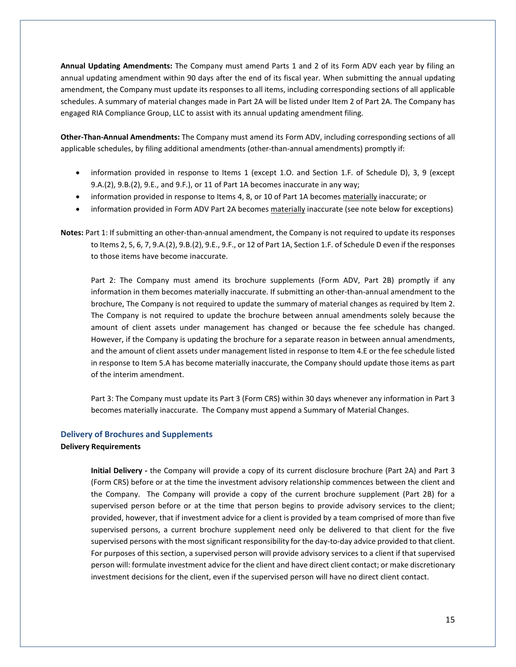**Annual Updating Amendments:** The Company must amend Parts 1 and 2 of its Form ADV each year by filing an annual updating amendment within 90 days after the end of its fiscal year. When submitting the annual updating amendment, the Company must update its responses to all items, including corresponding sections of all applicable schedules. A summary of material changes made in Part 2A will be listed under Item 2 of Part 2A. The Company has engaged RIA Compliance Group, LLC to assist with its annual updating amendment filing.

**Other-Than-Annual Amendments:** The Company must amend its Form ADV, including corresponding sections of all applicable schedules, by filing additional amendments (other-than-annual amendments) promptly if:

- information provided in response to Items 1 (except 1.O. and Section 1.F. of Schedule D), 3, 9 (except 9.A.(2), 9.B.(2), 9.E., and 9.F.), or 11 of Part 1A becomes inaccurate in any way;
- information provided in response to Items 4, 8, or 10 of Part 1A becomes materially inaccurate; or
- information provided in Form ADV Part 2A becomes materially inaccurate (see note below for exceptions)
- **Notes:** Part 1: If submitting an other-than-annual amendment, the Company is not required to update its responses to Items 2, 5, 6, 7, 9.A.(2), 9.B.(2), 9.E., 9.F., or 12 of Part 1A, Section 1.F. of Schedule D even if the responses to those items have become inaccurate.

Part 2: The Company must amend its brochure supplements (Form ADV, Part 2B) promptly if any information in them becomes materially inaccurate. If submitting an other-than-annual amendment to the brochure, The Company is not required to update the summary of material changes as required by Item 2. The Company is not required to update the brochure between annual amendments solely because the amount of client assets under management has changed or because the fee schedule has changed. However, if the Company is updating the brochure for a separate reason in between annual amendments, and the amount of client assets under management listed in response to Item 4.E or the fee schedule listed in response to Item 5.A has become materially inaccurate, the Company should update those items as part of the interim amendment.

Part 3: The Company must update its Part 3 (Form CRS) within 30 days whenever any information in Part 3 becomes materially inaccurate. The Company must append a Summary of Material Changes.

### **Delivery of Brochures and Supplements**

#### **Delivery Requirements**

**Initial Delivery -** the Company will provide a copy of its current disclosure brochure (Part 2A) and Part 3 (Form CRS) before or at the time the investment advisory relationship commences between the client and the Company. The Company will provide a copy of the current brochure supplement (Part 2B) for a supervised person before or at the time that person begins to provide advisory services to the client; provided, however, that if investment advice for a client is provided by a team comprised of more than five supervised persons, a current brochure supplement need only be delivered to that client for the five supervised persons with the most significant responsibility for the day-to-day advice provided to that client. For purposes of this section, a supervised person will provide advisory services to a client if that supervised person will: formulate investment advice for the client and have direct client contact; or make discretionary investment decisions for the client, even if the supervised person will have no direct client contact.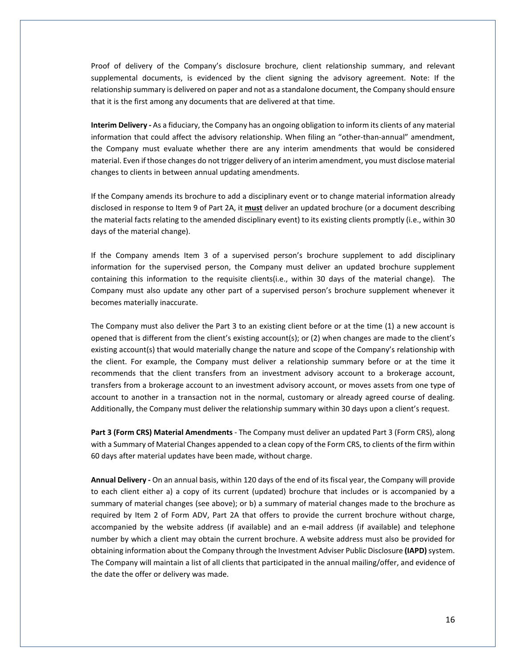Proof of delivery of the Company's disclosure brochure, client relationship summary, and relevant supplemental documents, is evidenced by the client signing the advisory agreement. Note: If the relationship summary is delivered on paper and not as a standalone document, the Company should ensure that it is the first among any documents that are delivered at that time.

**Interim Delivery -** As a fiduciary, the Company has an ongoing obligation to inform its clients of any material information that could affect the advisory relationship. When filing an "other-than-annual" amendment, the Company must evaluate whether there are any interim amendments that would be considered material. Even if those changes do not trigger delivery of an interim amendment, you must disclose material changes to clients in between annual updating amendments.

If the Company amends its brochure to add a disciplinary event or to change material information already disclosed in response to Item 9 of Part 2A, it **must** deliver an updated brochure (or a document describing the material facts relating to the amended disciplinary event) to its existing clients promptly (i.e., within 30 days of the material change).

If the Company amends Item 3 of a supervised person's brochure supplement to add disciplinary information for the supervised person, the Company must deliver an updated brochure supplement containing this information to the requisite clients(i.e., within 30 days of the material change). The Company must also update any other part of a supervised person's brochure supplement whenever it becomes materially inaccurate.

The Company must also deliver the Part 3 to an existing client before or at the time (1) a new account is opened that is different from the client's existing account(s); or (2) when changes are made to the client's existing account(s) that would materially change the nature and scope of the Company's relationship with the client. For example, the Company must deliver a relationship summary before or at the time it recommends that the client transfers from an investment advisory account to a brokerage account, transfers from a brokerage account to an investment advisory account, or moves assets from one type of account to another in a transaction not in the normal, customary or already agreed course of dealing. Additionally, the Company must deliver the relationship summary within 30 days upon a client's request.

**Part 3 (Form CRS) Material Amendments** - The Company must deliver an updated Part 3 (Form CRS), along with a Summary of Material Changes appended to a clean copy of the Form CRS, to clients of the firm within 60 days after material updates have been made, without charge.

**Annual Delivery -** On an annual basis, within 120 days of the end of its fiscal year, the Company will provide to each client either a) a copy of its current (updated) brochure that includes or is accompanied by a summary of material changes (see above); or b) a summary of material changes made to the brochure as required by Item 2 of Form ADV, Part 2A that offers to provide the current brochure without charge, accompanied by the website address (if available) and an e-mail address (if available) and telephone number by which a client may obtain the current brochure. A website address must also be provided for obtaining information about the Company through the Investment Adviser Public Disclosure **(IAPD)**system. The Company will maintain a list of all clients that participated in the annual mailing/offer, and evidence of the date the offer or delivery was made.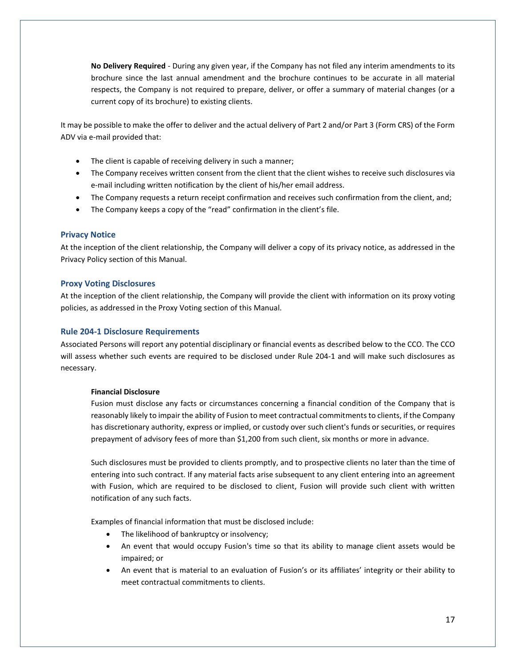**No Delivery Required** - During any given year, if the Company has not filed any interim amendments to its brochure since the last annual amendment and the brochure continues to be accurate in all material respects, the Company is not required to prepare, deliver, or offer a summary of material changes (or a current copy of its brochure) to existing clients.

It may be possible to make the offer to deliver and the actual delivery of Part 2 and/or Part 3 (Form CRS) of the Form ADV via e-mail provided that:

- The client is capable of receiving delivery in such a manner;
- The Company receives written consent from the client that the client wishes to receive such disclosures via e-mail including written notification by the client of his/her email address.
- The Company requests a return receipt confirmation and receives such confirmation from the client, and;
- The Company keeps a copy of the "read" confirmation in the client's file.

# **Privacy Notice**

At the inception of the client relationship, the Company will deliver a copy of its privacy notice, as addressed in the Privacy Policy section of this Manual.

# **Proxy Voting Disclosures**

At the inception of the client relationship, the Company will provide the client with information on its proxy voting policies, as addressed in the Proxy Voting section of this Manual.

### **Rule 204-1 Disclosure Requirements**

Associated Persons will report any potential disciplinary or financial events as described below to the CCO. The CCO will assess whether such events are required to be disclosed under Rule 204-1 and will make such disclosures as necessary.

### **Financial Disclosure**

Fusion must disclose any facts or circumstances concerning a financial condition of the Company that is reasonably likely to impair the ability of Fusion to meet contractual commitments to clients, if the Company has discretionary authority, express or implied, or custody over such client's funds or securities, or requires prepayment of advisory fees of more than \$1,200 from such client, six months or more in advance.

Such disclosures must be provided to clients promptly, and to prospective clients no later than the time of entering into such contract. If any material facts arise subsequent to any client entering into an agreement with Fusion, which are required to be disclosed to client, Fusion will provide such client with written notification of any such facts.

Examples of financial information that must be disclosed include:

- The likelihood of bankruptcy or insolvency;
- An event that would occupy Fusion's time so that its ability to manage client assets would be impaired; or
- An event that is material to an evaluation of Fusion's or its affiliates' integrity or their ability to meet contractual commitments to clients.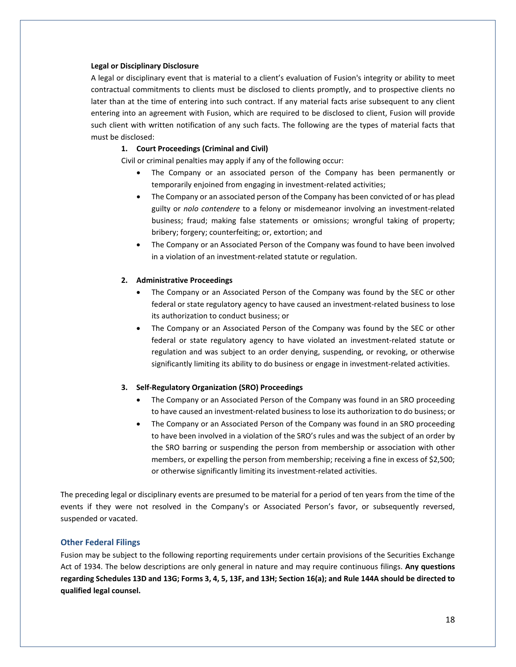#### **Legal or Disciplinary Disclosure**

A legal or disciplinary event that is material to a client's evaluation of Fusion's integrity or ability to meet contractual commitments to clients must be disclosed to clients promptly, and to prospective clients no later than at the time of entering into such contract. If any material facts arise subsequent to any client entering into an agreement with Fusion, which are required to be disclosed to client, Fusion will provide such client with written notification of any such facts. The following are the types of material facts that must be disclosed:

### **1. Court Proceedings (Criminal and Civil)**

Civil or criminal penalties may apply if any of the following occur:

- The Company or an associated person of the Company has been permanently or temporarily enjoined from engaging in investment-related activities;
- The Company or an associated person of the Company has been convicted of or has plead guilty or *nolo contendere* to a felony or misdemeanor involving an investment-related business; fraud; making false statements or omissions; wrongful taking of property; bribery; forgery; counterfeiting; or, extortion; and
- The Company or an Associated Person of the Company was found to have been involved in a violation of an investment-related statute or regulation.

### **2. Administrative Proceedings**

- The Company or an Associated Person of the Company was found by the SEC or other federal or state regulatory agency to have caused an investment-related business to lose its authorization to conduct business; or
- The Company or an Associated Person of the Company was found by the SEC or other federal or state regulatory agency to have violated an investment-related statute or regulation and was subject to an order denying, suspending, or revoking, or otherwise significantly limiting its ability to do business or engage in investment-related activities.

#### **3. Self-Regulatory Organization (SRO) Proceedings**

- The Company or an Associated Person of the Company was found in an SRO proceeding to have caused an investment-related business to lose its authorization to do business; or
- The Company or an Associated Person of the Company was found in an SRO proceeding to have been involved in a violation of the SRO's rules and was the subject of an order by the SRO barring or suspending the person from membership or association with other members, or expelling the person from membership; receiving a fine in excess of \$2,500; or otherwise significantly limiting its investment-related activities.

The preceding legal or disciplinary events are presumed to be material for a period of ten years from the time of the events if they were not resolved in the Company's or Associated Person's favor, or subsequently reversed, suspended or vacated.

#### **Other Federal Filings**

Fusion may be subject to the following reporting requirements under certain provisions of the Securities Exchange Act of 1934. The below descriptions are only general in nature and may require continuous filings. **Any questions regarding Schedules 13D and 13G; Forms 3, 4, 5, 13F, and 13H; Section 16(a); and Rule 144A should be directed to qualified legal counsel.**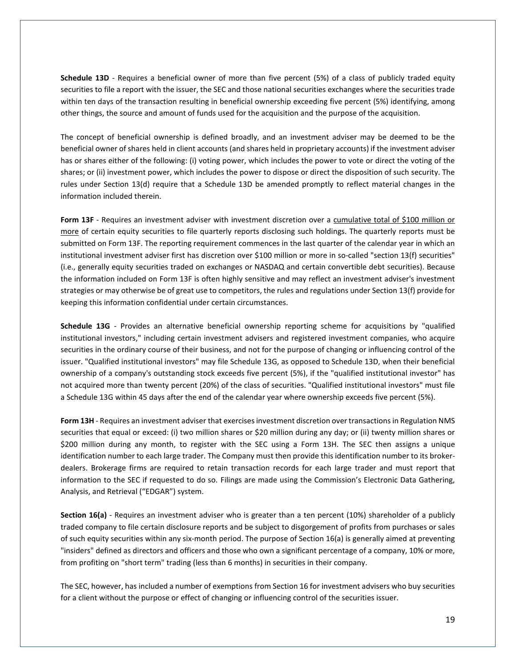**Schedule 13D** - Requires a beneficial owner of more than five percent (5%) of a class of publicly traded equity securities to file a report with the issuer, the SEC and those national securities exchanges where the securities trade within ten days of the transaction resulting in beneficial ownership exceeding five percent (5%) identifying, among other things, the source and amount of funds used for the acquisition and the purpose of the acquisition.

The concept of beneficial ownership is defined broadly, and an investment adviser may be deemed to be the beneficial owner of shares held in client accounts (and shares held in proprietary accounts) if the investment adviser has or shares either of the following: (i) voting power, which includes the power to vote or direct the voting of the shares; or (ii) investment power, which includes the power to dispose or direct the disposition of such security. The rules under Section 13(d) require that a Schedule 13D be amended promptly to reflect material changes in the information included therein.

**Form 13F** - Requires an investment adviser with investment discretion over a cumulative total of \$100 million or more of certain equity securities to file quarterly reports disclosing such holdings. The quarterly reports must be submitted on Form 13F. The reporting requirement commences in the last quarter of the calendar year in which an institutional investment adviser first has discretion over \$100 million or more in so-called "section 13(f) securities" (i.e., generally equity securities traded on exchanges or NASDAQ and certain convertible debt securities). Because the information included on Form 13F is often highly sensitive and may reflect an investment adviser's investment strategies or may otherwise be of great use to competitors, the rules and regulations under Section 13(f) provide for keeping this information confidential under certain circumstances.

**Schedule 13G** - Provides an alternative beneficial ownership reporting scheme for acquisitions by "qualified institutional investors," including certain investment advisers and registered investment companies, who acquire securities in the ordinary course of their business, and not for the purpose of changing or influencing control of the issuer. "Qualified institutional investors" may file Schedule 13G, as opposed to Schedule 13D, when their beneficial ownership of a company's outstanding stock exceeds five percent (5%), if the "qualified institutional investor" has not acquired more than twenty percent (20%) of the class of securities. "Qualified institutional investors" must file a Schedule 13G within 45 days after the end of the calendar year where ownership exceeds five percent (5%).

**Form 13H** - Requires an investment adviser that exercises investment discretion over transactions in Regulation NMS securities that equal or exceed: (i) two million shares or \$20 million during any day; or (ii) twenty million shares or \$200 million during any month, to register with the SEC using a Form 13H. The SEC then assigns a unique identification number to each large trader. The Company must then provide this identification number to its brokerdealers. Brokerage firms are required to retain transaction records for each large trader and must report that information to the SEC if requested to do so. Filings are made using the Commission's Electronic Data Gathering, Analysis, and Retrieval ("EDGAR") system.

**Section 16(a)** - Requires an investment adviser who is greater than a ten percent (10%) shareholder of a publicly traded company to file certain disclosure reports and be subject to disgorgement of profits from purchases or sales of such equity securities within any six-month period. The purpose of Section 16(a) is generally aimed at preventing "insiders" defined as directors and officers and those who own a significant percentage of a company, 10% or more, from profiting on "short term" trading (less than 6 months) in securities in their company.

The SEC, however, has included a number of exemptions from Section 16 for investment advisers who buy securities for a client without the purpose or effect of changing or influencing control of the securities issuer.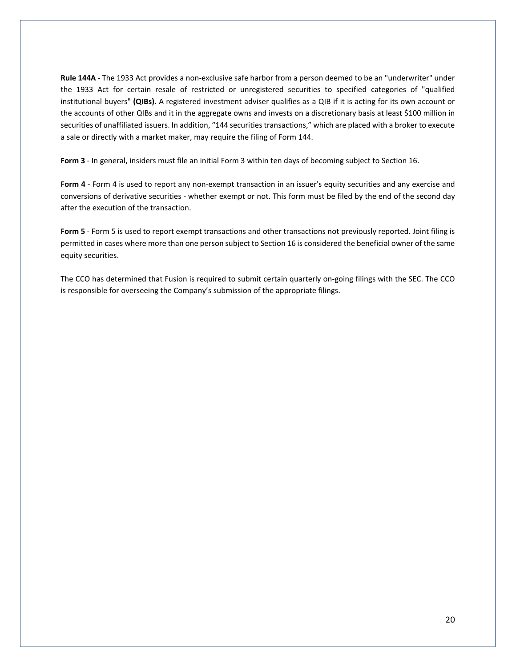**Rule 144A** - The 1933 Act provides a non-exclusive safe harbor from a person deemed to be an "underwriter" under the 1933 Act for certain resale of restricted or unregistered securities to specified categories of "qualified institutional buyers" **(QIBs)**. A registered investment adviser qualifies as a QIB if it is acting for its own account or the accounts of other QIBs and it in the aggregate owns and invests on a discretionary basis at least \$100 million in securities of unaffiliated issuers. In addition, "144 securities transactions," which are placed with a broker to execute a sale or directly with a market maker, may require the filing of Form 144.

**Form 3** - In general, insiders must file an initial Form 3 within ten days of becoming subject to Section 16.

**Form 4** - Form 4 is used to report any non-exempt transaction in an issuer's equity securities and any exercise and conversions of derivative securities - whether exempt or not. This form must be filed by the end of the second day after the execution of the transaction.

**Form 5** - Form 5 is used to report exempt transactions and other transactions not previously reported. Joint filing is permitted in cases where more than one person subject to Section 16 is considered the beneficial owner of the same equity securities.

The CCO has determined that Fusion is required to submit certain quarterly on-going filings with the SEC. The CCO is responsible for overseeing the Company's submission of the appropriate filings.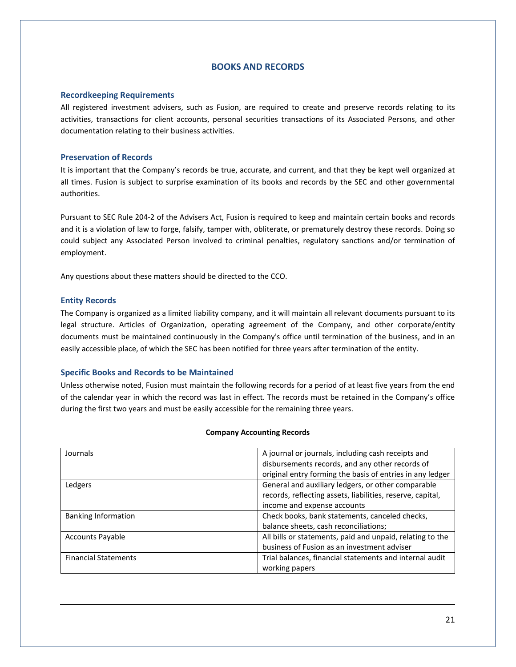# **BOOKS AND RECORDS**

## <span id="page-20-0"></span>**Recordkeeping Requirements**

All registered investment advisers, such as Fusion, are required to create and preserve records relating to its activities, transactions for client accounts, personal securities transactions of its Associated Persons, and other documentation relating to their business activities.

# **Preservation of Records**

It is important that the Company's records be true, accurate, and current, and that they be kept well organized at all times. Fusion is subject to surprise examination of its books and records by the SEC and other governmental authorities.

Pursuant to SEC Rule 204-2 of the Advisers Act, Fusion is required to keep and maintain certain books and records and it is a violation of law to forge, falsify, tamper with, obliterate, or prematurely destroy these records. Doing so could subject any Associated Person involved to criminal penalties, regulatory sanctions and/or termination of employment.

Any questions about these matters should be directed to the CCO.

# **Entity Records**

The Company is organized as a limited liability company, and it will maintain all relevant documents pursuant to its legal structure. Articles of Organization, operating agreement of the Company, and other corporate/entity documents must be maintained continuously in the Company's office until termination of the business, and in an easily accessible place, of which the SEC has been notified for three years after termination of the entity.

# **Specific Books and Records to be Maintained**

Unless otherwise noted, Fusion must maintain the following records for a period of at least five years from the end of the calendar year in which the record was last in effect. The records must be retained in the Company's office during the first two years and must be easily accessible for the remaining three years.

| Journals                    | A journal or journals, including cash receipts and         |
|-----------------------------|------------------------------------------------------------|
|                             | disbursements records, and any other records of            |
|                             | original entry forming the basis of entries in any ledger  |
| Ledgers                     | General and auxiliary ledgers, or other comparable         |
|                             | records, reflecting assets, liabilities, reserve, capital, |
|                             | income and expense accounts                                |
| <b>Banking Information</b>  | Check books, bank statements, canceled checks,             |
|                             | balance sheets, cash reconciliations;                      |
| <b>Accounts Payable</b>     | All bills or statements, paid and unpaid, relating to the  |
|                             | business of Fusion as an investment adviser                |
| <b>Financial Statements</b> | Trial balances, financial statements and internal audit    |
|                             | working papers                                             |

### **Company Accounting Records**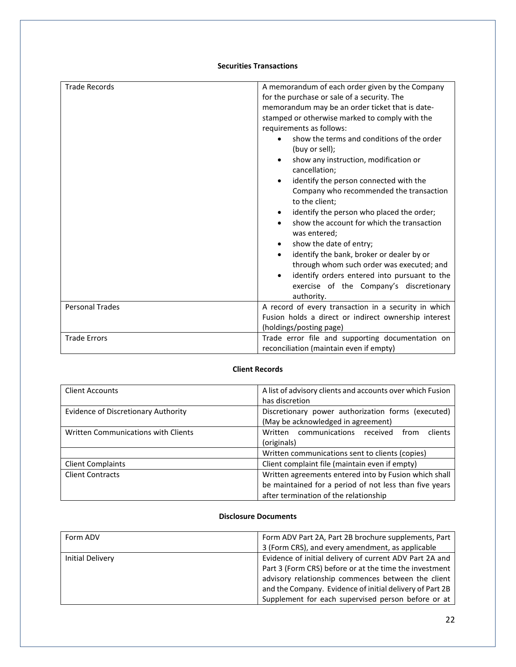# **Securities Transactions**

| <b>Trade Records</b><br><b>Personal Trades</b> | A memorandum of each order given by the Company<br>for the purchase or sale of a security. The<br>memorandum may be an order ticket that is date-<br>stamped or otherwise marked to comply with the<br>requirements as follows:<br>show the terms and conditions of the order<br>(buy or sell);<br>show any instruction, modification or<br>$\bullet$<br>cancellation;<br>identify the person connected with the<br>Company who recommended the transaction<br>to the client;<br>identify the person who placed the order;<br>٠<br>show the account for which the transaction<br>was entered;<br>show the date of entry;<br>identify the bank, broker or dealer by or<br>through whom such order was executed; and<br>identify orders entered into pursuant to the<br>exercise of the Company's discretionary<br>authority.<br>A record of every transaction in a security in which |
|------------------------------------------------|-------------------------------------------------------------------------------------------------------------------------------------------------------------------------------------------------------------------------------------------------------------------------------------------------------------------------------------------------------------------------------------------------------------------------------------------------------------------------------------------------------------------------------------------------------------------------------------------------------------------------------------------------------------------------------------------------------------------------------------------------------------------------------------------------------------------------------------------------------------------------------------|
|                                                | Fusion holds a direct or indirect ownership interest<br>(holdings/posting page)                                                                                                                                                                                                                                                                                                                                                                                                                                                                                                                                                                                                                                                                                                                                                                                                     |
| <b>Trade Errors</b>                            |                                                                                                                                                                                                                                                                                                                                                                                                                                                                                                                                                                                                                                                                                                                                                                                                                                                                                     |
|                                                | Trade error file and supporting documentation on                                                                                                                                                                                                                                                                                                                                                                                                                                                                                                                                                                                                                                                                                                                                                                                                                                    |
|                                                | reconciliation (maintain even if empty)                                                                                                                                                                                                                                                                                                                                                                                                                                                                                                                                                                                                                                                                                                                                                                                                                                             |

# **Client Records**

| <b>Client Accounts</b>              | A list of advisory clients and accounts over which Fusion |
|-------------------------------------|-----------------------------------------------------------|
|                                     | has discretion                                            |
| Evidence of Discretionary Authority | Discretionary power authorization forms (executed)        |
|                                     | (May be acknowledged in agreement)                        |
| Written Communications with Clients | communications received<br>Written<br>clients<br>from     |
|                                     | (originals)                                               |
|                                     | Written communications sent to clients (copies)           |
| <b>Client Complaints</b>            | Client complaint file (maintain even if empty)            |
| <b>Client Contracts</b>             | Written agreements entered into by Fusion which shall     |
|                                     | be maintained for a period of not less than five years    |
|                                     | after termination of the relationship                     |

# **Disclosure Documents**

| Form ADV         | Form ADV Part 2A, Part 2B brochure supplements, Part     |
|------------------|----------------------------------------------------------|
|                  | 3 (Form CRS), and every amendment, as applicable         |
| Initial Delivery | Evidence of initial delivery of current ADV Part 2A and  |
|                  | Part 3 (Form CRS) before or at the time the investment   |
|                  | advisory relationship commences between the client       |
|                  | and the Company. Evidence of initial delivery of Part 2B |
|                  | Supplement for each supervised person before or at       |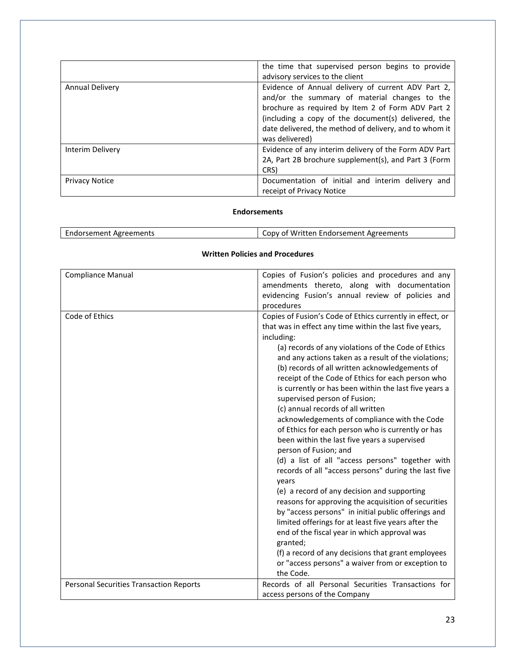|                       | the time that supervised person begins to provide<br>advisory services to the client                                                                                                                                                                                                        |
|-----------------------|---------------------------------------------------------------------------------------------------------------------------------------------------------------------------------------------------------------------------------------------------------------------------------------------|
| Annual Delivery       | Evidence of Annual delivery of current ADV Part 2,<br>and/or the summary of material changes to the<br>brochure as required by Item 2 of Form ADV Part 2<br>(including a copy of the document(s) delivered, the<br>date delivered, the method of delivery, and to whom it<br>was delivered) |
| Interim Delivery      | Evidence of any interim delivery of the Form ADV Part<br>2A, Part 2B brochure supplement(s), and Part 3 (Form<br>CRS)                                                                                                                                                                       |
| <b>Privacy Notice</b> | Documentation of initial and interim delivery and<br>receipt of Privacy Notice                                                                                                                                                                                                              |

# **Endorsements**

| Endorsement Agreements | Copy of Written Endorsement Agreements |
|------------------------|----------------------------------------|

### **Written Policies and Procedures**

| Compliance Manual                              | Copies of Fusion's policies and procedures and any<br>amendments thereto, along with documentation |
|------------------------------------------------|----------------------------------------------------------------------------------------------------|
|                                                | evidencing Fusion's annual review of policies and                                                  |
|                                                | procedures                                                                                         |
| Code of Ethics                                 | Copies of Fusion's Code of Ethics currently in effect, or                                          |
|                                                | that was in effect any time within the last five years,                                            |
|                                                | including:                                                                                         |
|                                                | (a) records of any violations of the Code of Ethics                                                |
|                                                | and any actions taken as a result of the violations;                                               |
|                                                | (b) records of all written acknowledgements of                                                     |
|                                                | receipt of the Code of Ethics for each person who                                                  |
|                                                | is currently or has been within the last five years a                                              |
|                                                | supervised person of Fusion;                                                                       |
|                                                | (c) annual records of all written                                                                  |
|                                                | acknowledgements of compliance with the Code                                                       |
|                                                | of Ethics for each person who is currently or has                                                  |
|                                                | been within the last five years a supervised                                                       |
|                                                | person of Fusion; and                                                                              |
|                                                | (d) a list of all "access persons" together with                                                   |
|                                                | records of all "access persons" during the last five                                               |
|                                                | years                                                                                              |
|                                                | (e) a record of any decision and supporting                                                        |
|                                                | reasons for approving the acquisition of securities                                                |
|                                                | by "access persons" in initial public offerings and                                                |
|                                                | limited offerings for at least five years after the                                                |
|                                                | end of the fiscal year in which approval was                                                       |
|                                                | granted;                                                                                           |
|                                                | (f) a record of any decisions that grant employees                                                 |
|                                                | or "access persons" a waiver from or exception to                                                  |
|                                                | the Code.                                                                                          |
| <b>Personal Securities Transaction Reports</b> | Records of all Personal Securities Transactions for                                                |
|                                                | access persons of the Company                                                                      |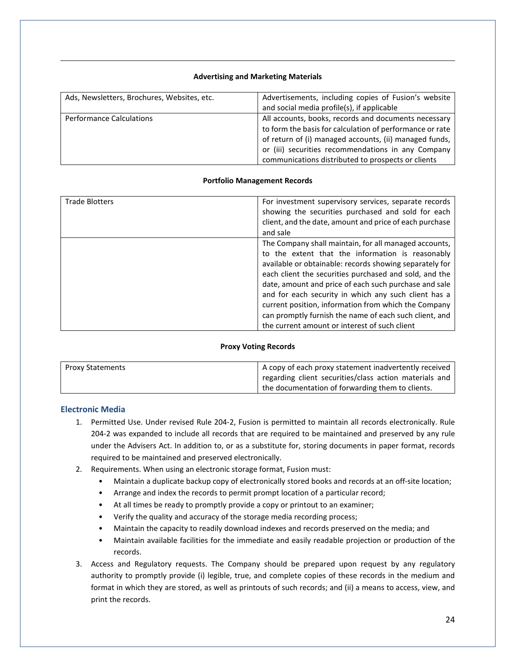# **Advertising and Marketing Materials**

| Ads, Newsletters, Brochures, Websites, etc. | Advertisements, including copies of Fusion's website<br>and social media profile(s), if applicable |
|---------------------------------------------|----------------------------------------------------------------------------------------------------|
|                                             |                                                                                                    |
| <b>Performance Calculations</b>             | All accounts, books, records and documents necessary                                               |
|                                             | to form the basis for calculation of performance or rate                                           |
|                                             | of return of (i) managed accounts, (ii) managed funds,                                             |
|                                             |                                                                                                    |
|                                             | or (iii) securities recommendations in any Company                                                 |
|                                             | communications distributed to prospects or clients                                                 |
|                                             |                                                                                                    |

# **Portfolio Management Records**

| <b>Trade Blotters</b> | For investment supervisory services, separate records<br>showing the securities purchased and sold for each<br>client, and the date, amount and price of each purchase<br>and sale                                                                                                                                                                                                                                                                                                                                 |
|-----------------------|--------------------------------------------------------------------------------------------------------------------------------------------------------------------------------------------------------------------------------------------------------------------------------------------------------------------------------------------------------------------------------------------------------------------------------------------------------------------------------------------------------------------|
|                       | The Company shall maintain, for all managed accounts,<br>to the extent that the information is reasonably<br>available or obtainable: records showing separately for<br>each client the securities purchased and sold, and the<br>date, amount and price of each such purchase and sale<br>and for each security in which any such client has a<br>current position, information from which the Company<br>can promptly furnish the name of each such client, and<br>the current amount or interest of such client |

# **Proxy Voting Records**

| <b>Proxy Statements</b> | A copy of each proxy statement inadvertently received  |
|-------------------------|--------------------------------------------------------|
|                         | regarding client securities/class action materials and |
|                         | the documentation of forwarding them to clients.       |

# **Electronic Media**

- 1. Permitted Use. Under revised Rule 204-2, Fusion is permitted to maintain all records electronically. Rule 204-2 was expanded to include all records that are required to be maintained and preserved by any rule under the Advisers Act. In addition to, or as a substitute for, storing documents in paper format, records required to be maintained and preserved electronically.
- 2. Requirements. When using an electronic storage format, Fusion must:
	- Maintain a duplicate backup copy of electronically stored books and records at an off-site location;
	- Arrange and index the records to permit prompt location of a particular record;
	- At all times be ready to promptly provide a copy or printout to an examiner;
	- Verify the quality and accuracy of the storage media recording process;
	- Maintain the capacity to readily download indexes and records preserved on the media; and
	- Maintain available facilities for the immediate and easily readable projection or production of the records.
- 3. Access and Regulatory requests. The Company should be prepared upon request by any regulatory authority to promptly provide (i) legible, true, and complete copies of these records in the medium and format in which they are stored, as well as printouts of such records; and (ii) a means to access, view, and print the records.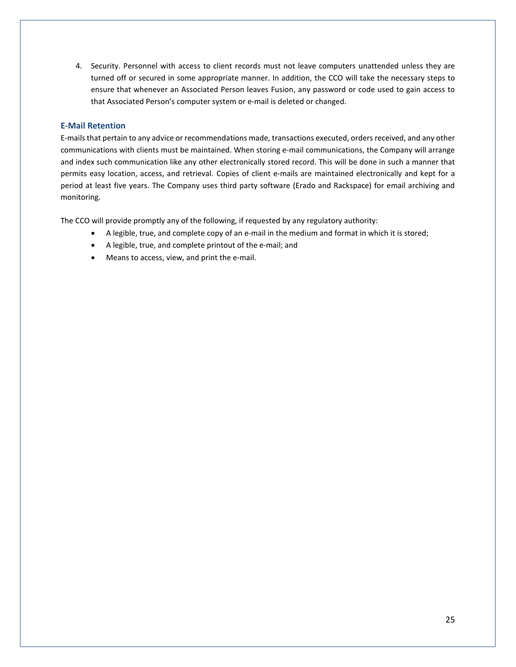4. Security. Personnel with access to client records must not leave computers unattended unless they are turned off or secured in some appropriate manner. In addition, the CCO will take the necessary steps to ensure that whenever an Associated Person leaves Fusion, any password or code used to gain access to that Associated Person's computer system or e-mail is deleted or changed.

# **E-Mail Retention**

E-mails that pertain to any advice or recommendations made, transactions executed, orders received, and any other communications with clients must be maintained. When storing e-mail communications, the Company will arrange and index such communication like any other electronically stored record. This will be done in such a manner that permits easy location, access, and retrieval. Copies of client e-mails are maintained electronically and kept for a period at least five years. The Company uses third party software (Erado and Rackspace) for email archiving and monitoring.

The CCO will provide promptly any of the following, if requested by any regulatory authority:

- A legible, true, and complete copy of an e-mail in the medium and format in which it is stored;
- A legible, true, and complete printout of the e-mail; and
- Means to access, view, and print the e-mail.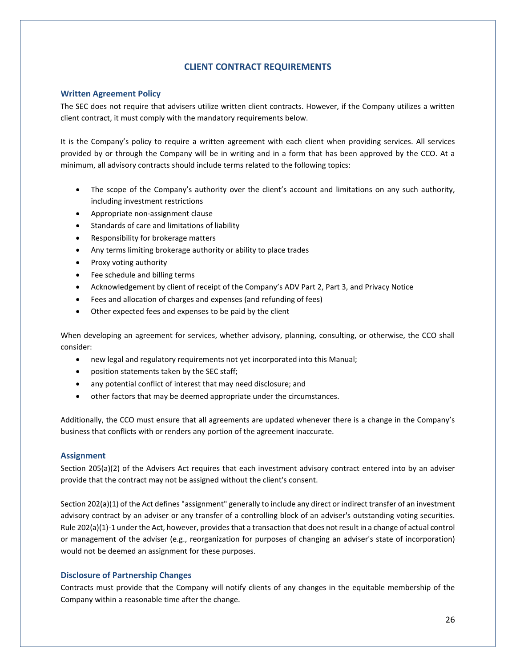# **CLIENT CONTRACT REQUIREMENTS**

### <span id="page-25-0"></span>**Written Agreement Policy**

The SEC does not require that advisers utilize written client contracts. However, if the Company utilizes a written client contract, it must comply with the mandatory requirements below.

It is the Company's policy to require a written agreement with each client when providing services. All services provided by or through the Company will be in writing and in a form that has been approved by the CCO. At a minimum, all advisory contracts should include terms related to the following topics:

- The scope of the Company's authority over the client's account and limitations on any such authority, including investment restrictions
- Appropriate non-assignment clause
- Standards of care and limitations of liability
- Responsibility for brokerage matters
- Any terms limiting brokerage authority or ability to place trades
- Proxy voting authority
- Fee schedule and billing terms
- Acknowledgement by client of receipt of the Company's ADV Part 2, Part 3, and Privacy Notice
- Fees and allocation of charges and expenses (and refunding of fees)
- Other expected fees and expenses to be paid by the client

When developing an agreement for services, whether advisory, planning, consulting, or otherwise, the CCO shall consider:

- new legal and regulatory requirements not yet incorporated into this Manual;
- position statements taken by the SEC staff;
- any potential conflict of interest that may need disclosure; and
- other factors that may be deemed appropriate under the circumstances.

Additionally, the CCO must ensure that all agreements are updated whenever there is a change in the Company's business that conflicts with or renders any portion of the agreement inaccurate.

### **Assignment**

Section 205(a)(2) of the Advisers Act requires that each investment advisory contract entered into by an adviser provide that the contract may not be assigned without the client's consent.

Section 202(a)(1) of the Act defines "assignment" generally to include any direct or indirect transfer of an investment advisory contract by an adviser or any transfer of a controlling block of an adviser's outstanding voting securities. Rule 202(a)(1)-1 under the Act, however, provides that a transaction that does not result in a change of actual control or management of the adviser (e.g., reorganization for purposes of changing an adviser's state of incorporation) would not be deemed an assignment for these purposes.

### **Disclosure of Partnership Changes**

Contracts must provide that the Company will notify clients of any changes in the equitable membership of the Company within a reasonable time after the change.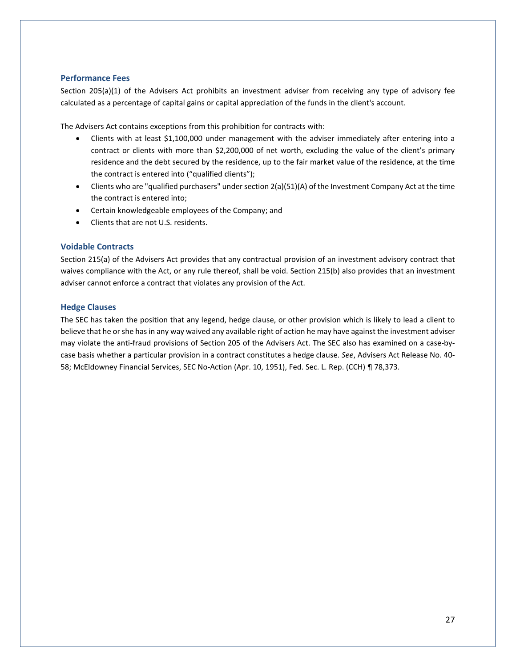# **Performance Fees**

Section 205(a)(1) of the Advisers Act prohibits an investment adviser from receiving any type of advisory fee calculated as a percentage of capital gains or capital appreciation of the funds in the client's account.

The Advisers Act contains exceptions from this prohibition for contracts with:

- Clients with at least \$1,100,000 under management with the adviser immediately after entering into a contract or clients with more than \$2,200,000 of net worth, excluding the value of the client's primary residence and the debt secured by the residence, up to the fair market value of the residence, at the time the contract is entered into ("qualified clients");
- Clients who are "qualified purchasers" under section 2(a)(51)(A) of the Investment Company Act at the time the contract is entered into;
- Certain knowledgeable employees of the Company; and
- Clients that are not U.S. residents.

# **Voidable Contracts**

Section 215(a) of the Advisers Act provides that any contractual provision of an investment advisory contract that waives compliance with the Act, or any rule thereof, shall be void. Section 215(b) also provides that an investment adviser cannot enforce a contract that violates any provision of the Act.

# **Hedge Clauses**

The SEC has taken the position that any legend, hedge clause, or other provision which is likely to lead a client to believe that he or she has in any way waived any available right of action he may have against the investment adviser may violate the anti-fraud provisions of Section 205 of the Advisers Act. The SEC also has examined on a case-bycase basis whether a particular provision in a contract constitutes a hedge clause. *See*, Advisers Act Release No. 40- 58; McEldowney Financial Services, SEC No-Action (Apr. 10, 1951), Fed. Sec. L. Rep. (CCH) ¶ 78,373.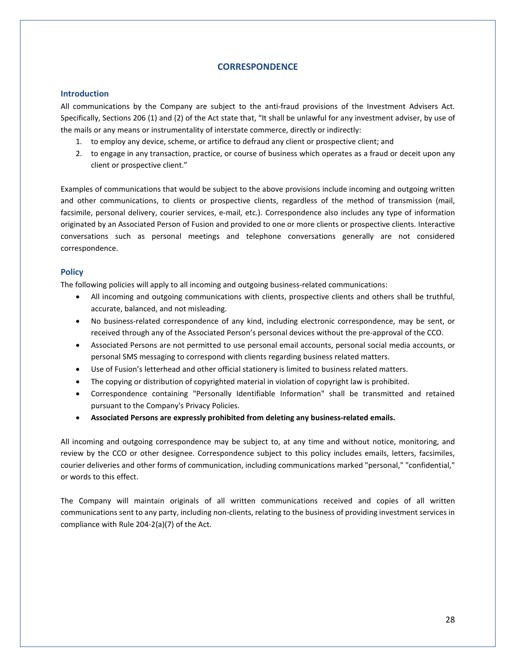# **CORRESPONDENCE**

### <span id="page-27-0"></span>**Introduction**

All communications by the Company are subject to the anti-fraud provisions of the Investment Advisers Act. Specifically, Sections 206 (1) and (2) of the Act state that, "It shall be unlawful for any investment adviser, by use of the mails or any means or instrumentality of interstate commerce, directly or indirectly:

- 1. to employ any device, scheme, or artifice to defraud any client or prospective client; and
- 2. to engage in any transaction, practice, or course of business which operates as a fraud or deceit upon any client or prospective client."

Examples of communications that would be subject to the above provisions include incoming and outgoing written and other communications, to clients or prospective clients, regardless of the method of transmission (mail, facsimile, personal delivery, courier services, e-mail, etc.). Correspondence also includes any type of information originated by an Associated Person of Fusion and provided to one or more clients or prospective clients. Interactive conversations such as personal meetings and telephone conversations generally are not considered correspondence.

# **Policy**

The following policies will apply to all incoming and outgoing business-related communications:

- All incoming and outgoing communications with clients, prospective clients and others shall be truthful, accurate, balanced, and not misleading.
- No business-related correspondence of any kind, including electronic correspondence, may be sent, or received through any of the Associated Person's personal devices without the pre-approval of the CCO.
- Associated Persons are not permitted to use personal email accounts, personal social media accounts, or personal SMS messaging to correspond with clients regarding business related matters.
- Use of Fusion's letterhead and other official stationery is limited to business related matters.
- The copying or distribution of copyrighted material in violation of copyright law is prohibited.
- Correspondence containing "Personally Identifiable Information" shall be transmitted and retained pursuant to the Company's Privacy Policies.
- **Associated Persons are expressly prohibited from deleting any business-related emails.**

All incoming and outgoing correspondence may be subject to, at any time and without notice, monitoring, and review by the CCO or other designee. Correspondence subject to this policy includes emails, letters, facsimiles, courier deliveries and other forms of communication, including communications marked "personal," "confidential," or words to this effect.

The Company will maintain originals of all written communications received and copies of all written communications sent to any party, including non-clients, relating to the business of providing investment services in compliance with Rule 204-2(a)(7) of the Act.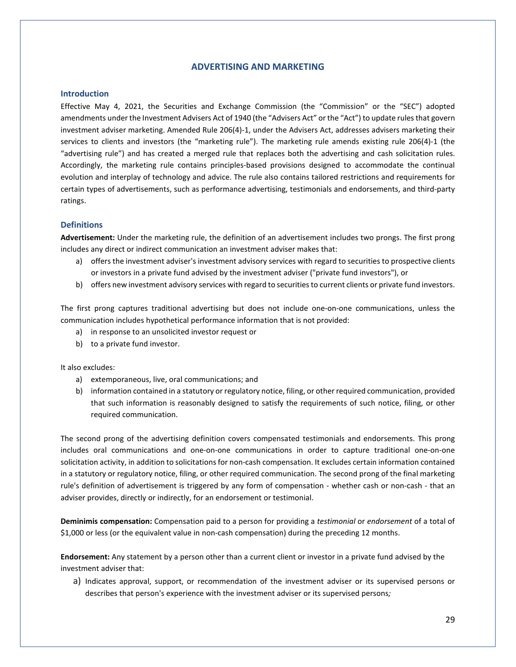# **ADVERTISING AND MARKETING**

#### <span id="page-28-0"></span>**Introduction**

Effective May 4, 2021, the Securities and Exchange Commission (the "Commission" or the "SEC") adopted amendments under the Investment Advisers Act of 1940 (the "Advisers Act" or the "Act") to update rules that govern investment adviser marketing. Amended Rule 206(4)-1, under the Advisers Act, addresses advisers marketing their services to clients and investors (the "marketing rule"). The marketing rule amends existing rule 206(4)-1 (the "advertising rule") and has created a merged rule that replaces both the advertising and cash solicitation rules. Accordingly, the marketing rule contains principles-based provisions designed to accommodate the continual evolution and interplay of technology and advice. The rule also contains tailored restrictions and requirements for certain types of advertisements, such as performance advertising, testimonials and endorsements, and third-party ratings.

### **Definitions**

**Advertisement:** Under the marketing rule, the definition of an advertisement includes two prongs. The first prong includes any direct or indirect communication an investment adviser makes that:

- a) offers the investment adviser's investment advisory services with regard to securities to prospective clients or investors in a private fund advised by the investment adviser ("private fund investors"), or
- b) offers new investment advisory services with regard to securities to current clients or private fund investors.

The first prong captures traditional advertising but does not include one-on-one communications, unless the communication includes hypothetical performance information that is not provided:

- a) in response to an unsolicited investor request or
- b) to a private fund investor.

It also excludes:

- a) extemporaneous, live, oral communications; and
- b) information contained in a statutory or regulatory notice, filing, or other required communication, provided that such information is reasonably designed to satisfy the requirements of such notice, filing, or other required communication.

The second prong of the advertising definition covers compensated testimonials and endorsements. This prong includes oral communications and one-on-one communications in order to capture traditional one-on-one solicitation activity, in addition to solicitations for non-cash compensation. It excludes certain information contained in a statutory or regulatory notice, filing, or other required communication. The second prong of the final marketing rule's definition of advertisement is triggered by any form of compensation - whether cash or non-cash - that an adviser provides, directly or indirectly, for an endorsement or testimonial.

**Deminimis compensation:** Compensation paid to a person for providing a *testimonial* or *endorsement* of a total of \$1,000 or less (or the equivalent value in non-cash compensation) during the preceding 12 months.

**Endorsement:** Any statement by a person other than a current client or investor in a private fund advised by the investment adviser that:

a) Indicates approval, support, or recommendation of the investment adviser or its supervised persons or describes that person's experience with the investment adviser or its supervised persons*;*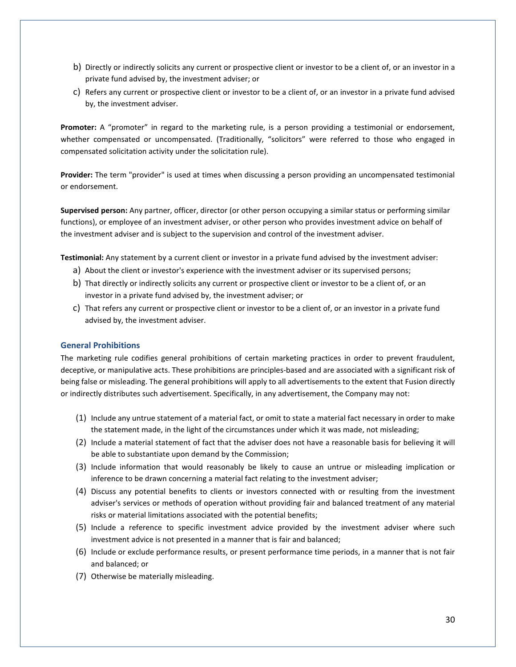- b) Directly or indirectly solicits any current or prospective client or investor to be a client of, or an investor in a private fund advised by, the investment adviser; or
- c) Refers any current or prospective client or investor to be a client of, or an investor in a private fund advised by, the investment adviser.

**Promoter:** A "promoter" in regard to the marketing rule, is a person providing a testimonial or endorsement, whether compensated or uncompensated. (Traditionally, "solicitors" were referred to those who engaged in compensated solicitation activity under the solicitation rule).

**Provider:** The term "provider" is used at times when discussing a person providing an uncompensated testimonial or endorsement.

**Supervised person:** Any partner, officer, director (or other person occupying a similar status or performing similar functions), or employee of an investment adviser, or other person who provides investment advice on behalf of the investment adviser and is subject to the supervision and control of the investment adviser.

**Testimonial:** Any statement by a current client or investor in a private fund advised by the investment adviser:

- a) About the client or investor's experience with the investment adviser or its supervised persons;
- b) That directly or indirectly solicits any current or prospective client or investor to be a client of, or an investor in a private fund advised by, the investment adviser; or
- c) That refers any current or prospective client or investor to be a client of, or an investor in a private fund advised by, the investment adviser.

# **General Prohibitions**

The marketing rule codifies general prohibitions of certain marketing practices in order to prevent fraudulent, deceptive, or manipulative acts. These prohibitions are principles-based and are associated with a significant risk of being false or misleading. The general prohibitions will apply to all advertisements to the extent that Fusion directly or indirectly distributes such advertisement. Specifically, in any advertisement, the Company may not:

- (1) Include any untrue statement of a material fact, or omit to state a material fact necessary in order to make the statement made, in the light of the circumstances under which it was made, not misleading;
- (2) Include a material statement of fact that the adviser does not have a reasonable basis for believing it will be able to substantiate upon demand by the Commission;
- (3) Include information that would reasonably be likely to cause an untrue or misleading implication or inference to be drawn concerning a material fact relating to the investment adviser;
- (4) Discuss any potential benefits to clients or investors connected with or resulting from the investment adviser's services or methods of operation without providing fair and balanced treatment of any material risks or material limitations associated with the potential benefits;
- (5) Include a reference to specific investment advice provided by the investment adviser where such investment advice is not presented in a manner that is fair and balanced;
- (6) Include or exclude performance results, or present performance time periods, in a manner that is not fair and balanced; or
- (7) Otherwise be materially misleading.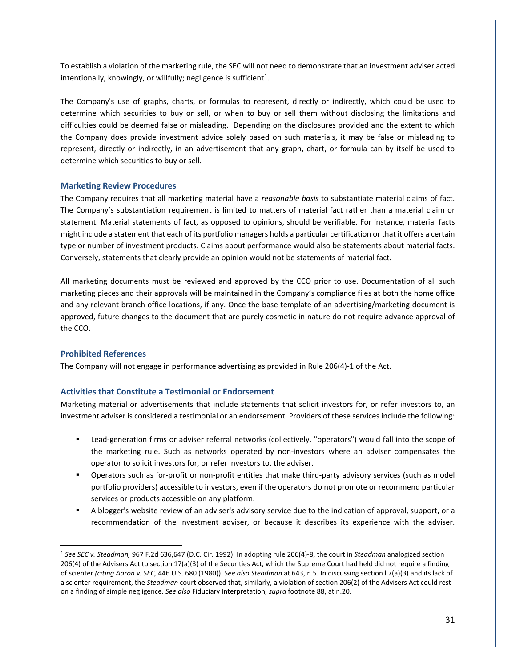To establish a violation of the marketing rule, the SEC will not need to demonstrate that an investment adviser acted intentionally, knowingly, or willfully; negligence is sufficient<sup>[1](#page-30-0)</sup>.

The Company's use of graphs, charts, or formulas to represent, directly or indirectly, which could be used to determine which securities to buy or sell, or when to buy or sell them without disclosing the limitations and difficulties could be deemed false or misleading. Depending on the disclosures provided and the extent to which the Company does provide investment advice solely based on such materials, it may be false or misleading to represent, directly or indirectly, in an advertisement that any graph, chart, or formula can by itself be used to determine which securities to buy or sell.

#### **Marketing Review Procedures**

The Company requires that all marketing material have a *reasonable basis* to substantiate material claims of fact. The Company's substantiation requirement is limited to matters of material fact rather than a material claim or statement. Material statements of fact, as opposed to opinions, should be verifiable. For instance, material facts might include a statement that each of its portfolio managers holds a particular certification or that it offers a certain type or number of investment products. Claims about performance would also be statements about material facts. Conversely, statements that clearly provide an opinion would not be statements of material fact.

All marketing documents must be reviewed and approved by the CCO prior to use. Documentation of all such marketing pieces and their approvals will be maintained in the Company's compliance files at both the home office and any relevant branch office locations, if any. Once the base template of an advertising/marketing document is approved, future changes to the document that are purely cosmetic in nature do not require advance approval of the CCO.

## **Prohibited References**

The Company will not engage in performance advertising as provided in Rule 206(4)-1 of the Act.

#### **Activities that Constitute a Testimonial or Endorsement**

Marketing material or advertisements that include statements that solicit investors for, or refer investors to, an investment adviser is considered a testimonial or an endorsement. Providers of these services include the following:

- Lead-generation firms or adviser referral networks (collectively, "operators") would fall into the scope of the marketing rule. Such as networks operated by non-investors where an adviser compensates the operator to solicit investors for, or refer investors to, the adviser.
- Operators such as for-profit or non-profit entities that make third-party advisory services (such as model portfolio providers) accessible to investors, even if the operators do not promote or recommend particular services or products accessible on any platform.
- A blogger's website review of an adviser's advisory service due to the indication of approval, support, or a recommendation of the investment adviser, or because it describes its experience with the adviser.

<span id="page-30-0"></span><sup>1</sup> *See SEC v. Steadman,* 967 F.2d 636,647 (D.C. Cir. 1992). In adopting rule 206(4)-8, the court in *Steadman* analogized section 206(4) of the Advisers Act to section 17(a)(3) of the Securities Act, which the Supreme Court had held did not require a finding of scienter *(citing Aaron v. SEC,* 446 U.S. 680 (1980)). *See also Steadman* at 643, n.5. In discussing section l 7(a)(3) and its lack of a scienter requirement, the *Steadman* court observed that, similarly, a violation of section 206(2) of the Advisers Act could rest on a finding of simple negligence. *See also* Fiduciary Interpretation, *supra* footnote 88, at n.20.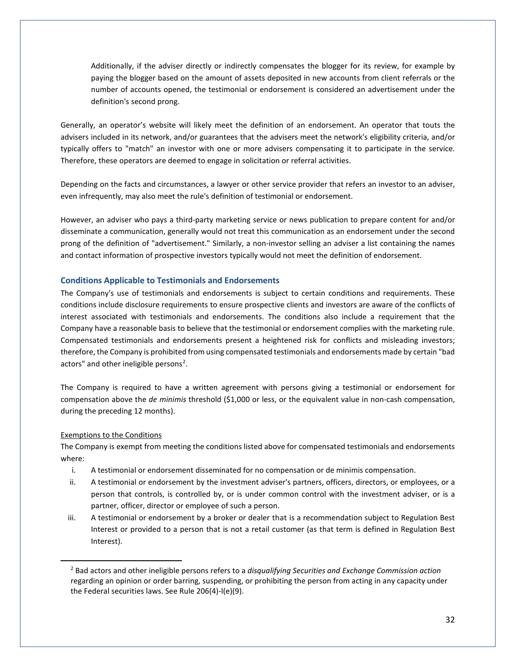Additionally, if the adviser directly or indirectly compensates the blogger for its review, for example by paying the blogger based on the amount of assets deposited in new accounts from client referrals or the number of accounts opened, the testimonial or endorsement is considered an advertisement under the definition's second prong.

Generally, an operator's website will likely meet the definition of an endorsement. An operator that touts the advisers included in its network, and/or guarantees that the advisers meet the network's eligibility criteria, and/or typically offers to "match" an investor with one or more advisers compensating it to participate in the service. Therefore, these operators are deemed to engage in solicitation or referral activities.

Depending on the facts and circumstances, a lawyer or other service provider that refers an investor to an adviser, even infrequently, may also meet the rule's definition of testimonial or endorsement.

However, an adviser who pays a third-party marketing service or news publication to prepare content for and/or disseminate a communication, generally would not treat this communication as an endorsement under the second prong of the definition of "advertisement." Similarly, a non-investor selling an adviser a list containing the names and contact information of prospective investors typically would not meet the definition of endorsement.

### **Conditions Applicable to Testimonials and Endorsements**

The Company's use of testimonials and endorsements is subject to certain conditions and requirements. These conditions include disclosure requirements to ensure prospective clients and investors are aware of the conflicts of interest associated with testimonials and endorsements. The conditions also include a requirement that the Company have a reasonable basis to believe that the testimonial or endorsement complies with the marketing rule. Compensated testimonials and endorsements present a heightened risk for conflicts and misleading investors; therefore, the Company is prohibited from using compensated testimonials and endorsements made by certain "bad actors" and other ineligible persons<sup>[2](#page-31-0)</sup>.

The Company is required to have a written agreement with persons giving a testimonial or endorsement for compensation above the *de minimis* threshold (\$1,000 or less, or the equivalent value in non-cash compensation, during the preceding 12 months).

#### Exemptions to the Conditions

The Company is exempt from meeting the conditions listed above for compensated testimonials and endorsements where:

- i. A testimonial or endorsement disseminated for no compensation or de minimis compensation.
- ii. A testimonial or endorsement by the investment adviser's partners, officers, directors, or employees, or a person that controls, is controlled by, or is under common control with the investment adviser, or is a partner, officer, director or employee of such a person.
- iii. A testimonial or endorsement by a broker or dealer that is a recommendation subject to Regulation Best Interest or provided to a person that is not a retail customer (as that term is defined in Regulation Best Interest).

<span id="page-31-0"></span><sup>2</sup> Bad actors and other ineligible persons refers to a *disqualifying Securities and Exchange Commission action*  regarding an opinion or order barring, suspending, or prohibiting the person from acting in any capacity under the Federal securities laws. See Rule 206(4)-l(e)(9).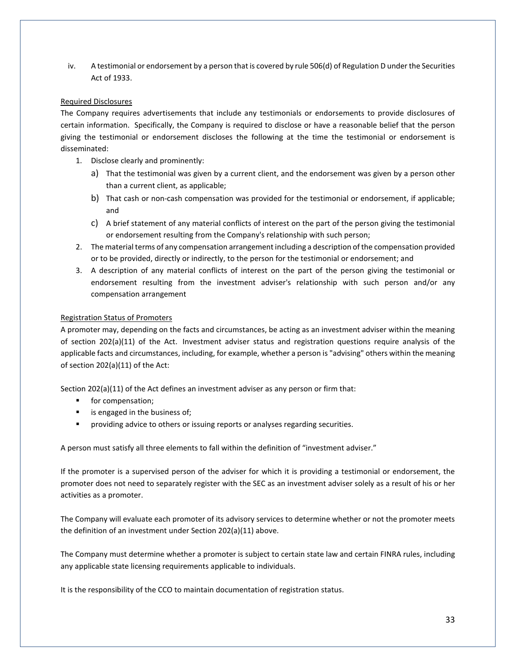iv. A testimonial or endorsement by a person that is covered by rule 506(d) of Regulation D under the Securities Act of 1933.

# Required Disclosures

The Company requires advertisements that include any testimonials or endorsements to provide disclosures of certain information. Specifically, the Company is required to disclose or have a reasonable belief that the person giving the testimonial or endorsement discloses the following at the time the testimonial or endorsement is disseminated:

- 1. Disclose clearly and prominently:
	- a) That the testimonial was given by a current client, and the endorsement was given by a person other than a current client, as applicable;
	- b) That cash or non-cash compensation was provided for the testimonial or endorsement, if applicable; and
	- c) A brief statement of any material conflicts of interest on the part of the person giving the testimonial or endorsement resulting from the Company's relationship with such person;
- 2. The material terms of any compensation arrangement including a description of the compensation provided or to be provided, directly or indirectly, to the person for the testimonial or endorsement; and
- 3. A description of any material conflicts of interest on the part of the person giving the testimonial or endorsement resulting from the investment adviser's relationship with such person and/or any compensation arrangement

# Registration Status of Promoters

A promoter may, depending on the facts and circumstances, be acting as an investment adviser within the meaning of section 202(a)(11) of the Act. Investment adviser status and registration questions require analysis of the applicable facts and circumstances, including, for example, whether a person is "advising" others within the meaning of section 202(a)(11) of the Act:

Section 202(a)(11) of the Act defines an investment adviser as any person or firm that:

- **for compensation;**
- **is engaged in the business of;**
- **Peroviding advice to others or issuing reports or analyses regarding securities.**

A person must satisfy all three elements to fall within the definition of "investment adviser."

If the promoter is a supervised person of the adviser for which it is providing a testimonial or endorsement, the promoter does not need to separately register with the SEC as an investment adviser solely as a result of his or her activities as a promoter.

The Company will evaluate each promoter of its advisory services to determine whether or not the promoter meets the definition of an investment under Section 202(a)(11) above.

The Company must determine whether a promoter is subject to certain state law and certain FINRA rules, including any applicable state licensing requirements applicable to individuals.

It is the responsibility of the CCO to maintain documentation of registration status.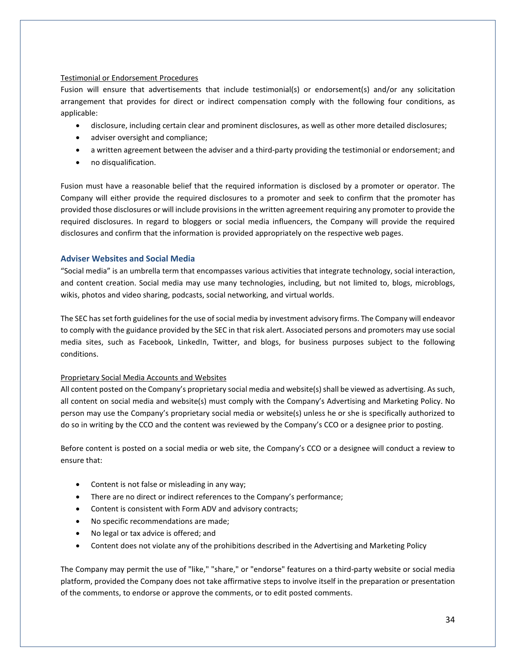# Testimonial or Endorsement Procedures

Fusion will ensure that advertisements that include testimonial(s) or endorsement(s) and/or any solicitation arrangement that provides for direct or indirect compensation comply with the following four conditions, as applicable:

- disclosure, including certain clear and prominent disclosures, as well as other more detailed disclosures;
- adviser oversight and compliance;
- a written agreement between the adviser and a third-party providing the testimonial or endorsement; and
- no disqualification.

Fusion must have a reasonable belief that the required information is disclosed by a promoter or operator. The Company will either provide the required disclosures to a promoter and seek to confirm that the promoter has provided those disclosures or will include provisions in the written agreement requiring any promoter to provide the required disclosures. In regard to bloggers or social media influencers, the Company will provide the required disclosures and confirm that the information is provided appropriately on the respective web pages.

# **Adviser Websites and Social Media**

"Social media" is an umbrella term that encompasses various activities that integrate technology, social interaction, and content creation. Social media may use many technologies, including, but not limited to, blogs, microblogs, wikis, photos and video sharing, podcasts, social networking, and virtual worlds.

The SEC has set forth guidelines for the use of social media by investment advisory firms. The Company will endeavor to comply with the guidance provided by the SEC in that risk alert. Associated persons and promoters may use social media sites, such as Facebook, LinkedIn, Twitter, and blogs, for business purposes subject to the following conditions.

# Proprietary Social Media Accounts and Websites

All content posted on the Company's proprietary social media and website(s) shall be viewed as advertising. As such, all content on social media and website(s) must comply with the Company's Advertising and Marketing Policy. No person may use the Company's proprietary social media or website(s) unless he or she is specifically authorized to do so in writing by the CCO and the content was reviewed by the Company's CCO or a designee prior to posting.

Before content is posted on a social media or web site, the Company's CCO or a designee will conduct a review to ensure that:

- Content is not false or misleading in any way;
- There are no direct or indirect references to the Company's performance;
- Content is consistent with Form ADV and advisory contracts;
- No specific recommendations are made;
- No legal or tax advice is offered; and
- Content does not violate any of the prohibitions described in the Advertising and Marketing Policy

The Company may permit the use of "like," "share," or "endorse" features on a third-party website or social media platform, provided the Company does not take affirmative steps to involve itself in the preparation or presentation of the comments, to endorse or approve the comments, or to edit posted comments.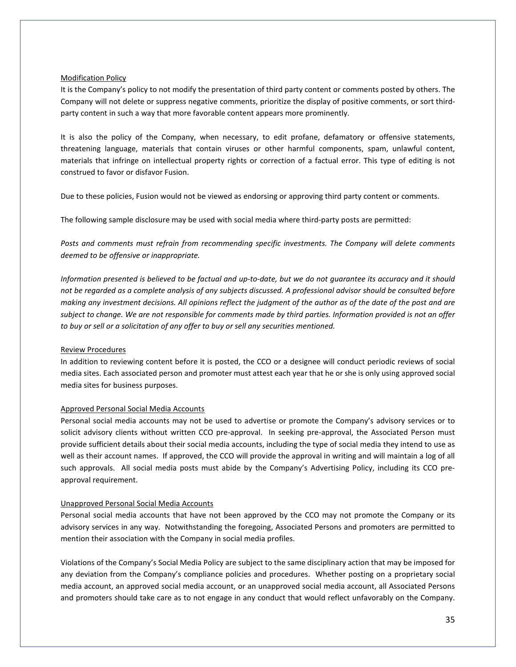### Modification Policy

It is the Company's policy to not modify the presentation of third party content or comments posted by others. The Company will not delete or suppress negative comments, prioritize the display of positive comments, or sort thirdparty content in such a way that more favorable content appears more prominently.

It is also the policy of the Company, when necessary, to edit profane, defamatory or offensive statements, threatening language, materials that contain viruses or other harmful components, spam, unlawful content, materials that infringe on intellectual property rights or correction of a factual error. This type of editing is not construed to favor or disfavor Fusion.

Due to these policies, Fusion would not be viewed as endorsing or approving third party content or comments.

The following sample disclosure may be used with social media where third-party posts are permitted:

*Posts and comments must refrain from recommending specific investments. The Company will delete comments deemed to be offensive or inappropriate.*

*Information presented is believed to be factual and up-to-date, but we do not guarantee its accuracy and it should not be regarded as a complete analysis of any subjects discussed. A professional advisor should be consulted before making any investment decisions. All opinions reflect the judgment of the author as of the date of the post and are subject to change. We are not responsible for comments made by third parties. Information provided is not an offer to buy or sell or a solicitation of any offer to buy or sell any securities mentioned.* 

# Review Procedures

In addition to reviewing content before it is posted, the CCO or a designee will conduct periodic reviews of social media sites. Each associated person and promoter must attest each year that he or she is only using approved social media sites for business purposes.

#### Approved Personal Social Media Accounts

Personal social media accounts may not be used to advertise or promote the Company's advisory services or to solicit advisory clients without written CCO pre-approval. In seeking pre-approval, the Associated Person must provide sufficient details about their social media accounts, including the type of social media they intend to use as well as their account names. If approved, the CCO will provide the approval in writing and will maintain a log of all such approvals. All social media posts must abide by the Company's Advertising Policy, including its CCO preapproval requirement.

#### Unapproved Personal Social Media Accounts

Personal social media accounts that have not been approved by the CCO may not promote the Company or its advisory services in any way. Notwithstanding the foregoing, Associated Persons and promoters are permitted to mention their association with the Company in social media profiles.

Violations of the Company's Social Media Policy are subject to the same disciplinary action that may be imposed for any deviation from the Company's compliance policies and procedures. Whether posting on a proprietary social media account, an approved social media account, or an unapproved social media account, all Associated Persons and promoters should take care as to not engage in any conduct that would reflect unfavorably on the Company.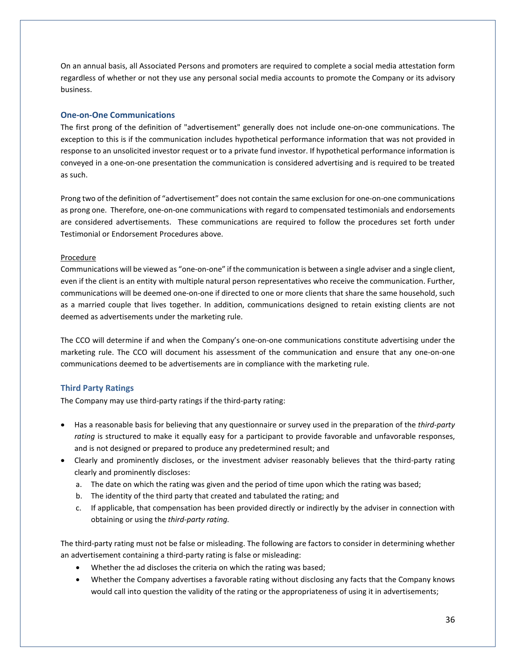On an annual basis, all Associated Persons and promoters are required to complete a social media attestation form regardless of whether or not they use any personal social media accounts to promote the Company or its advisory business.

## **One-on-One Communications**

The first prong of the definition of "advertisement" generally does not include one-on-one communications. The exception to this is if the communication includes hypothetical performance information that was not provided in response to an unsolicited investor request or to a private fund investor. If hypothetical performance information is conveyed in a one-on-one presentation the communication is considered advertising and is required to be treated as such.

Prong two of the definition of "advertisement" does not contain the same exclusion for one-on-one communications as prong one. Therefore, one-on-one communications with regard to compensated testimonials and endorsements are considered advertisements. These communications are required to follow the procedures set forth under Testimonial or Endorsement Procedures above.

#### Procedure

Communications will be viewed as "one-on-one" if the communication is between a single adviser and a single client, even if the client is an entity with multiple natural person representatives who receive the communication. Further, communications will be deemed one-on-one if directed to one or more clients that share the same household, such as a married couple that lives together. In addition, communications designed to retain existing clients are not deemed as advertisements under the marketing rule.

The CCO will determine if and when the Company's one-on-one communications constitute advertising under the marketing rule. The CCO will document his assessment of the communication and ensure that any one-on-one communications deemed to be advertisements are in compliance with the marketing rule.

#### **Third Party Ratings**

The Company may use third-party ratings if the third-party rating:

- Has a reasonable basis for believing that any questionnaire or survey used in the preparation of the *third-party rating* is structured to make it equally easy for a participant to provide favorable and unfavorable responses, and is not designed or prepared to produce any predetermined result; and
- Clearly and prominently discloses, or the investment adviser reasonably believes that the third-party rating clearly and prominently discloses:
	- a. The date on which the rating was given and the period of time upon which the rating was based;
	- b. The identity of the third party that created and tabulated the rating; and
	- c. If applicable, that compensation has been provided directly or indirectly by the adviser in connection with obtaining or using the *third-party rating.*

The third-party rating must not be false or misleading. The following are factors to consider in determining whether an advertisement containing a third-party rating is false or misleading:

- Whether the ad discloses the criteria on which the rating was based;
- Whether the Company advertises a favorable rating without disclosing any facts that the Company knows would call into question the validity of the rating or the appropriateness of using it in advertisements;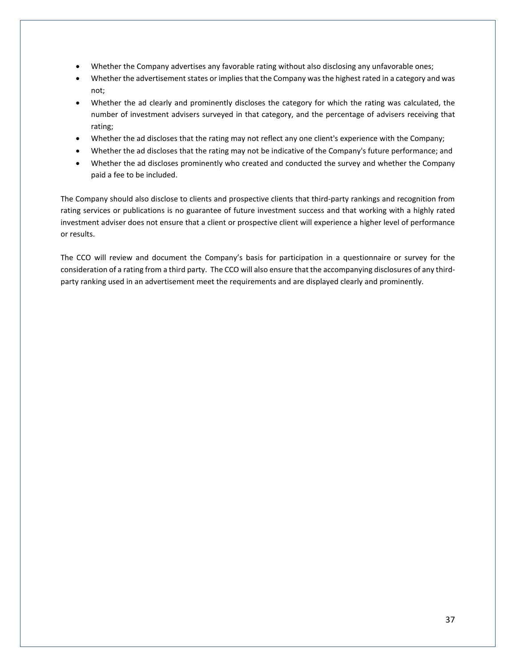- Whether the Company advertises any favorable rating without also disclosing any unfavorable ones;
- Whether the advertisement states or implies that the Company was the highest rated in a category and was not;
- Whether the ad clearly and prominently discloses the category for which the rating was calculated, the number of investment advisers surveyed in that category, and the percentage of advisers receiving that rating;
- Whether the ad discloses that the rating may not reflect any one client's experience with the Company;
- Whether the ad discloses that the rating may not be indicative of the Company's future performance; and
- Whether the ad discloses prominently who created and conducted the survey and whether the Company paid a fee to be included.

The Company should also disclose to clients and prospective clients that third-party rankings and recognition from rating services or publications is no guarantee of future investment success and that working with a highly rated investment adviser does not ensure that a client or prospective client will experience a higher level of performance or results.

The CCO will review and document the Company's basis for participation in a questionnaire or survey for the consideration of a rating from a third party. The CCO will also ensure that the accompanying disclosures of any thirdparty ranking used in an advertisement meet the requirements and are displayed clearly and prominently.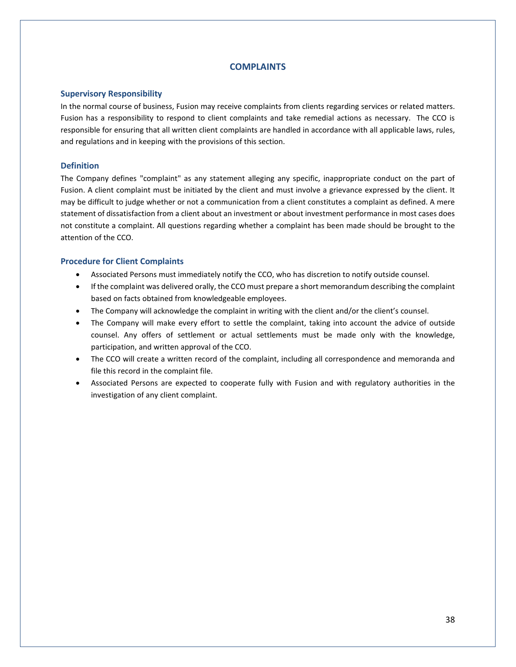# **COMPLAINTS**

#### **Supervisory Responsibility**

In the normal course of business, Fusion may receive complaints from clients regarding services or related matters. Fusion has a responsibility to respond to client complaints and take remedial actions as necessary. The CCO is responsible for ensuring that all written client complaints are handled in accordance with all applicable laws, rules, and regulations and in keeping with the provisions of this section.

### **Definition**

The Company defines "complaint" as any statement alleging any specific, inappropriate conduct on the part of Fusion. A client complaint must be initiated by the client and must involve a grievance expressed by the client. It may be difficult to judge whether or not a communication from a client constitutes a complaint as defined. A mere statement of dissatisfaction from a client about an investment or about investment performance in most cases does not constitute a complaint. All questions regarding whether a complaint has been made should be brought to the attention of the CCO.

### **Procedure for Client Complaints**

- Associated Persons must immediately notify the CCO, who has discretion to notify outside counsel.
- If the complaint was delivered orally, the CCO must prepare a short memorandum describing the complaint based on facts obtained from knowledgeable employees.
- The Company will acknowledge the complaint in writing with the client and/or the client's counsel.
- The Company will make every effort to settle the complaint, taking into account the advice of outside counsel. Any offers of settlement or actual settlements must be made only with the knowledge, participation, and written approval of the CCO.
- The CCO will create a written record of the complaint, including all correspondence and memoranda and file this record in the complaint file.
- Associated Persons are expected to cooperate fully with Fusion and with regulatory authorities in the investigation of any client complaint.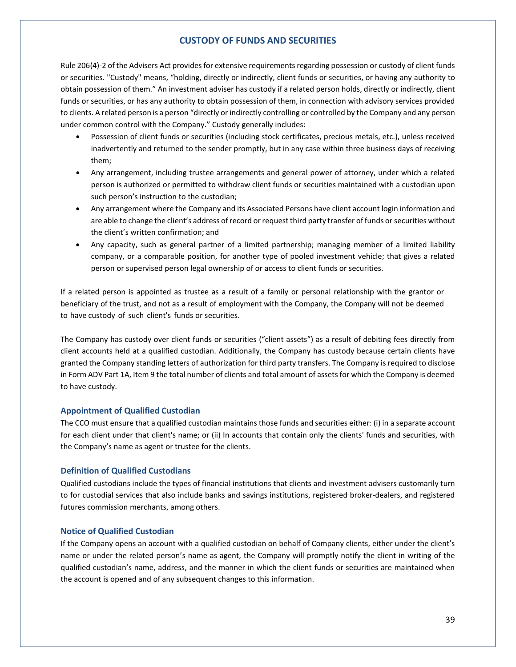## **CUSTODY OF FUNDS AND SECURITIES**

Rule 206(4)-2 of the Advisers Act provides for extensive requirements regarding possession or custody of client funds or securities. "Custody" means, "holding, directly or indirectly, client funds or securities, or having any authority to obtain possession of them." An investment adviser has custody if a related person holds, directly or indirectly, client funds or securities, or has any authority to obtain possession of them, in connection with advisory services provided to clients. A related person is a person "directly or indirectly controlling or controlled by the Company and any person under common control with the Company." Custody generally includes:

- Possession of client funds or securities (including stock certificates, precious metals, etc.), unless received inadvertently and returned to the sender promptly, but in any case within three business days of receiving them;
- Any arrangement, including trustee arrangements and general power of attorney, under which a related person is authorized or permitted to withdraw client funds or securities maintained with a custodian upon such person's instruction to the custodian;
- Any arrangement where the Company and its Associated Persons have client account login information and are able to change the client's address of record or request third party transfer of funds or securities without the client's written confirmation; and
- Any capacity, such as general partner of a limited partnership; managing member of a limited liability company, or a comparable position, for another type of pooled investment vehicle; that gives a related person or supervised person legal ownership of or access to client funds or securities.

If a related person is appointed as trustee as a result of a family or personal relationship with the grantor or beneficiary of the trust, and not as a result of employment with the Company, the Company will not be deemed to have custody of such client's funds or securities.

The Company has custody over client funds or securities ("client assets") as a result of debiting fees directly from client accounts held at a qualified custodian. Additionally, the Company has custody because certain clients have granted the Company standing letters of authorization for third party transfers. The Company is required to disclose in Form ADV Part 1A, Item 9 the total number of clients and total amount of assets for which the Company is deemed to have custody.

#### **Appointment of Qualified Custodian**

The CCO must ensure that a qualified custodian maintains those funds and securities either: (i) in a separate account for each client under that client's name; or (ii) In accounts that contain only the clients' funds and securities, with the Company's name as agent or trustee for the clients.

#### **Definition of Qualified Custodians**

Qualified custodians include the types of financial institutions that clients and investment advisers customarily turn to for custodial services that also include banks and savings institutions, registered broker-dealers, and registered futures commission merchants, among others.

#### **Notice of Qualified Custodian**

If the Company opens an account with a qualified custodian on behalf of Company clients, either under the client's name or under the related person's name as agent, the Company will promptly notify the client in writing of the qualified custodian's name, address, and the manner in which the client funds or securities are maintained when the account is opened and of any subsequent changes to this information.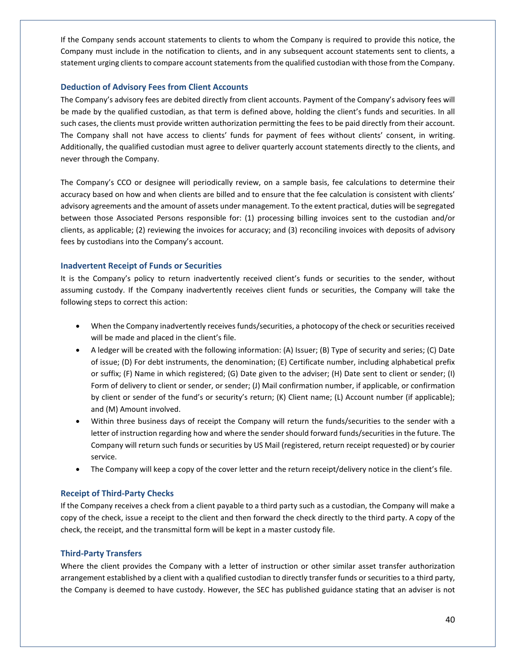If the Company sends account statements to clients to whom the Company is required to provide this notice, the Company must include in the notification to clients, and in any subsequent account statements sent to clients, a statement urging clients to compare account statements from the qualified custodian with those from the Company.

## **Deduction of Advisory Fees from Client Accounts**

The Company's advisory fees are debited directly from client accounts. Payment of the Company's advisory fees will be made by the qualified custodian, as that term is defined above, holding the client's funds and securities. In all such cases, the clients must provide written authorization permitting the fees to be paid directly from their account. The Company shall not have access to clients' funds for payment of fees without clients' consent, in writing. Additionally, the qualified custodian must agree to deliver quarterly account statements directly to the clients, and never through the Company.

The Company's CCO or designee will periodically review, on a sample basis, fee calculations to determine their accuracy based on how and when clients are billed and to ensure that the fee calculation is consistent with clients' advisory agreements and the amount of assets under management. To the extent practical, duties will be segregated between those Associated Persons responsible for: (1) processing billing invoices sent to the custodian and/or clients, as applicable; (2) reviewing the invoices for accuracy; and (3) reconciling invoices with deposits of advisory fees by custodians into the Company's account.

### **Inadvertent Receipt of Funds or Securities**

It is the Company's policy to return inadvertently received client's funds or securities to the sender, without assuming custody. If the Company inadvertently receives client funds or securities, the Company will take the following steps to correct this action:

- When the Company inadvertently receives funds/securities, a photocopy of the check or securities received will be made and placed in the client's file.
- A ledger will be created with the following information: (A) Issuer; (B) Type of security and series; (C) Date of issue; (D) For debt instruments, the denomination; (E) Certificate number, including alphabetical prefix or suffix; (F) Name in which registered; (G) Date given to the adviser; (H) Date sent to client or sender; (I) Form of delivery to client or sender, or sender; (J) Mail confirmation number, if applicable, or confirmation by client or sender of the fund's or security's return; (K) Client name; (L) Account number (if applicable); and (M) Amount involved.
- Within three business days of receipt the Company will return the funds/securities to the sender with a letter of instruction regarding how and where the sender should forward funds/securities in the future. The Company will return such funds or securities by US Mail (registered, return receipt requested) or by courier service.
- The Company will keep a copy of the cover letter and the return receipt/delivery notice in the client's file.

# **Receipt of Third-Party Checks**

If the Company receives a check from a client payable to a third party such as a custodian, the Company will make a copy of the check, issue a receipt to the client and then forward the check directly to the third party. A copy of the check, the receipt, and the transmittal form will be kept in a master custody file.

# **Third-Party Transfers**

Where the client provides the Company with a letter of instruction or other similar asset transfer authorization arrangement established by a client with a qualified custodian to directly transfer funds or securities to a third party, the Company is deemed to have custody. However, the SEC has published guidance stating that an adviser is not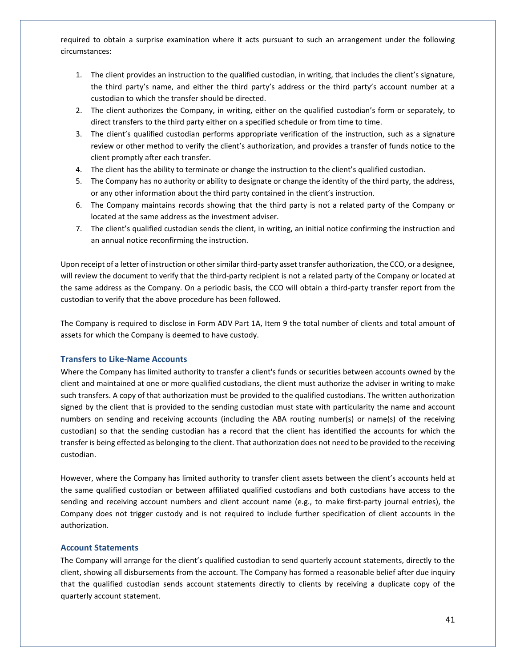required to obtain a surprise examination where it acts pursuant to such an arrangement under the following circumstances:

- 1. The client provides an instruction to the qualified custodian, in writing, that includes the client's signature, the third party's name, and either the third party's address or the third party's account number at a custodian to which the transfer should be directed.
- 2. The client authorizes the Company, in writing, either on the qualified custodian's form or separately, to direct transfers to the third party either on a specified schedule or from time to time.
- 3. The client's qualified custodian performs appropriate verification of the instruction, such as a signature review or other method to verify the client's authorization, and provides a transfer of funds notice to the client promptly after each transfer.
- 4. The client has the ability to terminate or change the instruction to the client's qualified custodian.
- 5. The Company has no authority or ability to designate or change the identity of the third party, the address, or any other information about the third party contained in the client's instruction.
- 6. The Company maintains records showing that the third party is not a related party of the Company or located at the same address as the investment adviser.
- 7. The client's qualified custodian sends the client, in writing, an initial notice confirming the instruction and an annual notice reconfirming the instruction.

Upon receipt of a letter of instruction or other similar third-party asset transfer authorization, the CCO, or a designee, will review the document to verify that the third-party recipient is not a related party of the Company or located at the same address as the Company. On a periodic basis, the CCO will obtain a third-party transfer report from the custodian to verify that the above procedure has been followed.

The Company is required to disclose in Form ADV Part 1A, Item 9 the total number of clients and total amount of assets for which the Company is deemed to have custody.

# **Transfers to Like-Name Accounts**

Where the Company has limited authority to transfer a client's funds or securities between accounts owned by the client and maintained at one or more qualified custodians, the client must authorize the adviser in writing to make such transfers. A copy of that authorization must be provided to the qualified custodians. The written authorization signed by the client that is provided to the sending custodian must state with particularity the name and account numbers on sending and receiving accounts (including the ABA routing number(s) or name(s) of the receiving custodian) so that the sending custodian has a record that the client has identified the accounts for which the transfer is being effected as belonging to the client. That authorization does not need to be provided to the receiving custodian.

However, where the Company has limited authority to transfer client assets between the client's accounts held at the same qualified custodian or between affiliated qualified custodians and both custodians have access to the sending and receiving account numbers and client account name (e.g., to make first-party journal entries), the Company does not trigger custody and is not required to include further specification of client accounts in the authorization.

### **Account Statements**

The Company will arrange for the client's qualified custodian to send quarterly account statements, directly to the client, showing all disbursements from the account. The Company has formed a reasonable belief after due inquiry that the qualified custodian sends account statements directly to clients by receiving a duplicate copy of the quarterly account statement.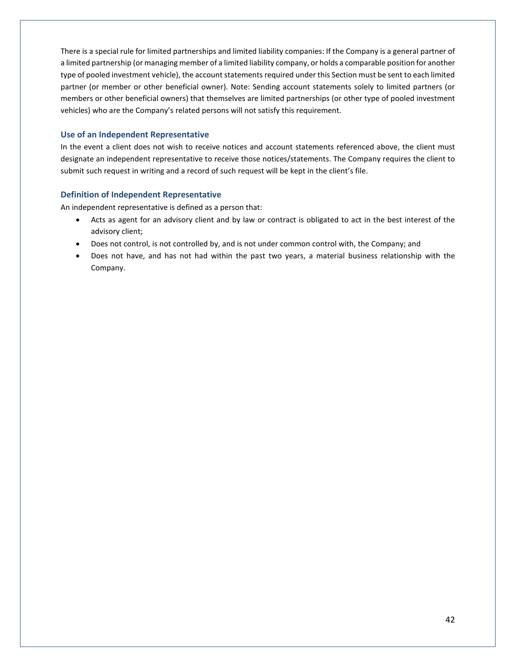There is a special rule for limited partnerships and limited liability companies: If the Company is a general partner of a limited partnership (or managing member of a limited liability company, or holds a comparable position for another type of pooled investment vehicle), the account statements required under this Section must be sent to each limited partner (or member or other beneficial owner). Note: Sending account statements solely to limited partners (or members or other beneficial owners) that themselves are limited partnerships (or other type of pooled investment vehicles) who are the Company's related persons will not satisfy this requirement.

### **Use of an Independent Representative**

In the event a client does not wish to receive notices and account statements referenced above, the client must designate an independent representative to receive those notices/statements. The Company requires the client to submit such request in writing and a record of such request will be kept in the client's file.

### **Definition of Independent Representative**

An independent representative is defined as a person that:

- Acts as agent for an advisory client and by law or contract is obligated to act in the best interest of the advisory client;
- Does not control, is not controlled by, and is not under common control with, the Company; and
- Does not have, and has not had within the past two years, a material business relationship with the Company.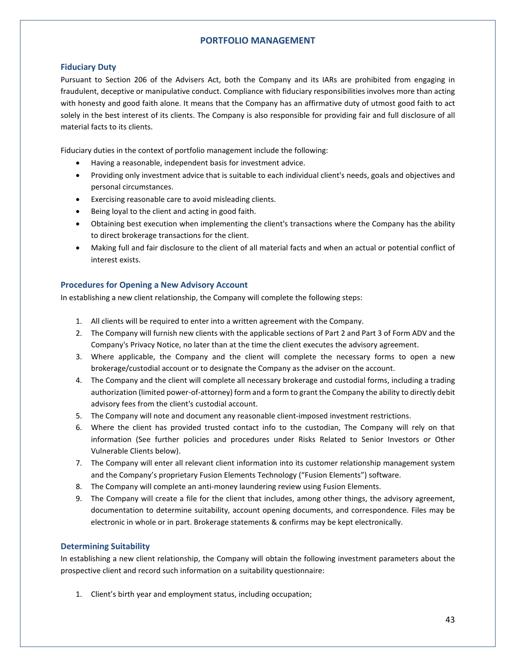# **PORTFOLIO MANAGEMENT**

# **Fiduciary Duty**

Pursuant to Section 206 of the Advisers Act, both the Company and its IARs are prohibited from engaging in fraudulent, deceptive or manipulative conduct. Compliance with fiduciary responsibilities involves more than acting with honesty and good faith alone. It means that the Company has an affirmative duty of utmost good faith to act solely in the best interest of its clients. The Company is also responsible for providing fair and full disclosure of all material facts to its clients.

Fiduciary duties in the context of portfolio management include the following:

- Having a reasonable, independent basis for investment advice.
- Providing only investment advice that is suitable to each individual client's needs, goals and objectives and personal circumstances.
- Exercising reasonable care to avoid misleading clients.
- Being loyal to the client and acting in good faith.
- Obtaining best execution when implementing the client's transactions where the Company has the ability to direct brokerage transactions for the client.
- Making full and fair disclosure to the client of all material facts and when an actual or potential conflict of interest exists.

# **Procedures for Opening a New Advisory Account**

In establishing a new client relationship, the Company will complete the following steps:

- 1. All clients will be required to enter into a written agreement with the Company.
- 2. The Company will furnish new clients with the applicable sections of Part 2 and Part 3 of Form ADV and the Company's Privacy Notice, no later than at the time the client executes the advisory agreement.
- 3. Where applicable, the Company and the client will complete the necessary forms to open a new brokerage/custodial account or to designate the Company as the adviser on the account.
- 4. The Company and the client will complete all necessary brokerage and custodial forms, including a trading authorization (limited power-of-attorney) form and a form to grant the Company the ability to directly debit advisory fees from the client's custodial account.
- 5. The Company will note and document any reasonable client-imposed investment restrictions.
- 6. Where the client has provided trusted contact info to the custodian, The Company will rely on that information (See further policies and procedures under Risks Related to Senior Investors or Other Vulnerable Clients below).
- 7. The Company will enter all relevant client information into its customer relationship management system and the Company's proprietary Fusion Elements Technology ("Fusion Elements") software.
- 8. The Company will complete an anti-money laundering review using Fusion Elements.
- 9. The Company will create a file for the client that includes, among other things, the advisory agreement, documentation to determine suitability, account opening documents, and correspondence. Files may be electronic in whole or in part. Brokerage statements & confirms may be kept electronically.

# **Determining Suitability**

In establishing a new client relationship, the Company will obtain the following investment parameters about the prospective client and record such information on a suitability questionnaire:

1. Client's birth year and employment status, including occupation;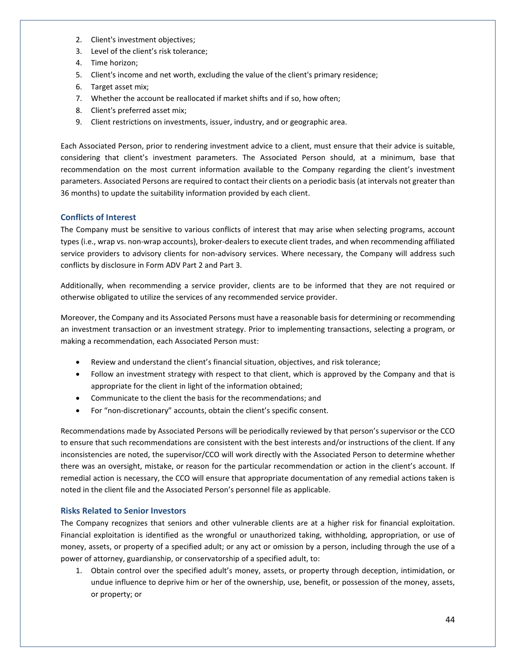- 2. Client's investment objectives;
- 3. Level of the client's risk tolerance;
- 4. Time horizon;
- 5. Client's income and net worth, excluding the value of the client's primary residence;
- 6. Target asset mix;
- 7. Whether the account be reallocated if market shifts and if so, how often;
- 8. Client's preferred asset mix;
- 9. Client restrictions on investments, issuer, industry, and or geographic area.

Each Associated Person, prior to rendering investment advice to a client, must ensure that their advice is suitable, considering that client's investment parameters. The Associated Person should, at a minimum, base that recommendation on the most current information available to the Company regarding the client's investment parameters. Associated Persons are required to contact their clients on a periodic basis (at intervals not greater than 36 months) to update the suitability information provided by each client.

# **Conflicts of Interest**

The Company must be sensitive to various conflicts of interest that may arise when selecting programs, account types (i.e., wrap vs. non-wrap accounts), broker-dealers to execute client trades, and when recommending affiliated service providers to advisory clients for non-advisory services. Where necessary, the Company will address such conflicts by disclosure in Form ADV Part 2 and Part 3.

Additionally, when recommending a service provider, clients are to be informed that they are not required or otherwise obligated to utilize the services of any recommended service provider.

Moreover, the Company and its Associated Persons must have a reasonable basis for determining or recommending an investment transaction or an investment strategy. Prior to implementing transactions, selecting a program, or making a recommendation, each Associated Person must:

- Review and understand the client's financial situation, objectives, and risk tolerance;
- Follow an investment strategy with respect to that client, which is approved by the Company and that is appropriate for the client in light of the information obtained;
- Communicate to the client the basis for the recommendations; and
- For "non-discretionary" accounts, obtain the client's specific consent.

Recommendations made by Associated Persons will be periodically reviewed by that person's supervisor or the CCO to ensure that such recommendations are consistent with the best interests and/or instructions of the client. If any inconsistencies are noted, the supervisor/CCO will work directly with the Associated Person to determine whether there was an oversight, mistake, or reason for the particular recommendation or action in the client's account. If remedial action is necessary, the CCO will ensure that appropriate documentation of any remedial actions taken is noted in the client file and the Associated Person's personnel file as applicable.

# **Risks Related to Senior Investors**

The Company recognizes that seniors and other vulnerable clients are at a higher risk for financial exploitation. Financial exploitation is identified as the wrongful or unauthorized taking, withholding, appropriation, or use of money, assets, or property of a specified adult; or any act or omission by a person, including through the use of a power of attorney, guardianship, or conservatorship of a specified adult, to:

1. Obtain control over the specified adult's money, assets, or property through deception, intimidation, or undue influence to deprive him or her of the ownership, use, benefit, or possession of the money, assets, or property; or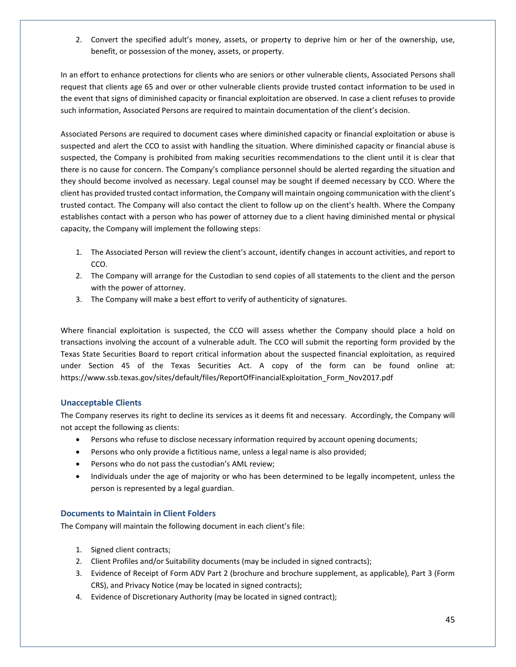2. Convert the specified adult's money, assets, or property to deprive him or her of the ownership, use, benefit, or possession of the money, assets, or property.

In an effort to enhance protections for clients who are seniors or other vulnerable clients, Associated Persons shall request that clients age 65 and over or other vulnerable clients provide trusted contact information to be used in the event that signs of diminished capacity or financial exploitation are observed. In case a client refuses to provide such information, Associated Persons are required to maintain documentation of the client's decision.

Associated Persons are required to document cases where diminished capacity or financial exploitation or abuse is suspected and alert the CCO to assist with handling the situation. Where diminished capacity or financial abuse is suspected, the Company is prohibited from making securities recommendations to the client until it is clear that there is no cause for concern. The Company's compliance personnel should be alerted regarding the situation and they should become involved as necessary. Legal counsel may be sought if deemed necessary by CCO. Where the client has provided trusted contact information, the Company will maintain ongoing communication with the client's trusted contact. The Company will also contact the client to follow up on the client's health. Where the Company establishes contact with a person who has power of attorney due to a client having diminished mental or physical capacity, the Company will implement the following steps:

- 1. The Associated Person will review the client's account, identify changes in account activities, and report to CCO.
- 2. The Company will arrange for the Custodian to send copies of all statements to the client and the person with the power of attorney.
- 3. The Company will make a best effort to verify of authenticity of signatures.

Where financial exploitation is suspected, the CCO will assess whether the Company should place a hold on transactions involving the account of a vulnerable adult. The CCO will submit the reporting form provided by the Texas State Securities Board to report critical information about the suspected financial exploitation, as required under Section 45 of the Texas Securities Act. A copy of the form can be found online at: [https://www.ssb.texas.gov/sites/default/files/ReportOfFinancialExploitation\\_Form\\_Nov2017.pdf](https://www.ssb.texas.gov/sites/default/files/ReportOfFinancialExploitation_Form_Nov2017.pdf)

# **Unacceptable Clients**

The Company reserves its right to decline its services as it deems fit and necessary. Accordingly, the Company will not accept the following as clients:

- Persons who refuse to disclose necessary information required by account opening documents;
- Persons who only provide a fictitious name, unless a legal name is also provided;
- Persons who do not pass the custodian's AML review;
- Individuals under the age of majority or who has been determined to be legally incompetent, unless the person is represented by a legal guardian.

# **Documents to Maintain in Client Folders**

The Company will maintain the following document in each client's file:

- 1. Signed client contracts;
- 2. Client Profiles and/or Suitability documents (may be included in signed contracts);
- 3. Evidence of Receipt of Form ADV Part 2 (brochure and brochure supplement, as applicable), Part 3 (Form CRS), and Privacy Notice (may be located in signed contracts);
- 4. Evidence of Discretionary Authority (may be located in signed contract);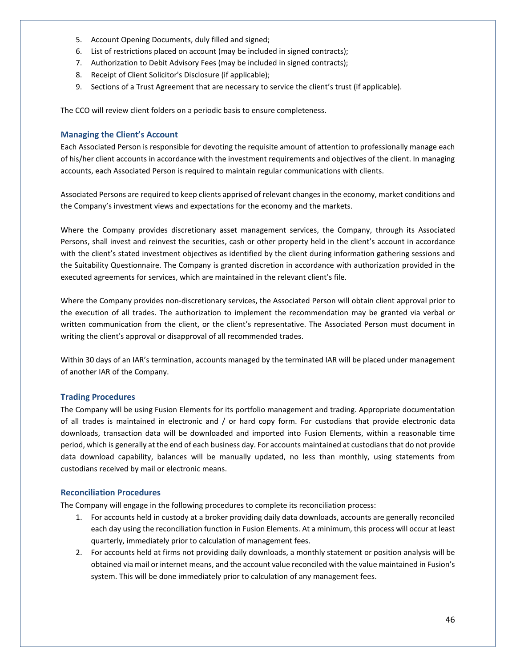- 5. Account Opening Documents, duly filled and signed;
- 6. List of restrictions placed on account (may be included in signed contracts);
- 7. Authorization to Debit Advisory Fees (may be included in signed contracts);
- 8. Receipt of Client Solicitor's Disclosure (if applicable);
- 9. Sections of a Trust Agreement that are necessary to service the client's trust (if applicable).

The CCO will review client folders on a periodic basis to ensure completeness.

## **Managing the Client's Account**

Each Associated Person is responsible for devoting the requisite amount of attention to professionally manage each of his/her client accounts in accordance with the investment requirements and objectives of the client. In managing accounts, each Associated Person is required to maintain regular communications with clients.

Associated Persons are required to keep clients apprised of relevant changes in the economy, market conditions and the Company's investment views and expectations for the economy and the markets.

Where the Company provides discretionary asset management services, the Company, through its Associated Persons, shall invest and reinvest the securities, cash or other property held in the client's account in accordance with the client's stated investment objectives as identified by the client during information gathering sessions and the Suitability Questionnaire. The Company is granted discretion in accordance with authorization provided in the executed agreements for services, which are maintained in the relevant client's file.

Where the Company provides non-discretionary services, the Associated Person will obtain client approval prior to the execution of all trades. The authorization to implement the recommendation may be granted via verbal or written communication from the client, or the client's representative. The Associated Person must document in writing the client's approval or disapproval of all recommended trades.

Within 30 days of an IAR's termination, accounts managed by the terminated IAR will be placed under management of another IAR of the Company.

# **Trading Procedures**

The Company will be using Fusion Elements for its portfolio management and trading. Appropriate documentation of all trades is maintained in electronic and / or hard copy form. For custodians that provide electronic data downloads, transaction data will be downloaded and imported into Fusion Elements, within a reasonable time period, which is generally at the end of each business day. For accounts maintained at custodians that do not provide data download capability, balances will be manually updated, no less than monthly, using statements from custodians received by mail or electronic means.

#### **Reconciliation Procedures**

The Company will engage in the following procedures to complete its reconciliation process:

- 1. For accounts held in custody at a broker providing daily data downloads, accounts are generally reconciled each day using the reconciliation function in Fusion Elements. At a minimum, this process will occur at least quarterly, immediately prior to calculation of management fees.
- 2. For accounts held at firms not providing daily downloads, a monthly statement or position analysis will be obtained via mail or internet means, and the account value reconciled with the value maintained in Fusion's system. This will be done immediately prior to calculation of any management fees.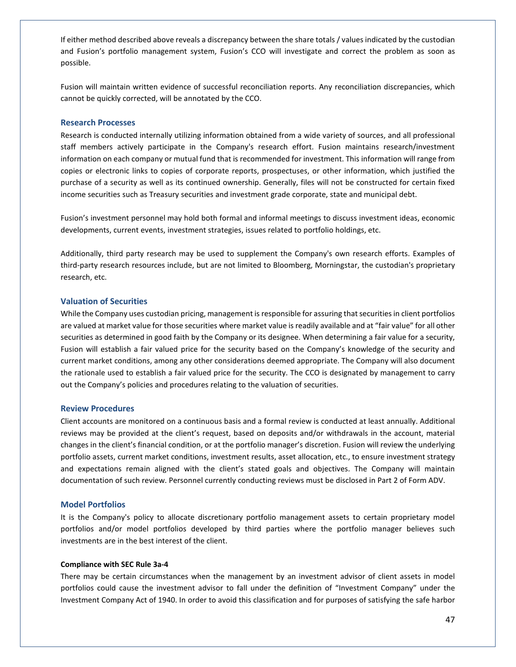If either method described above reveals a discrepancy between the share totals / values indicated by the custodian and Fusion's portfolio management system, Fusion's CCO will investigate and correct the problem as soon as possible.

Fusion will maintain written evidence of successful reconciliation reports. Any reconciliation discrepancies, which cannot be quickly corrected, will be annotated by the CCO.

#### **Research Processes**

Research is conducted internally utilizing information obtained from a wide variety of sources, and all professional staff members actively participate in the Company's research effort. Fusion maintains research/investment information on each company or mutual fund that is recommended for investment. This information will range from copies or electronic links to copies of corporate reports, prospectuses, or other information, which justified the purchase of a security as well as its continued ownership. Generally, files will not be constructed for certain fixed income securities such as Treasury securities and investment grade corporate, state and municipal debt.

Fusion's investment personnel may hold both formal and informal meetings to discuss investment ideas, economic developments, current events, investment strategies, issues related to portfolio holdings, etc.

Additionally, third party research may be used to supplement the Company's own research efforts. Examples of third-party research resources include, but are not limited to Bloomberg, Morningstar, the custodian's proprietary research, etc.

#### **Valuation of Securities**

While the Company uses custodian pricing, management is responsible for assuring that securities in client portfolios are valued at market value for those securities where market value is readily available and at "fair value" for all other securities as determined in good faith by the Company or its designee. When determining a fair value for a security, Fusion will establish a fair valued price for the security based on the Company's knowledge of the security and current market conditions, among any other considerations deemed appropriate. The Company will also document the rationale used to establish a fair valued price for the security. The CCO is designated by management to carry out the Company's policies and procedures relating to the valuation of securities.

#### **Review Procedures**

Client accounts are monitored on a continuous basis and a formal review is conducted at least annually. Additional reviews may be provided at the client's request, based on deposits and/or withdrawals in the account, material changes in the client's financial condition, or at the portfolio manager's discretion. Fusion will review the underlying portfolio assets, current market conditions, investment results, asset allocation, etc., to ensure investment strategy and expectations remain aligned with the client's stated goals and objectives. The Company will maintain documentation of such review. Personnel currently conducting reviews must be disclosed in Part 2 of Form ADV.

#### **Model Portfolios**

It is the Company's policy to allocate discretionary portfolio management assets to certain proprietary model portfolios and/or model portfolios developed by third parties where the portfolio manager believes such investments are in the best interest of the client.

#### **Compliance with SEC Rule 3a-4**

There may be certain circumstances when the management by an investment advisor of client assets in model portfolios could cause the investment advisor to fall under the definition of "Investment Company" under the Investment Company Act of 1940. In order to avoid this classification and for purposes of satisfying the safe harbor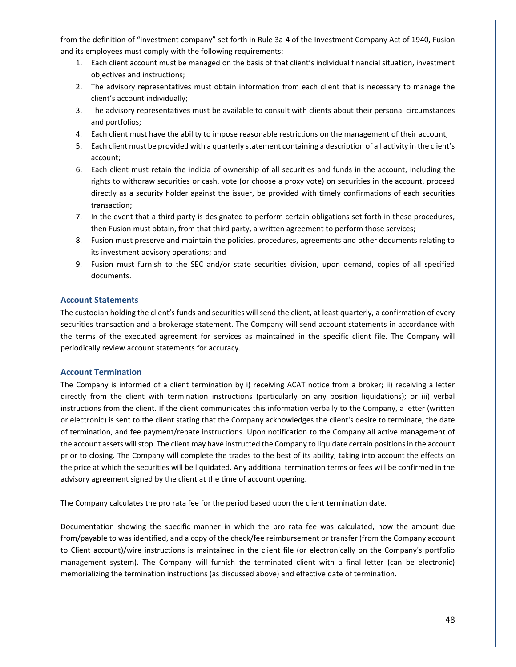from the definition of "investment company" set forth in Rule 3a-4 of the Investment Company Act of 1940, Fusion and its employees must comply with the following requirements:

- 1. Each client account must be managed on the basis of that client's individual financial situation, investment objectives and instructions;
- 2. The advisory representatives must obtain information from each client that is necessary to manage the client's account individually;
- 3. The advisory representatives must be available to consult with clients about their personal circumstances and portfolios;
- 4. Each client must have the ability to impose reasonable restrictions on the management of their account;
- 5. Each client must be provided with a quarterly statement containing a description of all activity in the client's account;
- 6. Each client must retain the indicia of ownership of all securities and funds in the account, including the rights to withdraw securities or cash, vote (or choose a proxy vote) on securities in the account, proceed directly as a security holder against the issuer, be provided with timely confirmations of each securities transaction;
- 7. In the event that a third party is designated to perform certain obligations set forth in these procedures, then Fusion must obtain, from that third party, a written agreement to perform those services;
- 8. Fusion must preserve and maintain the policies, procedures, agreements and other documents relating to its investment advisory operations; and
- 9. Fusion must furnish to the SEC and/or state securities division, upon demand, copies of all specified documents.

## **Account Statements**

The custodian holding the client's funds and securities will send the client, at least quarterly, a confirmation of every securities transaction and a brokerage statement. The Company will send account statements in accordance with the terms of the executed agreement for services as maintained in the specific client file. The Company will periodically review account statements for accuracy.

#### **Account Termination**

The Company is informed of a client termination by i) receiving ACAT notice from a broker; ii) receiving a letter directly from the client with termination instructions (particularly on any position liquidations); or iii) verbal instructions from the client. If the client communicates this information verbally to the Company, a letter (written or electronic) is sent to the client stating that the Company acknowledges the client's desire to terminate, the date of termination, and fee payment/rebate instructions. Upon notification to the Company all active management of the account assets will stop. The client may have instructed the Company to liquidate certain positions in the account prior to closing. The Company will complete the trades to the best of its ability, taking into account the effects on the price at which the securities will be liquidated. Any additional termination terms or fees will be confirmed in the advisory agreement signed by the client at the time of account opening.

The Company calculates the pro rata fee for the period based upon the client termination date.

Documentation showing the specific manner in which the pro rata fee was calculated, how the amount due from/payable to was identified, and a copy of the check/fee reimbursement or transfer (from the Company account to Client account)/wire instructions is maintained in the client file (or electronically on the Company's portfolio management system). The Company will furnish the terminated client with a final letter (can be electronic) memorializing the termination instructions (as discussed above) and effective date of termination.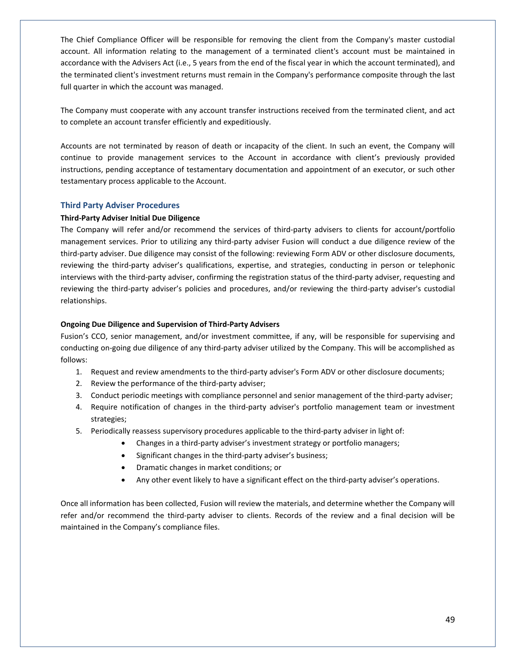The Chief Compliance Officer will be responsible for removing the client from the Company's master custodial account. All information relating to the management of a terminated client's account must be maintained in accordance with the Advisers Act (i.e., 5 years from the end of the fiscal year in which the account terminated), and the terminated client's investment returns must remain in the Company's performance composite through the last full quarter in which the account was managed.

The Company must cooperate with any account transfer instructions received from the terminated client, and act to complete an account transfer efficiently and expeditiously.

Accounts are not terminated by reason of death or incapacity of the client. In such an event, the Company will continue to provide management services to the Account in accordance with client's previously provided instructions, pending acceptance of testamentary documentation and appointment of an executor, or such other testamentary process applicable to the Account.

# **Third Party Adviser Procedures**

#### **Third-Party Adviser Initial Due Diligence**

The Company will refer and/or recommend the services of third-party advisers to clients for account/portfolio management services. Prior to utilizing any third-party adviser Fusion will conduct a due diligence review of the third-party adviser. Due diligence may consist of the following: reviewing Form ADV or other disclosure documents, reviewing the third-party adviser's qualifications, expertise, and strategies, conducting in person or telephonic interviews with the third-party adviser, confirming the registration status of the third-party adviser, requesting and reviewing the third-party adviser's policies and procedures, and/or reviewing the third-party adviser's custodial relationships.

#### **Ongoing Due Diligence and Supervision of Third-Party Advisers**

Fusion's CCO, senior management, and/or investment committee, if any, will be responsible for supervising and conducting on-going due diligence of any third-party adviser utilized by the Company. This will be accomplished as follows:

- 1. Request and review amendments to the third-party adviser's Form ADV or other disclosure documents;
- 2. Review the performance of the third-party adviser;
- 3. Conduct periodic meetings with compliance personnel and senior management of the third-party adviser;
- 4. Require notification of changes in the third-party adviser's portfolio management team or investment strategies;
- 5. Periodically reassess supervisory procedures applicable to the third-party adviser in light of:
	- Changes in a third-party adviser's investment strategy or portfolio managers;
		- Significant changes in the third-party adviser's business;
		- Dramatic changes in market conditions; or
		- Any other event likely to have a significant effect on the third-party adviser's operations.

Once all information has been collected, Fusion will review the materials, and determine whether the Company will refer and/or recommend the third-party adviser to clients. Records of the review and a final decision will be maintained in the Company's compliance files.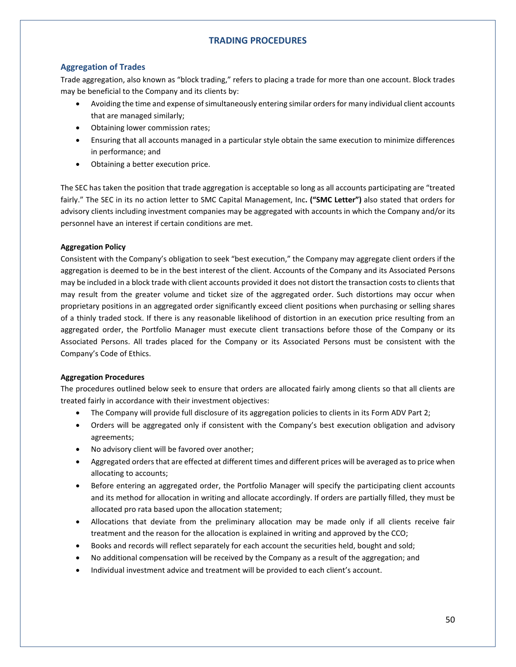# **TRADING PROCEDURES**

# **Aggregation of Trades**

Trade aggregation, also known as "block trading," refers to placing a trade for more than one account. Block trades may be beneficial to the Company and its clients by:

- Avoiding the time and expense of simultaneously entering similar orders for many individual client accounts that are managed similarly;
- Obtaining lower commission rates;
- Ensuring that all accounts managed in a particular style obtain the same execution to minimize differences in performance; and
- Obtaining a better execution price.

The SEC has taken the position that trade aggregation is acceptable so long as all accounts participating are "treated fairly." The SEC in its no action letter to SMC Capital Management, Inc**. ("SMC Letter")** also stated that orders for advisory clients including investment companies may be aggregated with accounts in which the Company and/or its personnel have an interest if certain conditions are met.

# **Aggregation Policy**

Consistent with the Company's obligation to seek "best execution," the Company may aggregate client orders if the aggregation is deemed to be in the best interest of the client. Accounts of the Company and its Associated Persons may be included in a block trade with client accounts provided it does not distort the transaction costs to clients that may result from the greater volume and ticket size of the aggregated order. Such distortions may occur when proprietary positions in an aggregated order significantly exceed client positions when purchasing or selling shares of a thinly traded stock. If there is any reasonable likelihood of distortion in an execution price resulting from an aggregated order, the Portfolio Manager must execute client transactions before those of the Company or its Associated Persons. All trades placed for the Company or its Associated Persons must be consistent with the Company's Code of Ethics.

#### **Aggregation Procedures**

The procedures outlined below seek to ensure that orders are allocated fairly among clients so that all clients are treated fairly in accordance with their investment objectives:

- The Company will provide full disclosure of its aggregation policies to clients in its Form ADV Part 2;
- Orders will be aggregated only if consistent with the Company's best execution obligation and advisory agreements;
- No advisory client will be favored over another;
- Aggregated orders that are effected at different times and different prices will be averaged as to price when allocating to accounts;
- Before entering an aggregated order, the Portfolio Manager will specify the participating client accounts and its method for allocation in writing and allocate accordingly. If orders are partially filled, they must be allocated pro rata based upon the allocation statement;
- Allocations that deviate from the preliminary allocation may be made only if all clients receive fair treatment and the reason for the allocation is explained in writing and approved by the CCO;
- Books and records will reflect separately for each account the securities held, bought and sold;
- No additional compensation will be received by the Company as a result of the aggregation; and
- Individual investment advice and treatment will be provided to each client's account.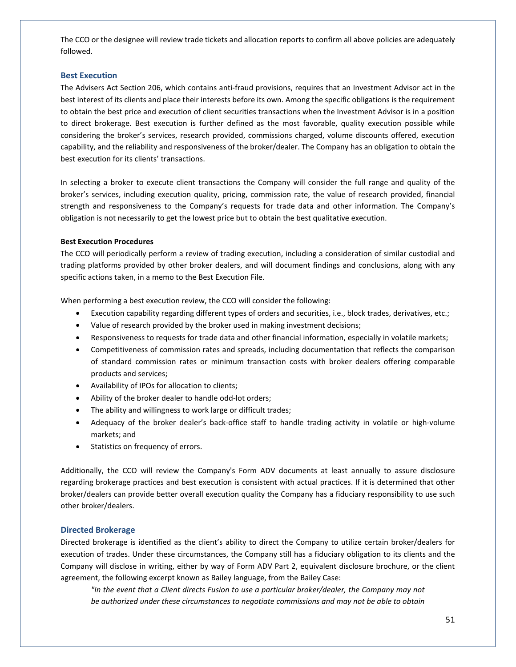The CCO or the designee will review trade tickets and allocation reports to confirm all above policies are adequately followed.

### **Best Execution**

The Advisers Act Section 206, which contains anti-fraud provisions, requires that an Investment Advisor act in the best interest of its clients and place their interests before its own. Among the specific obligations is the requirement to obtain the best price and execution of client securities transactions when the Investment Advisor is in a position to direct brokerage. Best execution is further defined as the most favorable, quality execution possible while considering the broker's services, research provided, commissions charged, volume discounts offered, execution capability, and the reliability and responsiveness of the broker/dealer. The Company has an obligation to obtain the best execution for its clients' transactions.

In selecting a broker to execute client transactions the Company will consider the full range and quality of the broker's services, including execution quality, pricing, commission rate, the value of research provided, financial strength and responsiveness to the Company's requests for trade data and other information. The Company's obligation is not necessarily to get the lowest price but to obtain the best qualitative execution.

### **Best Execution Procedures**

The CCO will periodically perform a review of trading execution, including a consideration of similar custodial and trading platforms provided by other broker dealers, and will document findings and conclusions, along with any specific actions taken, in a memo to the Best Execution File.

When performing a best execution review, the CCO will consider the following:

- Execution capability regarding different types of orders and securities, i.e., block trades, derivatives, etc.;
- Value of research provided by the broker used in making investment decisions;
- Responsiveness to requests for trade data and other financial information, especially in volatile markets;
- Competitiveness of commission rates and spreads, including documentation that reflects the comparison of standard commission rates or minimum transaction costs with broker dealers offering comparable products and services;
- Availability of IPOs for allocation to clients;
- Ability of the broker dealer to handle odd-lot orders;
- The ability and willingness to work large or difficult trades;
- Adequacy of the broker dealer's back-office staff to handle trading activity in volatile or high-volume markets; and
- Statistics on frequency of errors.

Additionally, the CCO will review the Company's Form ADV documents at least annually to assure disclosure regarding brokerage practices and best execution is consistent with actual practices. If it is determined that other broker/dealers can provide better overall execution quality the Company has a fiduciary responsibility to use such other broker/dealers.

# **Directed Brokerage**

Directed brokerage is identified as the client's ability to direct the Company to utilize certain broker/dealers for execution of trades. Under these circumstances, the Company still has a fiduciary obligation to its clients and the Company will disclose in writing, either by way of Form ADV Part 2, equivalent disclosure brochure, or the client agreement, the following excerpt known as Bailey language, from the Bailey Case:

*"In the event that a Client directs Fusion to use a particular broker/dealer, the Company may not be authorized under these circumstances to negotiate commissions and may not be able to obtain*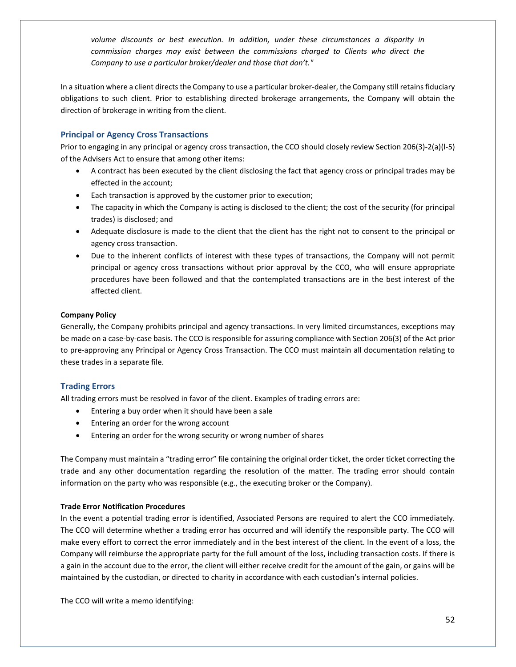*volume discounts or best execution. In addition, under these circumstances a disparity in commission charges may exist between the commissions charged to Clients who direct the Company to use a particular broker/dealer and those that don't."*

In a situation where a client directs the Company to use a particular broker-dealer, the Company still retains fiduciary obligations to such client. Prior to establishing directed brokerage arrangements, the Company will obtain the direction of brokerage in writing from the client.

# **Principal or Agency Cross Transactions**

Prior to engaging in any principal or agency cross transaction, the CCO should closely review Section 206(3)-2(a)(l-5) of the Advisers Act to ensure that among other items:

- A contract has been executed by the client disclosing the fact that agency cross or principal trades may be effected in the account;
- Each transaction is approved by the customer prior to execution;
- The capacity in which the Company is acting is disclosed to the client; the cost of the security (for principal trades) is disclosed; and
- Adequate disclosure is made to the client that the client has the right not to consent to the principal or agency cross transaction.
- Due to the inherent conflicts of interest with these types of transactions, the Company will not permit principal or agency cross transactions without prior approval by the CCO, who will ensure appropriate procedures have been followed and that the contemplated transactions are in the best interest of the affected client.

### **Company Policy**

Generally, the Company prohibits principal and agency transactions. In very limited circumstances, exceptions may be made on a case-by-case basis. The CCO is responsible for assuring compliance with Section 206(3) of the Act prior to pre-approving any Principal or Agency Cross Transaction. The CCO must maintain all documentation relating to these trades in a separate file.

# **Trading Errors**

All trading errors must be resolved in favor of the client. Examples of trading errors are:

- Entering a buy order when it should have been a sale
- Entering an order for the wrong account
- Entering an order for the wrong security or wrong number of shares

The Company must maintain a "trading error" file containing the original order ticket, the order ticket correcting the trade and any other documentation regarding the resolution of the matter. The trading error should contain information on the party who was responsible (e.g., the executing broker or the Company).

#### **Trade Error Notification Procedures**

In the event a potential trading error is identified, Associated Persons are required to alert the CCO immediately. The CCO will determine whether a trading error has occurred and will identify the responsible party. The CCO will make every effort to correct the error immediately and in the best interest of the client. In the event of a loss, the Company will reimburse the appropriate party for the full amount of the loss, including transaction costs. If there is a gain in the account due to the error, the client will either receive credit for the amount of the gain, or gains will be maintained by the custodian, or directed to charity in accordance with each custodian's internal policies.

The CCO will write a memo identifying: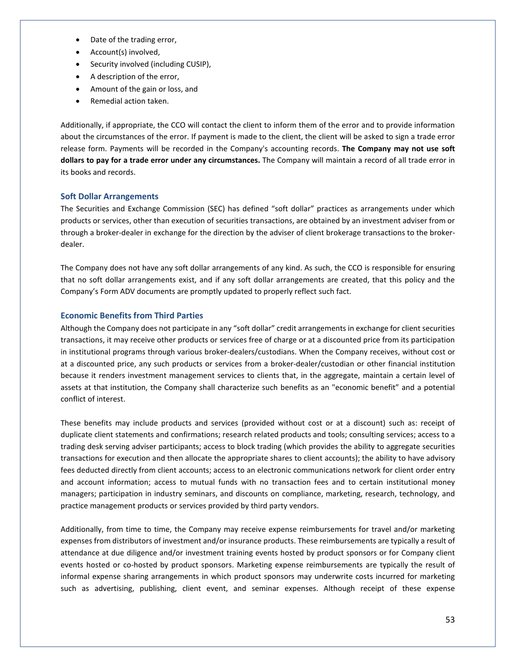- Date of the trading error,
- Account(s) involved,
- Security involved (including CUSIP),
- A description of the error,
- Amount of the gain or loss, and
- Remedial action taken.

Additionally, if appropriate, the CCO will contact the client to inform them of the error and to provide information about the circumstances of the error. If payment is made to the client, the client will be asked to sign a trade error release form. Payments will be recorded in the Company's accounting records. **The Company may not use soft dollars to pay for a trade error under any circumstances.** The Company will maintain a record of all trade error in its books and records.

# **Soft Dollar Arrangements**

The Securities and Exchange Commission (SEC) has defined "soft dollar" practices as arrangements under which products or services, other than execution of securities transactions, are obtained by an investment adviser from or through a broker-dealer in exchange for the direction by the adviser of client brokerage transactions to the brokerdealer.

The Company does not have any soft dollar arrangements of any kind. As such, the CCO is responsible for ensuring that no soft dollar arrangements exist, and if any soft dollar arrangements are created, that this policy and the Company's Form ADV documents are promptly updated to properly reflect such fact.

# **Economic Benefits from Third Parties**

Although the Company does not participate in any "soft dollar" credit arrangements in exchange for client securities transactions, it may receive other products or services free of charge or at a discounted price from its participation in institutional programs through various broker-dealers/custodians. When the Company receives, without cost or at a discounted price, any such products or services from a broker-dealer/custodian or other financial institution because it renders investment management services to clients that, in the aggregate, maintain a certain level of assets at that institution, the Company shall characterize such benefits as an "economic benefit" and a potential conflict of interest.

These benefits may include products and services (provided without cost or at a discount) such as: receipt of duplicate client statements and confirmations; research related products and tools; consulting services; access to a trading desk serving adviser participants; access to block trading (which provides the ability to aggregate securities transactions for execution and then allocate the appropriate shares to client accounts); the ability to have advisory fees deducted directly from client accounts; access to an electronic communications network for client order entry and account information; access to mutual funds with no transaction fees and to certain institutional money managers; participation in industry seminars, and discounts on compliance, marketing, research, technology, and practice management products or services provided by third party vendors.

Additionally, from time to time, the Company may receive expense reimbursements for travel and/or marketing expenses from distributors of investment and/or insurance products. These reimbursements are typically a result of attendance at due diligence and/or investment training events hosted by product sponsors or for Company client events hosted or co-hosted by product sponsors. Marketing expense reimbursements are typically the result of informal expense sharing arrangements in which product sponsors may underwrite costs incurred for marketing such as advertising, publishing, client event, and seminar expenses. Although receipt of these expense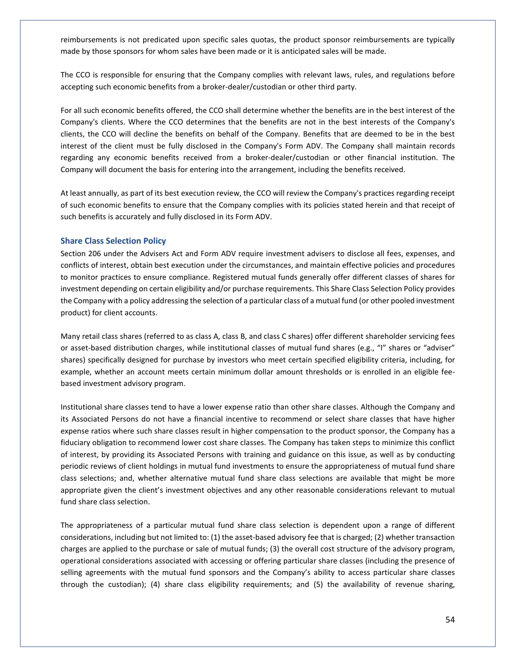reimbursements is not predicated upon specific sales quotas, the product sponsor reimbursements are typically made by those sponsors for whom sales have been made or it is anticipated sales will be made.

The CCO is responsible for ensuring that the Company complies with relevant laws, rules, and regulations before accepting such economic benefits from a broker-dealer/custodian or other third party.

For all such economic benefits offered, the CCO shall determine whether the benefits are in the best interest of the Company's clients. Where the CCO determines that the benefits are not in the best interests of the Company's clients, the CCO will decline the benefits on behalf of the Company. Benefits that are deemed to be in the best interest of the client must be fully disclosed in the Company's Form ADV. The Company shall maintain records regarding any economic benefits received from a broker-dealer/custodian or other financial institution. The Company will document the basis for entering into the arrangement, including the benefits received.

At least annually, as part of its best execution review, the CCO will review the Company's practices regarding receipt of such economic benefits to ensure that the Company complies with its policies stated herein and that receipt of such benefits is accurately and fully disclosed in its Form ADV.

#### **Share Class Selection Policy**

Section 206 under the Advisers Act and Form ADV require investment advisers to disclose all fees, expenses, and conflicts of interest, obtain best execution under the circumstances, and maintain effective policies and procedures to monitor practices to ensure compliance. Registered mutual funds generally offer different classes of shares for investment depending on certain eligibility and/or purchase requirements. This Share Class Selection Policy provides the Company with a policy addressing the selection of a particular class of a mutual fund (or other pooled investment product) for client accounts.

Many retail class shares (referred to as class A, class B, and class C shares) offer different shareholder servicing fees or asset-based distribution charges, while institutional classes of mutual fund shares (e.g., "I" shares or "adviser" shares) specifically designed for purchase by investors who meet certain specified eligibility criteria, including, for example, whether an account meets certain minimum dollar amount thresholds or is enrolled in an eligible feebased investment advisory program.

Institutional share classes tend to have a lower expense ratio than other share classes. Although the Company and its Associated Persons do not have a financial incentive to recommend or select share classes that have higher expense ratios where such share classes result in higher compensation to the product sponsor, the Company has a fiduciary obligation to recommend lower cost share classes. The Company has taken steps to minimize this conflict of interest, by providing its Associated Persons with training and guidance on this issue, as well as by conducting periodic reviews of client holdings in mutual fund investments to ensure the appropriateness of mutual fund share class selections; and, whether alternative mutual fund share class selections are available that might be more appropriate given the client's investment objectives and any other reasonable considerations relevant to mutual fund share class selection.

The appropriateness of a particular mutual fund share class selection is dependent upon a range of different considerations, including but not limited to: (1) the asset-based advisory fee that is charged; (2) whether transaction charges are applied to the purchase or sale of mutual funds; (3) the overall cost structure of the advisory program, operational considerations associated with accessing or offering particular share classes (including the presence of selling agreements with the mutual fund sponsors and the Company's ability to access particular share classes through the custodian); (4) share class eligibility requirements; and (5) the availability of revenue sharing,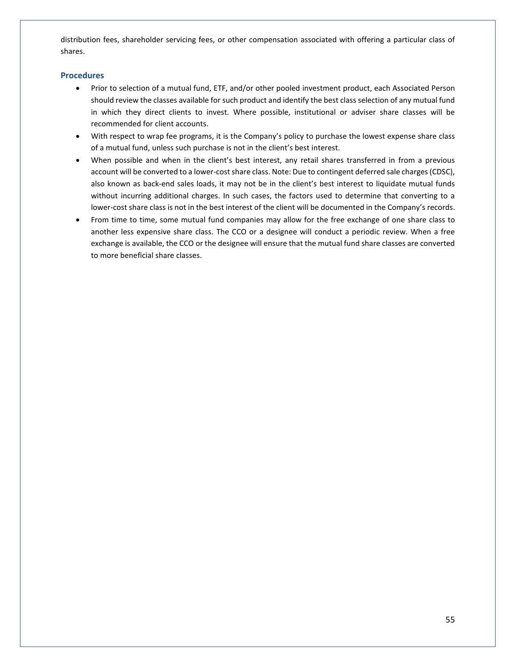distribution fees, shareholder servicing fees, or other compensation associated with offering a particular class of shares.

### **Procedures**

- Prior to selection of a mutual fund, ETF, and/or other pooled investment product, each Associated Person should review the classes available for such product and identify the best class selection of any mutual fund in which they direct clients to invest. Where possible, institutional or adviser share classes will be recommended for client accounts.
- With respect to wrap fee programs, it is the Company's policy to purchase the lowest expense share class of a mutual fund, unless such purchase is not in the client's best interest.
- When possible and when in the client's best interest, any retail shares transferred in from a previous account will be converted to a lower-cost share class. Note: Due to contingent deferred sale charges (CDSC), also known as back-end sales loads, it may not be in the client's best interest to liquidate mutual funds without incurring additional charges. In such cases, the factors used to determine that converting to a lower-cost share class is not in the best interest of the client will be documented in the Company's records.
- From time to time, some mutual fund companies may allow for the free exchange of one share class to another less expensive share class. The CCO or a designee will conduct a periodic review. When a free exchange is available, the CCO or the designee will ensure that the mutual fund share classes are converted to more beneficial share classes.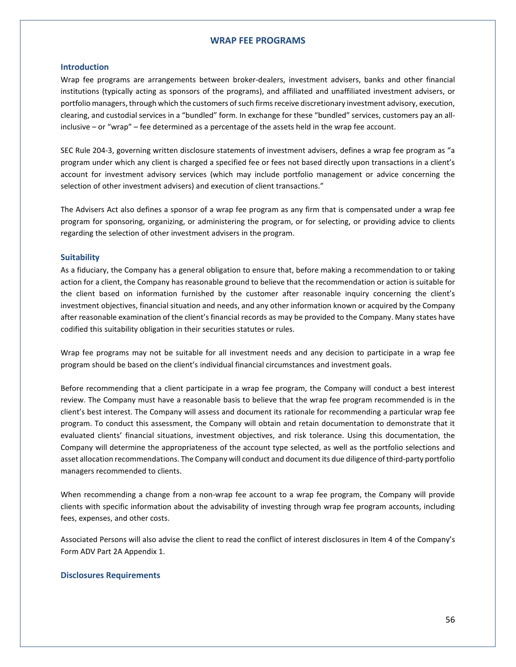### **WRAP FEE PROGRAMS**

#### **Introduction**

Wrap fee programs are arrangements between broker-dealers, investment advisers, banks and other financial institutions (typically acting as sponsors of the programs), and affiliated and unaffiliated investment advisers, or portfolio managers, through which the customers of such firms receive discretionary investment advisory, execution, clearing, and custodial services in a "bundled" form. In exchange for these "bundled" services, customers pay an allinclusive – or "wrap" – fee determined as a percentage of the assets held in the wrap fee account.

SEC Rule 204-3, governing written disclosure statements of investment advisers, defines a wrap fee program as "a program under which any client is charged a specified fee or fees not based directly upon transactions in a client's account for investment advisory services (which may include portfolio management or advice concerning the selection of other investment advisers) and execution of client transactions."

The Advisers Act also defines a sponsor of a wrap fee program as any firm that is compensated under a wrap fee program for sponsoring, organizing, or administering the program, or for selecting, or providing advice to clients regarding the selection of other investment advisers in the program.

#### **Suitability**

As a fiduciary, the Company has a general obligation to ensure that, before making a recommendation to or taking action for a client, the Company has reasonable ground to believe that the recommendation or action is suitable for the client based on information furnished by the customer after reasonable inquiry concerning the client's investment objectives, financial situation and needs, and any other information known or acquired by the Company after reasonable examination of the client's financial records as may be provided to the Company. Many states have codified this suitability obligation in their securities statutes or rules.

Wrap fee programs may not be suitable for all investment needs and any decision to participate in a wrap fee program should be based on the client's individual financial circumstances and investment goals.

Before recommending that a client participate in a wrap fee program, the Company will conduct a best interest review. The Company must have a reasonable basis to believe that the wrap fee program recommended is in the client's best interest. The Company will assess and document its rationale for recommending a particular wrap fee program. To conduct this assessment, the Company will obtain and retain documentation to demonstrate that it evaluated clients' financial situations, investment objectives, and risk tolerance. Using this documentation, the Company will determine the appropriateness of the account type selected, as well as the portfolio selections and asset allocation recommendations. The Company will conduct and document its due diligence of third-party portfolio managers recommended to clients.

When recommending a change from a non-wrap fee account to a wrap fee program, the Company will provide clients with specific information about the advisability of investing through wrap fee program accounts, including fees, expenses, and other costs.

Associated Persons will also advise the client to read the conflict of interest disclosures in Item 4 of the Company's Form ADV Part 2A Appendix 1.

#### **Disclosures Requirements**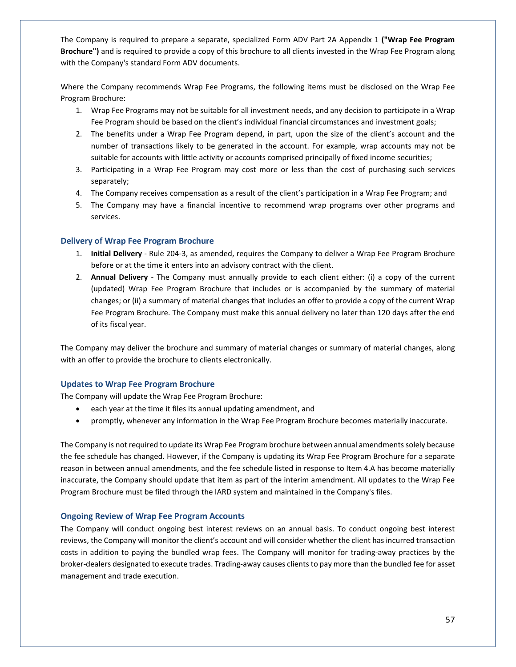The Company is required to prepare a separate, specialized Form ADV Part 2A Appendix 1 **("Wrap Fee Program Brochure")** and is required to provide a copy of this brochure to all clients invested in the Wrap Fee Program along with the Company's standard Form ADV documents.

Where the Company recommends Wrap Fee Programs, the following items must be disclosed on the Wrap Fee Program Brochure:

- 1. Wrap Fee Programs may not be suitable for all investment needs, and any decision to participate in a Wrap Fee Program should be based on the client's individual financial circumstances and investment goals;
- 2. The benefits under a Wrap Fee Program depend, in part, upon the size of the client's account and the number of transactions likely to be generated in the account. For example, wrap accounts may not be suitable for accounts with little activity or accounts comprised principally of fixed income securities;
- 3. Participating in a Wrap Fee Program may cost more or less than the cost of purchasing such services separately;
- 4. The Company receives compensation as a result of the client's participation in a Wrap Fee Program; and
- 5. The Company may have a financial incentive to recommend wrap programs over other programs and services.

### **Delivery of Wrap Fee Program Brochure**

- 1. **Initial Delivery**  Rule 204-3, as amended, requires the Company to deliver a Wrap Fee Program Brochure before or at the time it enters into an advisory contract with the client.
- 2. **Annual Delivery** The Company must annually provide to each client either: (i) a copy of the current (updated) Wrap Fee Program Brochure that includes or is accompanied by the summary of material changes; or (ii) a summary of material changes that includes an offer to provide a copy of the current Wrap Fee Program Brochure. The Company must make this annual delivery no later than 120 days after the end of its fiscal year.

The Company may deliver the brochure and summary of material changes or summary of material changes, along with an offer to provide the brochure to clients electronically.

# **Updates to Wrap Fee Program Brochure**

The Company will update the Wrap Fee Program Brochure:

- each year at the time it files its annual updating amendment, and
- promptly, whenever any information in the Wrap Fee Program Brochure becomes materially inaccurate.

The Company is not required to update its Wrap Fee Program brochure between annual amendments solely because the fee schedule has changed. However, if the Company is updating its Wrap Fee Program Brochure for a separate reason in between annual amendments, and the fee schedule listed in response to Item 4.A has become materially inaccurate, the Company should update that item as part of the interim amendment. All updates to the Wrap Fee Program Brochure must be filed through the IARD system and maintained in the Company's files.

# **Ongoing Review of Wrap Fee Program Accounts**

The Company will conduct ongoing best interest reviews on an annual basis. To conduct ongoing best interest reviews, the Company will monitor the client's account and will consider whether the client has incurred transaction costs in addition to paying the bundled wrap fees. The Company will monitor for trading-away practices by the broker-dealers designated to execute trades. Trading-away causes clients to pay more than the bundled fee for asset management and trade execution.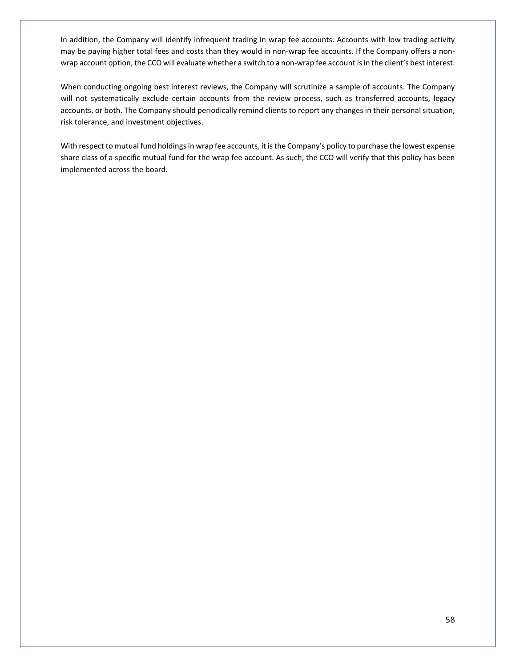In addition, the Company will identify infrequent trading in wrap fee accounts. Accounts with low trading activity may be paying higher total fees and costs than they would in non-wrap fee accounts. If the Company offers a nonwrap account option, the CCO will evaluate whether a switch to a non-wrap fee account is in the client's best interest.

When conducting ongoing best interest reviews, the Company will scrutinize a sample of accounts. The Company will not systematically exclude certain accounts from the review process, such as transferred accounts, legacy accounts, or both. The Company should periodically remind clients to report any changes in their personal situation, risk tolerance, and investment objectives.

With respect to mutual fund holdings in wrap fee accounts, it is the Company's policy to purchase the lowest expense share class of a specific mutual fund for the wrap fee account. As such, the CCO will verify that this policy has been implemented across the board.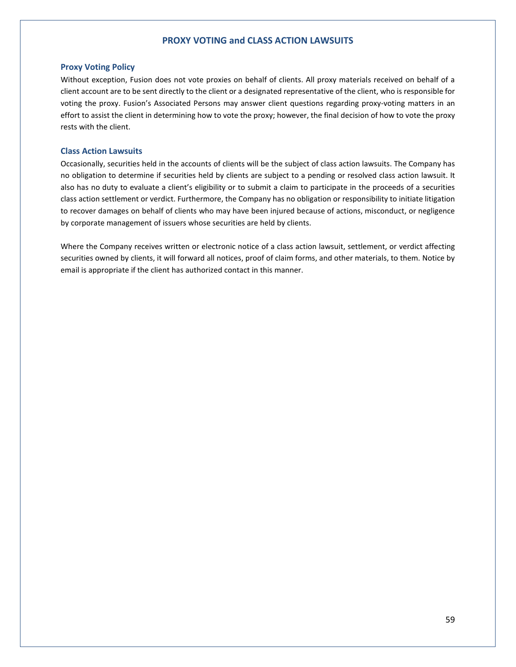### **PROXY VOTING and CLASS ACTION LAWSUITS**

### **Proxy Voting Policy**

Without exception, Fusion does not vote proxies on behalf of clients. All proxy materials received on behalf of a client account are to be sent directly to the client or a designated representative of the client, who is responsible for voting the proxy. Fusion's Associated Persons may answer client questions regarding proxy-voting matters in an effort to assist the client in determining how to vote the proxy; however, the final decision of how to vote the proxy rests with the client.

#### **Class Action Lawsuits**

Occasionally, securities held in the accounts of clients will be the subject of class action lawsuits. The Company has no obligation to determine if securities held by clients are subject to a pending or resolved class action lawsuit. It also has no duty to evaluate a client's eligibility or to submit a claim to participate in the proceeds of a securities class action settlement or verdict. Furthermore, the Company has no obligation or responsibility to initiate litigation to recover damages on behalf of clients who may have been injured because of actions, misconduct, or negligence by corporate management of issuers whose securities are held by clients.

Where the Company receives written or electronic notice of a class action lawsuit, settlement, or verdict affecting securities owned by clients, it will forward all notices, proof of claim forms, and other materials, to them. Notice by email is appropriate if the client has authorized contact in this manner.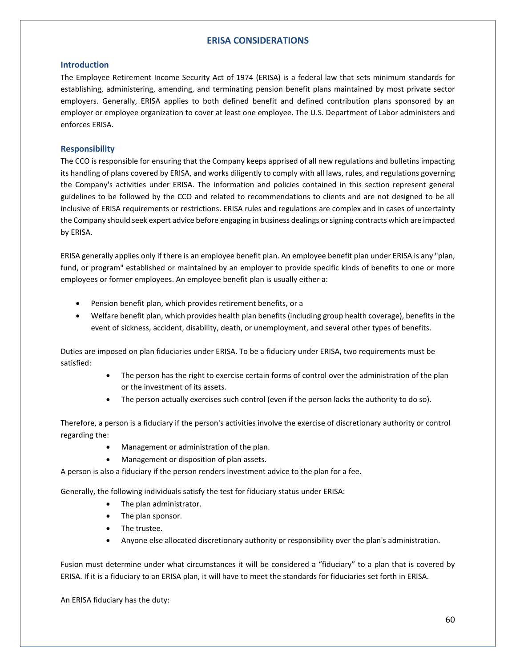# **ERISA CONSIDERATIONS**

### **Introduction**

The Employee Retirement Income Security Act of 1974 (ERISA) is a federal law that sets minimum standards for establishing, administering, amending, and terminating pension benefit plans maintained by most private sector employers. Generally, ERISA applies to both defined benefit and defined contribution plans sponsored by an employer or employee organization to cover at least one employee. The U.S. Department of Labor administers and enforces ERISA.

# **Responsibility**

The CCO is responsible for ensuring that the Company keeps apprised of all new regulations and bulletins impacting its handling of plans covered by ERISA, and works diligently to comply with all laws, rules, and regulations governing the Company's activities under ERISA. The information and policies contained in this section represent general guidelines to be followed by the CCO and related to recommendations to clients and are not designed to be all inclusive of ERISA requirements or restrictions. ERISA rules and regulations are complex and in cases of uncertainty the Company should seek expert advice before engaging in business dealings or signing contracts which are impacted by ERISA.

ERISA generally applies only if there is an employee benefit plan. An employee benefit plan under ERISA is any "plan, fund, or program" established or maintained by an employer to provide specific kinds of benefits to one or more employees or former employees. An employee benefit plan is usually either a:

- Pension benefit plan, which provides retirement benefits, or a
- Welfare benefit plan, which provides health plan benefits (including group health coverage), benefits in the event of sickness, accident, disability, death, or unemployment, and several other types of benefits.

Duties are imposed on plan fiduciaries under ERISA. To be a fiduciary under ERISA, two requirements must be satisfied:

- The person has the right to exercise certain forms of control over the administration of the plan or the investment of its assets.
- The person actually exercises such control (even if the person lacks the authority to do so).

Therefore, a person is a fiduciary if the person's activities involve the exercise of discretionary authority or control regarding the:

- Management or administration of the plan.
- Management or disposition of plan assets.

A person is also a fiduciary if the person renders investment advice to the plan for a fee.

Generally, the following individuals satisfy the test for fiduciary status under ERISA:

- The plan administrator.
- The plan sponsor.
- The trustee.
- Anyone else allocated discretionary authority or responsibility over the plan's administration.

Fusion must determine under what circumstances it will be considered a "fiduciary" to a plan that is covered by ERISA. If it is a fiduciary to an ERISA plan, it will have to meet the standards for fiduciaries set forth in ERISA.

An ERISA fiduciary has the duty: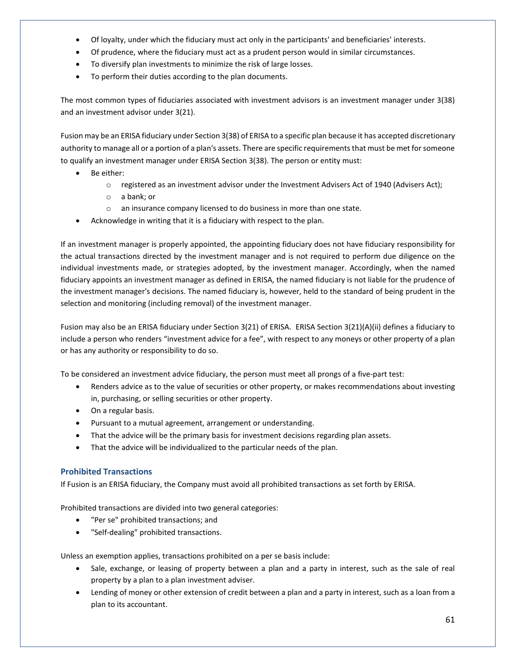- Of loyalty, under which the fiduciary must act only in the participants' and beneficiaries' interests.
- Of prudence, where the fiduciary must act as a prudent person would in similar circumstances.
- To diversify plan investments to minimize the risk of large losses.
- To perform their duties according to the plan documents.

The most common types of fiduciaries associated with investment advisors is an investment manager under 3(38) and an investment advisor under 3(21).

Fusion may be an ERISA fiduciary under Section 3(38) of ERISA to a specific plan because it has accepted discretionary authority to manage all or a portion of a plan's assets. There are specific requirements that must be met for someone to qualify an investment manager under ERISA Section 3(38). The person or entity must:

- Be either:
	- o registered as an investment advisor under the Investment Advisers Act of 1940 (Advisers Act);
	- o a bank; or
	- o an insurance company licensed to do business in more than one state.
- Acknowledge in writing that it is a fiduciary with respect to the plan.

If an investment manager is properly appointed, the appointing fiduciary does not have fiduciary responsibility for the actual transactions directed by the investment manager and is not required to perform due diligence on the individual investments made, or strategies adopted, by the investment manager. Accordingly, when the named fiduciary appoints an investment manager as defined in ERISA, the named fiduciary is not liable for the prudence of the investment manager's decisions. The named fiduciary is, however, held to the standard of being prudent in the selection and monitoring (including removal) of the investment manager.

Fusion may also be an ERISA fiduciary under Section 3(21) of ERISA. ERISA Section 3(21)(A)(ii) defines a fiduciary to include a person who renders "investment advice for a fee", with respect to any moneys or other property of a plan or has any authority or responsibility to do so.

To be considered an investment advice fiduciary, the person must meet all prongs of a five-part test:

- Renders advice as to the value of securities or other property, or makes recommendations about investing in, purchasing, or selling securities or other property.
- On a regular basis.
- Pursuant to a mutual agreement, arrangement or understanding.
- That the advice will be the primary basis for investment decisions regarding plan assets.
- That the advice will be individualized to the particular needs of the plan.

# **Prohibited Transactions**

If Fusion is an ERISA fiduciary, the Company must avoid all prohibited transactions as set forth by ERISA.

Prohibited transactions are divided into two general categories:

- "Per se" prohibited transactions; and
- "Self-dealing" prohibited transactions.

Unless an exemption applies, transactions prohibited on a per se basis include:

- Sale, exchange, or leasing of property between a plan and a party in interest, such as the sale of real property by a plan to a plan investment adviser.
- Lending of money or other extension of credit between a plan and a party in interest, such as a loan from a plan to its accountant.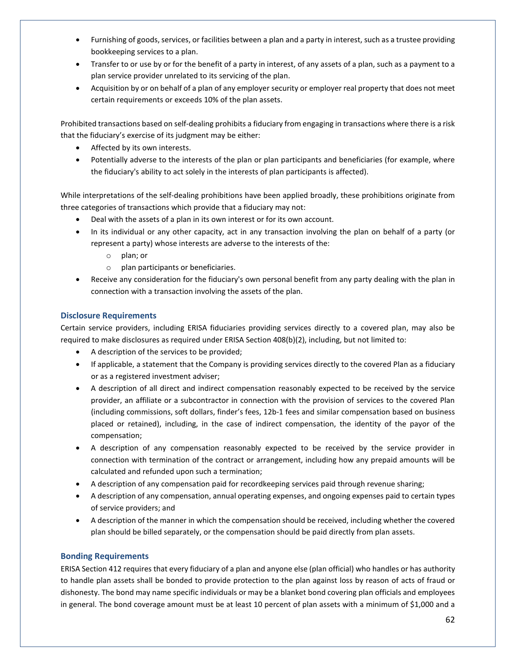- Furnishing of goods, services, or facilities between a plan and a party in interest, such as a trustee providing bookkeeping services to a plan.
- Transfer to or use by or for the benefit of a party in interest, of any assets of a plan, such as a payment to a plan service provider unrelated to its servicing of the plan.
- Acquisition by or on behalf of a plan of any employer security or employer real property that does not meet certain requirements or exceeds 10% of the plan assets.

Prohibited transactions based on self-dealing prohibits a fiduciary from engaging in transactions where there is a risk that the fiduciary's exercise of its judgment may be either:

- Affected by its own interests.
- Potentially adverse to the interests of the plan or plan participants and beneficiaries (for example, where the fiduciary's ability to act solely in the interests of plan participants is affected).

While interpretations of the self-dealing prohibitions have been applied broadly, these prohibitions originate from three categories of transactions which provide that a fiduciary may not:

- Deal with the assets of a plan in its own interest or for its own account.
- In its individual or any other capacity, act in any transaction involving the plan on behalf of a party (or represent a party) whose interests are adverse to the interests of the:
	- o plan; or
	- o plan participants or beneficiaries.
- Receive any consideration for the fiduciary's own personal benefit from any party dealing with the plan in connection with a transaction involving the assets of the plan.

# **Disclosure Requirements**

Certain service providers, including ERISA fiduciaries providing services directly to a covered plan, may also be required to make disclosures as required under ERISA Section 408(b)(2), including, but not limited to:

- A description of the services to be provided;
- If applicable, a statement that the Company is providing services directly to the covered Plan as a fiduciary or as a registered investment adviser;
- A description of all direct and indirect compensation reasonably expected to be received by the service provider, an affiliate or a subcontractor in connection with the provision of services to the covered Plan (including commissions, soft dollars, finder's fees, 12b-1 fees and similar compensation based on business placed or retained), including, in the case of indirect compensation, the identity of the payor of the compensation;
- A description of any compensation reasonably expected to be received by the service provider in connection with termination of the contract or arrangement, including how any prepaid amounts will be calculated and refunded upon such a termination;
- A description of any compensation paid for recordkeeping services paid through revenue sharing;
- A description of any compensation, annual operating expenses, and ongoing expenses paid to certain types of service providers; and
- A description of the manner in which the compensation should be received, including whether the covered plan should be billed separately, or the compensation should be paid directly from plan assets.

# **Bonding Requirements**

ERISA Section 412 requires that every fiduciary of a plan and anyone else (plan official) who handles or has authority to handle plan assets shall be bonded to provide protection to the plan against loss by reason of acts of fraud or dishonesty. The bond may name specific individuals or may be a blanket bond covering plan officials and employees in general. The bond coverage amount must be at least 10 percent of plan assets with a minimum of \$1,000 and a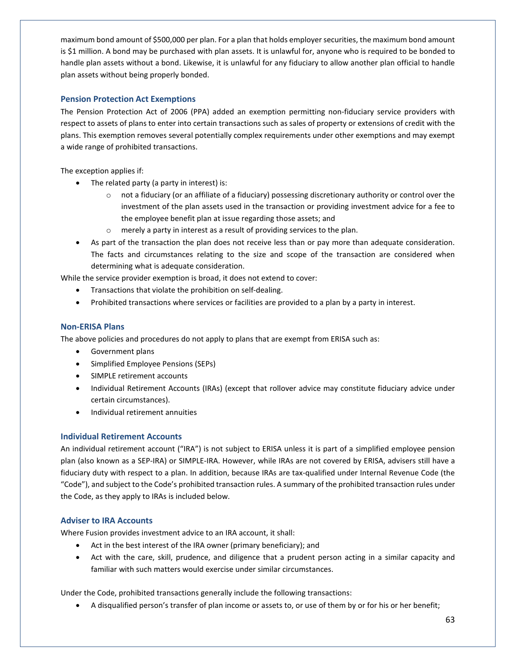maximum bond amount of \$500,000 per plan. For a plan that holds employer securities, the maximum bond amount is \$1 million. A bond may be purchased with plan assets. It is unlawful for, anyone who is required to be bonded to handle plan assets without a bond. Likewise, it is unlawful for any fiduciary to allow another plan official to handle plan assets without being properly bonded.

# **Pension Protection Act Exemptions**

The Pension Protection Act of 2006 (PPA) added an exemption permitting non-fiduciary service providers with respect to assets of plans to enter into certain transactions such as sales of property or extensions of credit with the plans. This exemption removes several potentially complex requirements under other exemptions and may exempt a wide range of prohibited transactions.

The exception applies if:

- The related party (a party in interest) is:
	- o not a fiduciary (or an affiliate of a fiduciary) possessing discretionary authority or control over the investment of the plan assets used in the transaction or providing investment advice for a fee to the employee benefit plan at issue regarding those assets; and
	- o merely a party in interest as a result of providing services to the plan.
- As part of the transaction the plan does not receive less than or pay more than adequate consideration. The facts and circumstances relating to the size and scope of the transaction are considered when determining what is adequate consideration.

While the service provider exemption is broad, it does not extend to cover:

- Transactions that violate the prohibition on self-dealing.
- Prohibited transactions where services or facilities are provided to a plan by a party in interest.

# **Non-ERISA Plans**

The above policies and procedures do not apply to plans that are exempt from ERISA such as:

- Government plans
- Simplified Employee Pensions (SEPs)
- SIMPLE retirement accounts
- Individual Retirement Accounts (IRAs) (except that rollover advice may constitute fiduciary advice under certain circumstances).
- Individual retirement annuities

# **Individual Retirement Accounts**

An individual retirement account ("IRA") is not subject to ERISA unless it is part of a simplified employee pension plan (also known as a SEP-IRA) or SIMPLE-IRA. However, while IRAs are not covered by ERISA, advisers still have a fiduciary duty with respect to a plan. In addition, because IRAs are tax-qualified under Internal Revenue Code (the "Code"), and subject to the Code's prohibited transaction rules. A summary of the prohibited transaction rules under the Code, as they apply to IRAs is included below.

# **Adviser to IRA Accounts**

Where Fusion provides investment advice to an IRA account, it shall:

- Act in the best interest of the IRA owner (primary beneficiary); and
- Act with the care, skill, prudence, and diligence that a prudent person acting in a similar capacity and familiar with such matters would exercise under similar circumstances.

Under the Code, prohibited transactions generally include the following transactions:

• A disqualified person's transfer of plan income or assets to, or use of them by or for his or her benefit;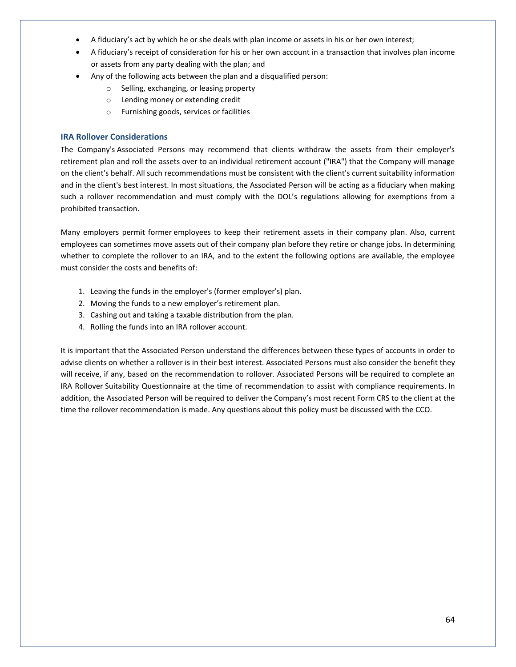- A fiduciary's act by which he or she deals with plan income or assets in his or her own interest;
- A fiduciary's receipt of consideration for his or her own account in a transaction that involves plan income or assets from any party dealing with the plan; and
- Any of the following acts between the plan and a disqualified person:
	- o Selling, exchanging, or leasing property
	- o Lending money or extending credit
	- o Furnishing goods, services or facilities

### **IRA Rollover Considerations**

The Company's Associated Persons may recommend that clients withdraw the assets from their employer's retirement plan and roll the assets over to an individual retirement account ("IRA") that the Company will manage on the client's behalf. All such recommendations must be consistent with the client's current suitability information and in the client's best interest. In most situations, the Associated Person will be acting as a fiduciary when making such a rollover recommendation and must comply with the DOL's regulations allowing for exemptions from a prohibited transaction.

Many employers permit former employees to keep their retirement assets in their company plan. Also, current employees can sometimes move assets out of their company plan before they retire or change jobs. In determining whether to complete the rollover to an IRA, and to the extent the following options are available, the employee must consider the costs and benefits of:

- 1. Leaving the funds in the employer's (former employer's) plan.
- 2. Moving the funds to a new employer's retirement plan.
- 3. Cashing out and taking a taxable distribution from the plan.
- 4. Rolling the funds into an IRA rollover account.

It is important that the Associated Person understand the differences between these types of accounts in order to advise clients on whether a rollover is in their best interest. Associated Persons must also consider the benefit they will receive, if any, based on the recommendation to rollover. Associated Persons will be required to complete an IRA Rollover Suitability Questionnaire at the time of recommendation to assist with compliance requirements. In addition, the Associated Person will be required to deliver the Company's most recent Form CRS to the client at the time the rollover recommendation is made. Any questions about this policy must be discussed with the CCO.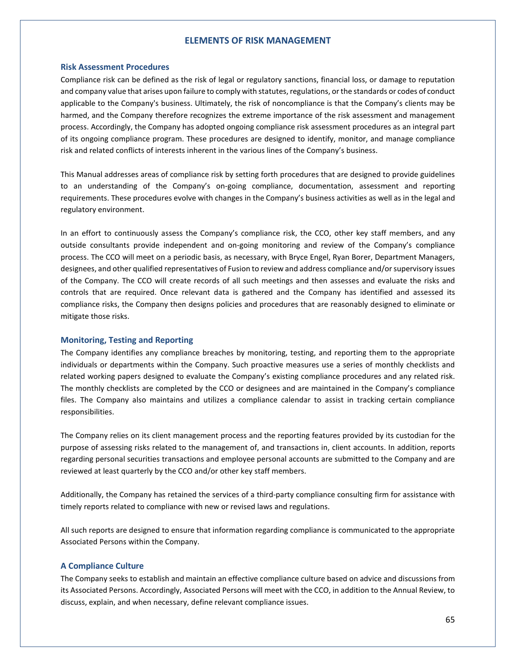### **ELEMENTS OF RISK MANAGEMENT**

#### **Risk Assessment Procedures**

Compliance risk can be defined as the risk of legal or regulatory sanctions, financial loss, or damage to reputation and company value that arises upon failure to comply with statutes, regulations, or the standards or codes of conduct applicable to the Company's business. Ultimately, the risk of noncompliance is that the Company's clients may be harmed, and the Company therefore recognizes the extreme importance of the risk assessment and management process. Accordingly, the Company has adopted ongoing compliance risk assessment procedures as an integral part of its ongoing compliance program. These procedures are designed to identify, monitor, and manage compliance risk and related conflicts of interests inherent in the various lines of the Company's business.

This Manual addresses areas of compliance risk by setting forth procedures that are designed to provide guidelines to an understanding of the Company's on-going compliance, documentation, assessment and reporting requirements. These procedures evolve with changes in the Company's business activities as well as in the legal and regulatory environment.

In an effort to continuously assess the Company's compliance risk, the CCO, other key staff members, and any outside consultants provide independent and on-going monitoring and review of the Company's compliance process. The CCO will meet on a periodic basis, as necessary, with Bryce Engel, Ryan Borer, Department Managers, designees, and other qualified representatives of Fusion to review and address compliance and/or supervisory issues of the Company. The CCO will create records of all such meetings and then assesses and evaluate the risks and controls that are required. Once relevant data is gathered and the Company has identified and assessed its compliance risks, the Company then designs policies and procedures that are reasonably designed to eliminate or mitigate those risks.

#### **Monitoring, Testing and Reporting**

The Company identifies any compliance breaches by monitoring, testing, and reporting them to the appropriate individuals or departments within the Company. Such proactive measures use a series of monthly checklists and related working papers designed to evaluate the Company's existing compliance procedures and any related risk. The monthly checklists are completed by the CCO or designees and are maintained in the Company's compliance files. The Company also maintains and utilizes a compliance calendar to assist in tracking certain compliance responsibilities.

The Company relies on its client management process and the reporting features provided by its custodian for the purpose of assessing risks related to the management of, and transactions in, client accounts. In addition, reports regarding personal securities transactions and employee personal accounts are submitted to the Company and are reviewed at least quarterly by the CCO and/or other key staff members.

Additionally, the Company has retained the services of a third-party compliance consulting firm for assistance with timely reports related to compliance with new or revised laws and regulations.

All such reports are designed to ensure that information regarding compliance is communicated to the appropriate Associated Persons within the Company.

#### **A Compliance Culture**

The Company seeks to establish and maintain an effective compliance culture based on advice and discussions from its Associated Persons. Accordingly, Associated Persons will meet with the CCO, in addition to the Annual Review, to discuss, explain, and when necessary, define relevant compliance issues.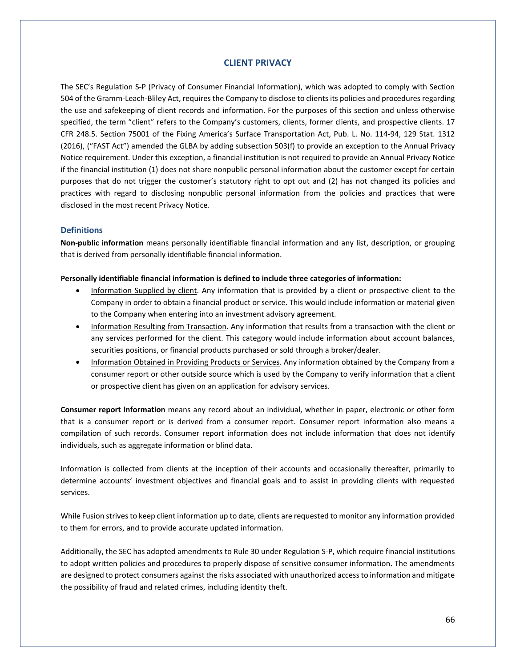## **CLIENT PRIVACY**

The SEC's Regulation S-P (Privacy of Consumer Financial Information), which was adopted to comply with Section 504 of the Gramm-Leach-Bliley Act, requires the Company to disclose to clients its policies and procedures regarding the use and safekeeping of client records and information. For the purposes of this section and unless otherwise specified, the term "client" refers to the Company's customers, clients, former clients, and prospective clients. 17 CFR 248.5. Section 75001 of the Fixing America's Surface Transportation Act, Pub. L. No. 114-94, 129 Stat. 1312 (2016), ("FAST Act") amended the GLBA by adding subsection 503(f) to provide an exception to the Annual Privacy Notice requirement. Under this exception, a financial institution is not required to provide an Annual Privacy Notice if the financial institution (1) does not share nonpublic personal information about the customer except for certain purposes that do not trigger the customer's statutory right to opt out and (2) has not changed its policies and practices with regard to disclosing nonpublic personal information from the policies and practices that were disclosed in the most recent Privacy Notice.

#### **Definitions**

**Non-public information** means personally identifiable financial information and any list, description, or grouping that is derived from personally identifiable financial information.

#### **Personally identifiable financial information is defined to include three categories of information:**

- Information Supplied by client. Any information that is provided by a client or prospective client to the Company in order to obtain a financial product or service. This would include information or material given to the Company when entering into an investment advisory agreement.
- Information Resulting from Transaction. Any information that results from a transaction with the client or any services performed for the client. This category would include information about account balances, securities positions, or financial products purchased or sold through a broker/dealer.
- Information Obtained in Providing Products or Services. Any information obtained by the Company from a consumer report or other outside source which is used by the Company to verify information that a client or prospective client has given on an application for advisory services.

**Consumer report information** means any record about an individual, whether in paper, electronic or other form that is a consumer report or is derived from a consumer report. Consumer report information also means a compilation of such records. Consumer report information does not include information that does not identify individuals, such as aggregate information or blind data.

Information is collected from clients at the inception of their accounts and occasionally thereafter, primarily to determine accounts' investment objectives and financial goals and to assist in providing clients with requested services.

While Fusion strives to keep client information up to date, clients are requested to monitor any information provided to them for errors, and to provide accurate updated information.

Additionally, the SEC has adopted amendments to Rule 30 under Regulation S-P, which require financial institutions to adopt written policies and procedures to properly dispose of sensitive consumer information. The amendments are designed to protect consumers against the risks associated with unauthorized access to information and mitigate the possibility of fraud and related crimes, including identity theft.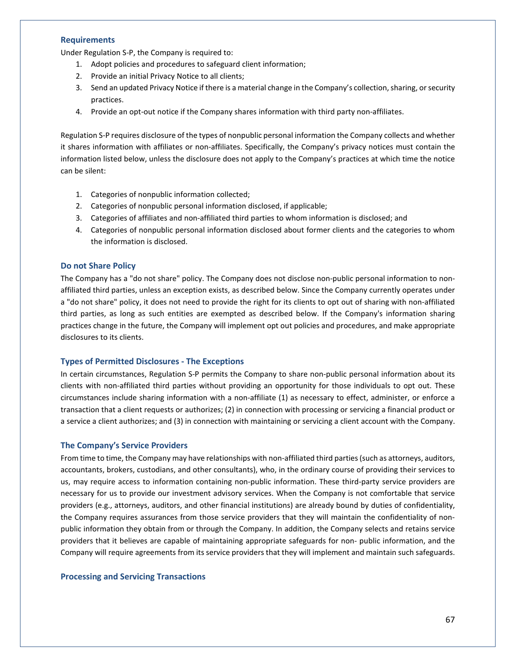#### **Requirements**

Under Regulation S-P, the Company is required to:

- 1. Adopt policies and procedures to safeguard client information;
- 2. Provide an initial Privacy Notice to all clients;
- 3. Send an updated Privacy Notice if there is a material change in the Company's collection, sharing, or security practices.
- 4. Provide an opt-out notice if the Company shares information with third party non-affiliates.

Regulation S-P requires disclosure of the types of nonpublic personal information the Company collects and whether it shares information with affiliates or non-affiliates. Specifically, the Company's privacy notices must contain the information listed below, unless the disclosure does not apply to the Company's practices at which time the notice can be silent:

- 1. Categories of nonpublic information collected;
- 2. Categories of nonpublic personal information disclosed, if applicable;
- 3. Categories of affiliates and non-affiliated third parties to whom information is disclosed; and
- 4. Categories of nonpublic personal information disclosed about former clients and the categories to whom the information is disclosed.

#### **Do not Share Policy**

The Company has a "do not share" policy. The Company does not disclose non-public personal information to nonaffiliated third parties, unless an exception exists, as described below. Since the Company currently operates under a "do not share" policy, it does not need to provide the right for its clients to opt out of sharing with non-affiliated third parties, as long as such entities are exempted as described below. If the Company's information sharing practices change in the future, the Company will implement opt out policies and procedures, and make appropriate disclosures to its clients.

## **Types of Permitted Disclosures - The Exceptions**

In certain circumstances, Regulation S-P permits the Company to share non-public personal information about its clients with non-affiliated third parties without providing an opportunity for those individuals to opt out. These circumstances include sharing information with a non-affiliate (1) as necessary to effect, administer, or enforce a transaction that a client requests or authorizes; (2) in connection with processing or servicing a financial product or a service a client authorizes; and (3) in connection with maintaining or servicing a client account with the Company.

### **The Company's Service Providers**

From time to time, the Company may have relationships with non-affiliated third parties (such as attorneys, auditors, accountants, brokers, custodians, and other consultants), who, in the ordinary course of providing their services to us, may require access to information containing non-public information. These third-party service providers are necessary for us to provide our investment advisory services. When the Company is not comfortable that service providers (e.g., attorneys, auditors, and other financial institutions) are already bound by duties of confidentiality, the Company requires assurances from those service providers that they will maintain the confidentiality of nonpublic information they obtain from or through the Company. In addition, the Company selects and retains service providers that it believes are capable of maintaining appropriate safeguards for non- public information, and the Company will require agreements from its service providers that they will implement and maintain such safeguards.

# **Processing and Servicing Transactions**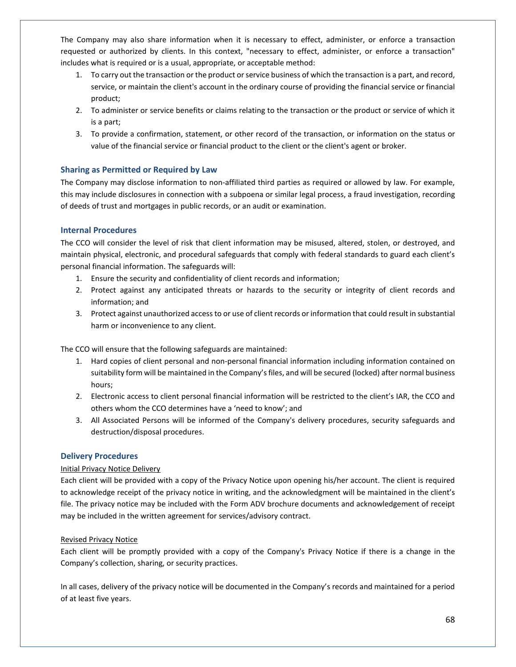The Company may also share information when it is necessary to effect, administer, or enforce a transaction requested or authorized by clients. In this context, "necessary to effect, administer, or enforce a transaction" includes what is required or is a usual, appropriate, or acceptable method:

- 1. To carry out the transaction or the product or service business of which the transaction is a part, and record, service, or maintain the client's account in the ordinary course of providing the financial service or financial product;
- 2. To administer or service benefits or claims relating to the transaction or the product or service of which it is a part;
- 3. To provide a confirmation, statement, or other record of the transaction, or information on the status or value of the financial service or financial product to the client or the client's agent or broker.

# **Sharing as Permitted or Required by Law**

The Company may disclose information to non-affiliated third parties as required or allowed by law. For example, this may include disclosures in connection with a subpoena or similar legal process, a fraud investigation, recording of deeds of trust and mortgages in public records, or an audit or examination.

# **Internal Procedures**

The CCO will consider the level of risk that client information may be misused, altered, stolen, or destroyed, and maintain physical, electronic, and procedural safeguards that comply with federal standards to guard each client's personal financial information. The safeguards will:

- 1. Ensure the security and confidentiality of client records and information;
- 2. Protect against any anticipated threats or hazards to the security or integrity of client records and information; and
- 3. Protect against unauthorized access to or use of client records or information that could result in substantial harm or inconvenience to any client.

The CCO will ensure that the following safeguards are maintained:

- 1. Hard copies of client personal and non-personal financial information including information contained on suitability form will be maintained in the Company's files, and will be secured (locked) after normal business hours;
- 2. Electronic access to client personal financial information will be restricted to the client's IAR, the CCO and others whom the CCO determines have a 'need to know'; and
- 3. All Associated Persons will be informed of the Company's delivery procedures, security safeguards and destruction/disposal procedures.

# **Delivery Procedures**

# Initial Privacy Notice Delivery

Each client will be provided with a copy of the Privacy Notice upon opening his/her account. The client is required to acknowledge receipt of the privacy notice in writing, and the acknowledgment will be maintained in the client's file. The privacy notice may be included with the Form ADV brochure documents and acknowledgement of receipt may be included in the written agreement for services/advisory contract.

# Revised Privacy Notice

Each client will be promptly provided with a copy of the Company's Privacy Notice if there is a change in the Company's collection, sharing, or security practices.

In all cases, delivery of the privacy notice will be documented in the Company's records and maintained for a period of at least five years.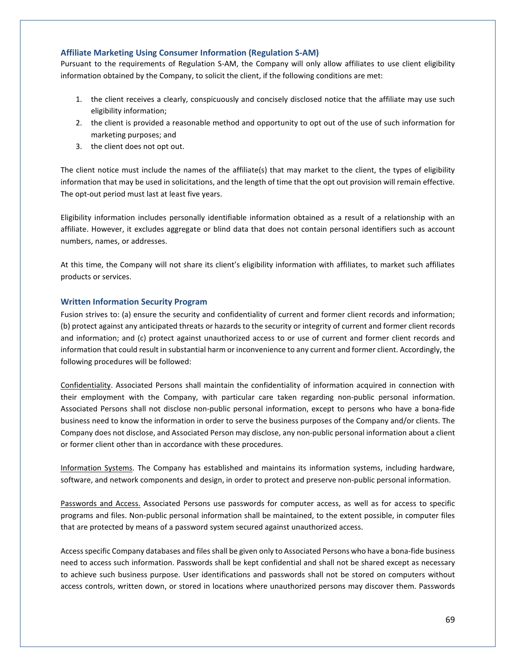## **Affiliate Marketing Using Consumer Information (Regulation S-AM)**

Pursuant to the requirements of Regulation S-AM, the Company will only allow affiliates to use client eligibility information obtained by the Company, to solicit the client, if the following conditions are met:

- 1. the client receives a clearly, conspicuously and concisely disclosed notice that the affiliate may use such eligibility information;
- 2. the client is provided a reasonable method and opportunity to opt out of the use of such information for marketing purposes; and
- 3. the client does not opt out.

The client notice must include the names of the affiliate(s) that may market to the client, the types of eligibility information that may be used in solicitations, and the length of time that the opt out provision will remain effective. The opt-out period must last at least five years.

Eligibility information includes personally identifiable information obtained as a result of a relationship with an affiliate. However, it excludes aggregate or blind data that does not contain personal identifiers such as account numbers, names, or addresses.

At this time, the Company will not share its client's eligibility information with affiliates, to market such affiliates products or services.

# **Written Information Security Program**

Fusion strives to: (a) ensure the security and confidentiality of current and former client records and information; (b) protect against any anticipated threats or hazards to the security or integrity of current and former client records and information; and (c) protect against unauthorized access to or use of current and former client records and information that could result in substantial harm or inconvenience to any current and former client. Accordingly, the following procedures will be followed:

Confidentiality. Associated Persons shall maintain the confidentiality of information acquired in connection with their employment with the Company, with particular care taken regarding non-public personal information. Associated Persons shall not disclose non-public personal information, except to persons who have a bona-fide business need to know the information in order to serve the business purposes of the Company and/or clients. The Company does not disclose, and Associated Person may disclose, any non-public personal information about a client or former client other than in accordance with these procedures.

Information Systems. The Company has established and maintains its information systems, including hardware, software, and network components and design, in order to protect and preserve non-public personal information.

Passwords and Access. Associated Persons use passwords for computer access, as well as for access to specific programs and files. Non-public personal information shall be maintained, to the extent possible, in computer files that are protected by means of a password system secured against unauthorized access.

Access specific Company databases and files shall be given only to Associated Persons who have a bona-fide business need to access such information. Passwords shall be kept confidential and shall not be shared except as necessary to achieve such business purpose. User identifications and passwords shall not be stored on computers without access controls, written down, or stored in locations where unauthorized persons may discover them. Passwords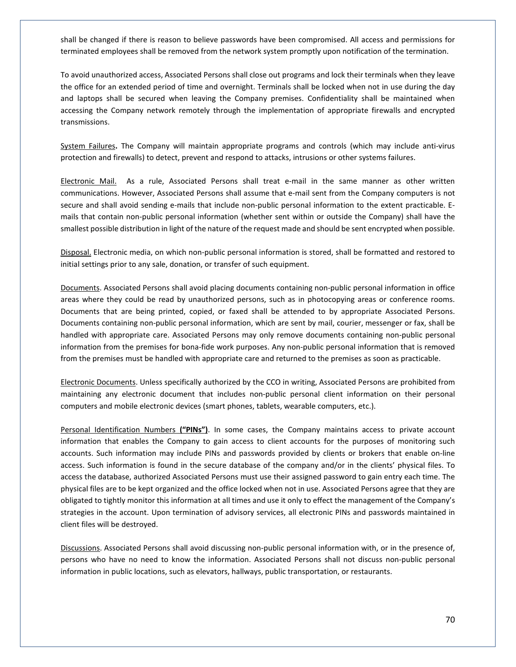shall be changed if there is reason to believe passwords have been compromised. All access and permissions for terminated employees shall be removed from the network system promptly upon notification of the termination.

To avoid unauthorized access, Associated Persons shall close out programs and lock their terminals when they leave the office for an extended period of time and overnight. Terminals shall be locked when not in use during the day and laptops shall be secured when leaving the Company premises. Confidentiality shall be maintained when accessing the Company network remotely through the implementation of appropriate firewalls and encrypted transmissions.

System Failures**.** The Company will maintain appropriate programs and controls (which may include anti-virus protection and firewalls) to detect, prevent and respond to attacks, intrusions or other systems failures.

Electronic Mail. As a rule, Associated Persons shall treat e-mail in the same manner as other written communications. However, Associated Persons shall assume that e-mail sent from the Company computers is not secure and shall avoid sending e-mails that include non-public personal information to the extent practicable. Emails that contain non-public personal information (whether sent within or outside the Company) shall have the smallest possible distribution in light of the nature of the request made and should be sent encrypted when possible.

Disposal. Electronic media, on which non-public personal information is stored, shall be formatted and restored to initial settings prior to any sale, donation, or transfer of such equipment.

Documents. Associated Persons shall avoid placing documents containing non-public personal information in office areas where they could be read by unauthorized persons, such as in photocopying areas or conference rooms. Documents that are being printed, copied, or faxed shall be attended to by appropriate Associated Persons. Documents containing non-public personal information, which are sent by mail, courier, messenger or fax, shall be handled with appropriate care. Associated Persons may only remove documents containing non-public personal information from the premises for bona-fide work purposes. Any non-public personal information that is removed from the premises must be handled with appropriate care and returned to the premises as soon as practicable.

Electronic Documents. Unless specifically authorized by the CCO in writing, Associated Persons are prohibited from maintaining any electronic document that includes non-public personal client information on their personal computers and mobile electronic devices (smart phones, tablets, wearable computers, etc.).

Personal Identification Numbers **("PINs")**. In some cases, the Company maintains access to private account information that enables the Company to gain access to client accounts for the purposes of monitoring such accounts. Such information may include PINs and passwords provided by clients or brokers that enable on-line access. Such information is found in the secure database of the company and/or in the clients' physical files. To access the database, authorized Associated Persons must use their assigned password to gain entry each time. The physical files are to be kept organized and the office locked when not in use. Associated Persons agree that they are obligated to tightly monitor this information at all times and use it only to effect the management of the Company's strategies in the account. Upon termination of advisory services, all electronic PINs and passwords maintained in client files will be destroyed.

Discussions. Associated Persons shall avoid discussing non-public personal information with, or in the presence of, persons who have no need to know the information. Associated Persons shall not discuss non-public personal information in public locations, such as elevators, hallways, public transportation, or restaurants.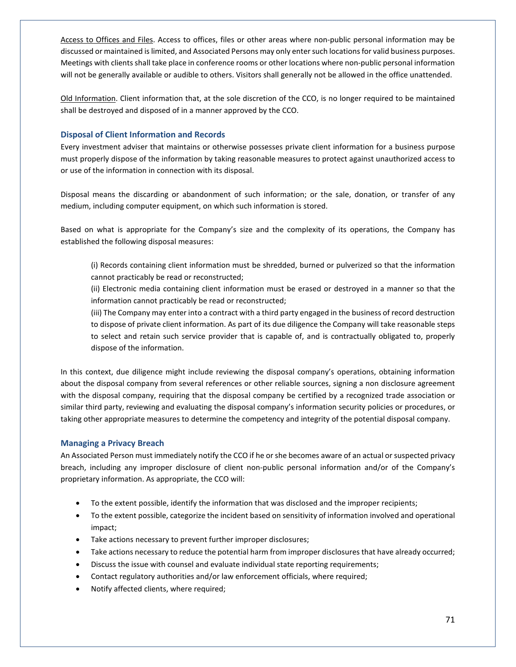Access to Offices and Files. Access to offices, files or other areas where non-public personal information may be discussed or maintained is limited, and Associated Persons may only enter such locations for valid business purposes. Meetings with clients shall take place in conference rooms or other locations where non-public personal information will not be generally available or audible to others. Visitors shall generally not be allowed in the office unattended.

Old Information. Client information that, at the sole discretion of the CCO, is no longer required to be maintained shall be destroyed and disposed of in a manner approved by the CCO.

# **Disposal of Client Information and Records**

Every investment adviser that maintains or otherwise possesses private client information for a business purpose must properly dispose of the information by taking reasonable measures to protect against unauthorized access to or use of the information in connection with its disposal.

Disposal means the discarding or abandonment of such information; or the sale, donation, or transfer of any medium, including computer equipment, on which such information is stored.

Based on what is appropriate for the Company's size and the complexity of its operations, the Company has established the following disposal measures:

(i) Records containing client information must be shredded, burned or pulverized so that the information cannot practicably be read or reconstructed;

(ii) Electronic media containing client information must be erased or destroyed in a manner so that the information cannot practicably be read or reconstructed;

(iii) The Company may enter into a contract with a third party engaged in the business of record destruction to dispose of private client information. As part of its due diligence the Company will take reasonable steps to select and retain such service provider that is capable of, and is contractually obligated to, properly dispose of the information.

In this context, due diligence might include reviewing the disposal company's operations, obtaining information about the disposal company from several references or other reliable sources, signing a non disclosure agreement with the disposal company, requiring that the disposal company be certified by a recognized trade association or similar third party, reviewing and evaluating the disposal company's information security policies or procedures, or taking other appropriate measures to determine the competency and integrity of the potential disposal company.

# **Managing a Privacy Breach**

An Associated Person must immediately notify the CCO if he or she becomes aware of an actual or suspected privacy breach, including any improper disclosure of client non-public personal information and/or of the Company's proprietary information. As appropriate, the CCO will:

- To the extent possible, identify the information that was disclosed and the improper recipients;
- To the extent possible, categorize the incident based on sensitivity of information involved and operational impact;
- Take actions necessary to prevent further improper disclosures;
- Take actions necessary to reduce the potential harm from improper disclosures that have already occurred;
- Discuss the issue with counsel and evaluate individual state reporting requirements;
- Contact regulatory authorities and/or law enforcement officials, where required;
- Notify affected clients, where required;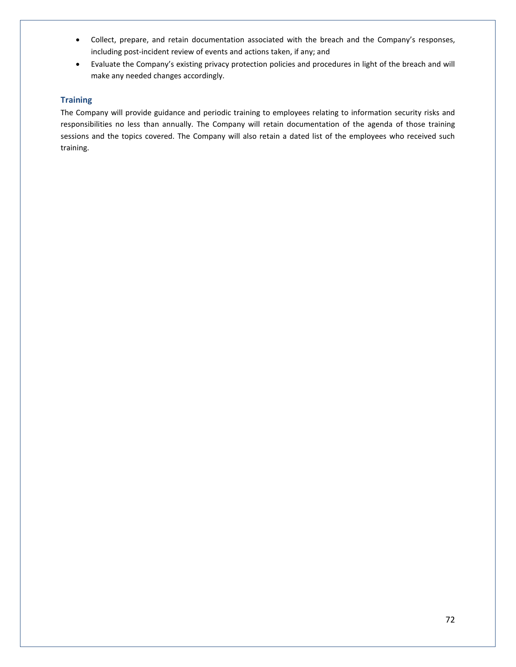- Collect, prepare, and retain documentation associated with the breach and the Company's responses, including post-incident review of events and actions taken, if any; and
- Evaluate the Company's existing privacy protection policies and procedures in light of the breach and will make any needed changes accordingly.

# **Training**

The Company will provide guidance and periodic training to employees relating to information security risks and responsibilities no less than annually. The Company will retain documentation of the agenda of those training sessions and the topics covered. The Company will also retain a dated list of the employees who received such training.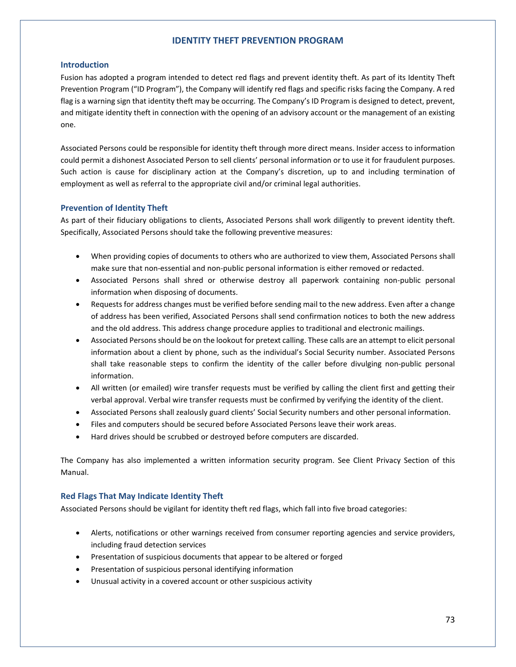## **IDENTITY THEFT PREVENTION PROGRAM**

## **Introduction**

Fusion has adopted a program intended to detect red flags and prevent identity theft. As part of its Identity Theft Prevention Program ("ID Program"), the Company will identify red flags and specific risks facing the Company. A red flag is a warning sign that identity theft may be occurring. The Company's ID Program is designed to detect, prevent, and mitigate identity theft in connection with the opening of an advisory account or the management of an existing one.

Associated Persons could be responsible for identity theft through more direct means. Insider access to information could permit a dishonest Associated Person to sell clients' personal information or to use it for fraudulent purposes. Such action is cause for disciplinary action at the Company's discretion, up to and including termination of employment as well as referral to the appropriate civil and/or criminal legal authorities.

## **Prevention of Identity Theft**

As part of their fiduciary obligations to clients, Associated Persons shall work diligently to prevent identity theft. Specifically, Associated Persons should take the following preventive measures:

- When providing copies of documents to others who are authorized to view them, Associated Persons shall make sure that non-essential and non-public personal information is either removed or redacted.
- Associated Persons shall shred or otherwise destroy all paperwork containing non-public personal information when disposing of documents.
- Requests for address changes must be verified before sending mail to the new address. Even after a change of address has been verified, Associated Persons shall send confirmation notices to both the new address and the old address. This address change procedure applies to traditional and electronic mailings.
- Associated Persons should be on the lookout for pretext calling. These calls are an attempt to elicit personal information about a client by phone, such as the individual's Social Security number. Associated Persons shall take reasonable steps to confirm the identity of the caller before divulging non-public personal information.
- All written (or emailed) wire transfer requests must be verified by calling the client first and getting their verbal approval. Verbal wire transfer requests must be confirmed by verifying the identity of the client.
- Associated Persons shall zealously guard clients' Social Security numbers and other personal information.
- Files and computers should be secured before Associated Persons leave their work areas.
- Hard drives should be scrubbed or destroyed before computers are discarded.

The Company has also implemented a written information security program. See Client Privacy Section of this Manual.

# **Red Flags That May Indicate Identity Theft**

Associated Persons should be vigilant for identity theft red flags, which fall into five broad categories:

- Alerts, notifications or other warnings received from consumer reporting agencies and service providers, including fraud detection services
- Presentation of suspicious documents that appear to be altered or forged
- Presentation of suspicious personal identifying information
- Unusual activity in a covered account or other suspicious activity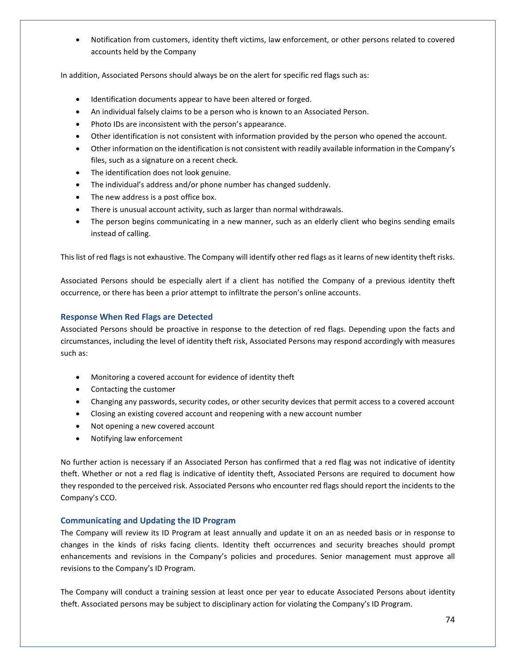• Notification from customers, identity theft victims, law enforcement, or other persons related to covered accounts held by the Company

In addition, Associated Persons should always be on the alert for specific red flags such as:

- Identification documents appear to have been altered or forged.
- An individual falsely claims to be a person who is known to an Associated Person.
- Photo IDs are inconsistent with the person's appearance.
- Other identification is not consistent with information provided by the person who opened the account.
- Other information on the identification is not consistent with readily available information in the Company's files, such as a signature on a recent check.
- The identification does not look genuine.
- The individual's address and/or phone number has changed suddenly.
- The new address is a post office box.
- There is unusual account activity, such as larger than normal withdrawals.
- The person begins communicating in a new manner, such as an elderly client who begins sending emails instead of calling.

This list of red flags is not exhaustive. The Company will identify other red flags as it learns of new identity theft risks.

Associated Persons should be especially alert if a client has notified the Company of a previous identity theft occurrence, or there has been a prior attempt to infiltrate the person's online accounts.

# **Response When Red Flags are Detected**

Associated Persons should be proactive in response to the detection of red flags. Depending upon the facts and circumstances, including the level of identity theft risk, Associated Persons may respond accordingly with measures such as:

- Monitoring a covered account for evidence of identity theft
- Contacting the customer
- Changing any passwords, security codes, or other security devices that permit access to a covered account
- Closing an existing covered account and reopening with a new account number
- Not opening a new covered account
- Notifying law enforcement

No further action is necessary if an Associated Person has confirmed that a red flag was not indicative of identity theft. Whether or not a red flag is indicative of identity theft, Associated Persons are required to document how they responded to the perceived risk. Associated Persons who encounter red flags should report the incidents to the Company's CCO.

# **Communicating and Updating the ID Program**

The Company will review its ID Program at least annually and update it on an as needed basis or in response to changes in the kinds of risks facing clients. Identity theft occurrences and security breaches should prompt enhancements and revisions in the Company's policies and procedures. Senior management must approve all revisions to the Company's ID Program.

The Company will conduct a training session at least once per year to educate Associated Persons about identity theft. Associated persons may be subject to disciplinary action for violating the Company's ID Program.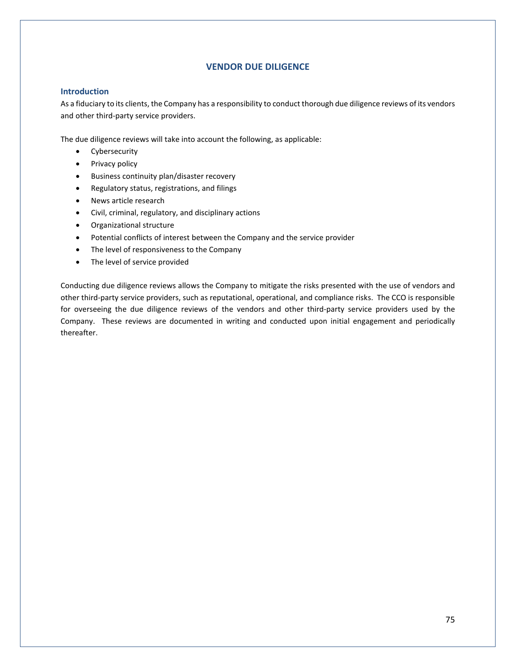# **VENDOR DUE DILIGENCE**

## **Introduction**

As a fiduciary to its clients, the Company has a responsibility to conduct thorough due diligence reviews of its vendors and other third-party service providers.

The due diligence reviews will take into account the following, as applicable:

- Cybersecurity
- Privacy policy
- Business continuity plan/disaster recovery
- Regulatory status, registrations, and filings
- News article research
- Civil, criminal, regulatory, and disciplinary actions
- Organizational structure
- Potential conflicts of interest between the Company and the service provider
- The level of responsiveness to the Company
- The level of service provided

Conducting due diligence reviews allows the Company to mitigate the risks presented with the use of vendors and other third-party service providers, such as reputational, operational, and compliance risks. The CCO is responsible for overseeing the due diligence reviews of the vendors and other third-party service providers used by the Company. These reviews are documented in writing and conducted upon initial engagement and periodically thereafter.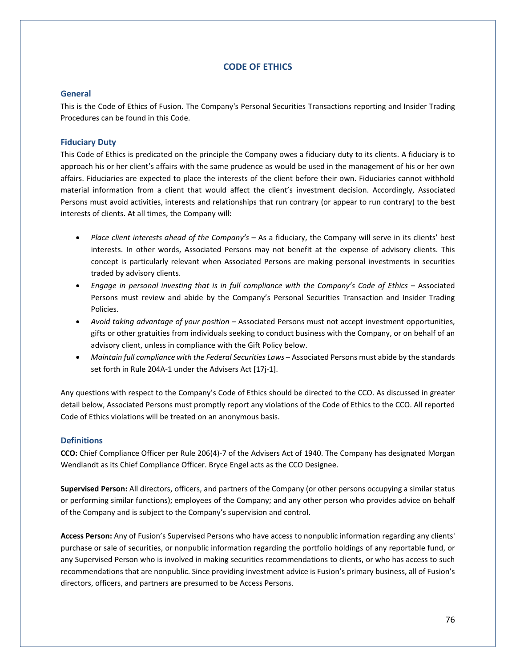# **CODE OF ETHICS**

# **General**

This is the Code of Ethics of Fusion. The Company's Personal Securities Transactions reporting and Insider Trading Procedures can be found in this Code.

# **Fiduciary Duty**

This Code of Ethics is predicated on the principle the Company owes a fiduciary duty to its clients. A fiduciary is to approach his or her client's affairs with the same prudence as would be used in the management of his or her own affairs. Fiduciaries are expected to place the interests of the client before their own. Fiduciaries cannot withhold material information from a client that would affect the client's investment decision. Accordingly, Associated Persons must avoid activities, interests and relationships that run contrary (or appear to run contrary) to the best interests of clients. At all times, the Company will:

- *Place client interests ahead of the Company's* As a fiduciary, the Company will serve in its clients' best interests. In other words, Associated Persons may not benefit at the expense of advisory clients. This concept is particularly relevant when Associated Persons are making personal investments in securities traded by advisory clients.
- *Engage in personal investing that is in full compliance with the Company's Code of Ethics* Associated Persons must review and abide by the Company's Personal Securities Transaction and Insider Trading Policies.
- *Avoid taking advantage of your position* Associated Persons must not accept investment opportunities, gifts or other gratuities from individuals seeking to conduct business with the Company, or on behalf of an advisory client, unless in compliance with the Gift Policy below.
- *Maintain full compliance with the Federal Securities Laws* Associated Persons must abide by the standards set forth in Rule 204A-1 under the Advisers Act [17j-1].

Any questions with respect to the Company's Code of Ethics should be directed to the CCO. As discussed in greater detail below, Associated Persons must promptly report any violations of the Code of Ethics to the CCO. All reported Code of Ethics violations will be treated on an anonymous basis.

# **Definitions**

**CCO:** Chief Compliance Officer per Rule 206(4)-7 of the Advisers Act of 1940. The Company has designated Morgan Wendlandt as its Chief Compliance Officer. Bryce Engel acts as the CCO Designee.

**Supervised Person:** All directors, officers, and partners of the Company (or other persons occupying a similar status or performing similar functions); employees of the Company; and any other person who provides advice on behalf of the Company and is subject to the Company's supervision and control.

**Access Person:** Any of Fusion's Supervised Persons who have access to nonpublic information regarding any clients' purchase or sale of securities, or nonpublic information regarding the portfolio holdings of any reportable fund, or any Supervised Person who is involved in making securities recommendations to clients, or who has access to such recommendations that are nonpublic. Since providing investment advice is Fusion's primary business, all of Fusion's directors, officers, and partners are presumed to be Access Persons.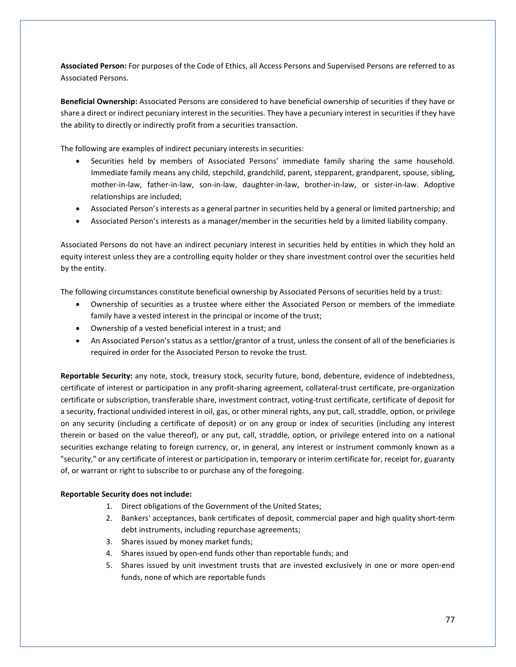**Associated Person:** For purposes of the Code of Ethics, all Access Persons and Supervised Persons are referred to as Associated Persons.

**Beneficial Ownership:** Associated Persons are considered to have beneficial ownership of securities if they have or share a direct or indirect pecuniary interest in the securities. They have a pecuniary interest in securities if they have the ability to directly or indirectly profit from a securities transaction.

The following are examples of indirect pecuniary interests in securities:

- Securities held by members of Associated Persons' immediate family sharing the same household. Immediate family means any child, stepchild, grandchild, parent, stepparent, grandparent, spouse, sibling, mother-in-law, father-in-law, son-in-law, daughter-in-law, brother-in-law, or sister-in-law. Adoptive relationships are included;
- Associated Person's interests as a general partner in securities held by a general or limited partnership; and
- Associated Person's interests as a manager/member in the securities held by a limited liability company.

Associated Persons do not have an indirect pecuniary interest in securities held by entities in which they hold an equity interest unless they are a controlling equity holder or they share investment control over the securities held by the entity.

The following circumstances constitute beneficial ownership by Associated Persons of securities held by a trust:

- Ownership of securities as a trustee where either the Associated Person or members of the immediate family have a vested interest in the principal or income of the trust;
- Ownership of a vested beneficial interest in a trust; and
- An Associated Person's status as a settlor/grantor of a trust, unless the consent of all of the beneficiaries is required in order for the Associated Person to revoke the trust.

**Reportable Security:** any note, stock, treasury stock, security future, bond, debenture, evidence of indebtedness, certificate of interest or participation in any profit-sharing agreement, collateral-trust certificate, pre-organization certificate or subscription, transferable share, investment contract, voting-trust certificate, certificate of deposit for a security, fractional undivided interest in oil, gas, or other mineral rights, any put, call, straddle, option, or privilege on any security (including a certificate of deposit) or on any group or index of securities (including any interest therein or based on the value thereof), or any put, call, straddle, option, or privilege entered into on a national securities exchange relating to foreign currency, or, in general, any interest or instrument commonly known as a "security," or any certificate of interest or participation in, temporary or interim certificate for, receipt for, guaranty of, or warrant or right to subscribe to or purchase any of the foregoing.

### **Reportable Security does not include:**

- 1. Direct obligations of the Government of the United States;
- 2. Bankers' acceptances, bank certificates of deposit, commercial paper and high quality short-term debt instruments, including repurchase agreements;
- 3. Shares issued by money market funds;
- 4. Shares issued by open-end funds other than reportable funds; and
- 5. Shares issued by unit investment trusts that are invested exclusively in one or more open-end funds, none of which are reportable funds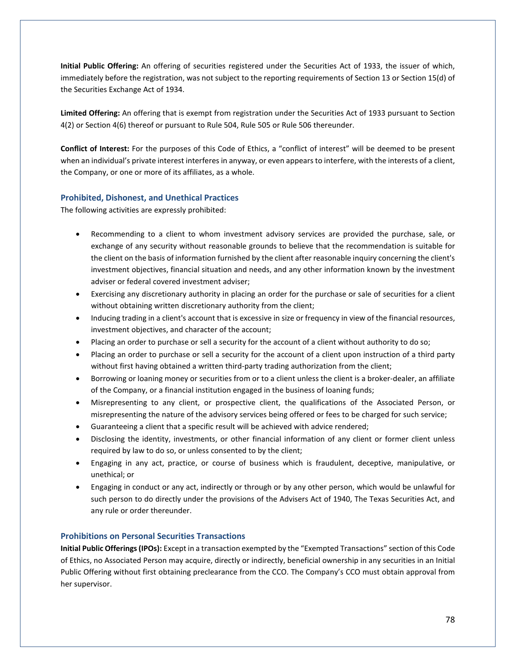**Initial Public Offering:** An offering of securities registered under the Securities Act of 1933, the issuer of which, immediately before the registration, was not subject to the reporting requirements of Section 13 or Section 15(d) of the Securities Exchange Act of 1934.

**Limited Offering:** An offering that is exempt from registration under the Securities Act of 1933 pursuant to Section 4(2) or Section 4(6) thereof or pursuant to Rule 504, Rule 505 or Rule 506 thereunder.

**Conflict of Interest:** For the purposes of this Code of Ethics, a "conflict of interest" will be deemed to be present when an individual's private interest interferes in anyway, or even appears to interfere, with the interests of a client, the Company, or one or more of its affiliates, as a whole.

# **Prohibited, Dishonest, and Unethical Practices**

The following activities are expressly prohibited:

- Recommending to a client to whom investment advisory services are provided the purchase, sale, or exchange of any security without reasonable grounds to believe that the recommendation is suitable for the client on the basis of information furnished by the client after reasonable inquiry concerning the client's investment objectives, financial situation and needs, and any other information known by the investment adviser or federal covered investment adviser;
- Exercising any discretionary authority in placing an order for the purchase or sale of securities for a client without obtaining written discretionary authority from the client;
- Inducing trading in a client's account that is excessive in size or frequency in view of the financial resources, investment objectives, and character of the account;
- Placing an order to purchase or sell a security for the account of a client without authority to do so;
- Placing an order to purchase or sell a security for the account of a client upon instruction of a third party without first having obtained a written third-party trading authorization from the client;
- Borrowing or loaning money or securities from or to a client unless the client is a broker-dealer, an affiliate of the Company, or a financial institution engaged in the business of loaning funds;
- Misrepresenting to any client, or prospective client, the qualifications of the Associated Person, or misrepresenting the nature of the advisory services being offered or fees to be charged for such service;
- Guaranteeing a client that a specific result will be achieved with advice rendered;
- Disclosing the identity, investments, or other financial information of any client or former client unless required by law to do so, or unless consented to by the client;
- Engaging in any act, practice, or course of business which is fraudulent, deceptive, manipulative, or unethical; or
- Engaging in conduct or any act, indirectly or through or by any other person, which would be unlawful for such person to do directly under the provisions of the Advisers Act of 1940, The Texas Securities Act, and any rule or order thereunder.

# **Prohibitions on Personal Securities Transactions**

**Initial Public Offerings (IPOs):** Except in a transaction exempted by the "Exempted Transactions" section of this Code of Ethics, no Associated Person may acquire, directly or indirectly, beneficial ownership in any securities in an Initial Public Offering without first obtaining preclearance from the CCO. The Company's CCO must obtain approval from her supervisor.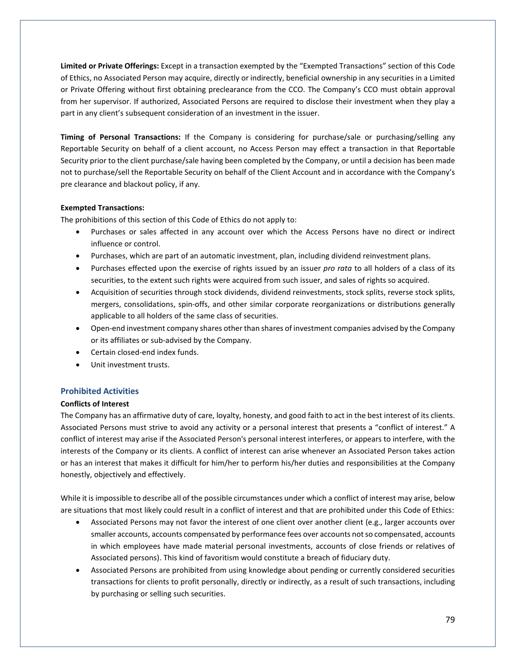**Limited or Private Offerings:** Except in a transaction exempted by the "Exempted Transactions" section of this Code of Ethics, no Associated Person may acquire, directly or indirectly, beneficial ownership in any securities in a Limited or Private Offering without first obtaining preclearance from the CCO. The Company's CCO must obtain approval from her supervisor. If authorized, Associated Persons are required to disclose their investment when they play a part in any client's subsequent consideration of an investment in the issuer.

**Timing of Personal Transactions:** If the Company is considering for purchase/sale or purchasing/selling any Reportable Security on behalf of a client account, no Access Person may effect a transaction in that Reportable Security prior to the client purchase/sale having been completed by the Company, or until a decision has been made not to purchase/sell the Reportable Security on behalf of the Client Account and in accordance with the Company's pre clearance and blackout policy, if any.

# **Exempted Transactions:**

The prohibitions of this section of this Code of Ethics do not apply to:

- Purchases or sales affected in any account over which the Access Persons have no direct or indirect influence or control.
- Purchases, which are part of an automatic investment, plan, including dividend reinvestment plans.
- Purchases effected upon the exercise of rights issued by an issuer *pro rata* to all holders of a class of its securities, to the extent such rights were acquired from such issuer, and sales of rights so acquired.
- Acquisition of securities through stock dividends, dividend reinvestments, stock splits, reverse stock splits, mergers, consolidations, spin-offs, and other similar corporate reorganizations or distributions generally applicable to all holders of the same class of securities.
- Open-end investment company shares other than shares of investment companies advised by the Company or its affiliates or sub-advised by the Company.
- Certain closed-end index funds.
- Unit investment trusts.

# **Prohibited Activities**

# **Conflicts of Interest**

The Company has an affirmative duty of care, loyalty, honesty, and good faith to act in the best interest of its clients. Associated Persons must strive to avoid any activity or a personal interest that presents a "conflict of interest." A conflict of interest may arise if the Associated Person's personal interest interferes, or appears to interfere, with the interests of the Company or its clients. A conflict of interest can arise whenever an Associated Person takes action or has an interest that makes it difficult for him/her to perform his/her duties and responsibilities at the Company honestly, objectively and effectively.

While it is impossible to describe all of the possible circumstances under which a conflict of interest may arise, below are situations that most likely could result in a conflict of interest and that are prohibited under this Code of Ethics:

- Associated Persons may not favor the interest of one client over another client (e.g., larger accounts over smaller accounts, accounts compensated by performance fees over accounts not so compensated, accounts in which employees have made material personal investments, accounts of close friends or relatives of Associated persons). This kind of favoritism would constitute a breach of fiduciary duty.
- Associated Persons are prohibited from using knowledge about pending or currently considered securities transactions for clients to profit personally, directly or indirectly, as a result of such transactions, including by purchasing or selling such securities.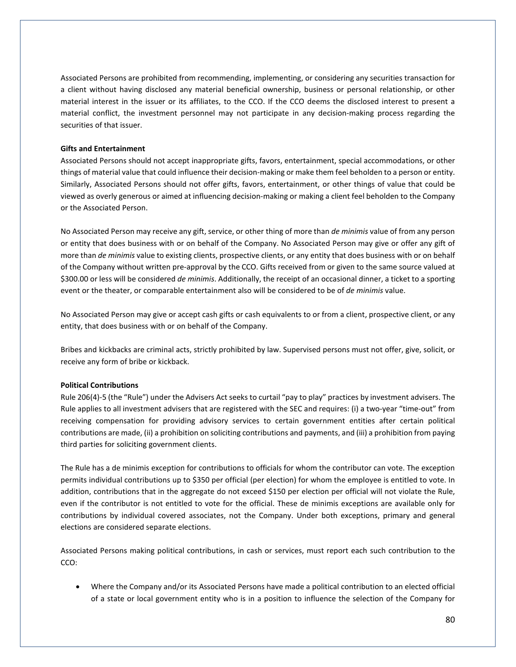Associated Persons are prohibited from recommending, implementing, or considering any securities transaction for a client without having disclosed any material beneficial ownership, business or personal relationship, or other material interest in the issuer or its affiliates, to the CCO. If the CCO deems the disclosed interest to present a material conflict, the investment personnel may not participate in any decision-making process regarding the securities of that issuer.

### **Gifts and Entertainment**

Associated Persons should not accept inappropriate gifts, favors, entertainment, special accommodations, or other things of material value that could influence their decision-making or make them feel beholden to a person or entity. Similarly, Associated Persons should not offer gifts, favors, entertainment, or other things of value that could be viewed as overly generous or aimed at influencing decision-making or making a client feel beholden to the Company or the Associated Person.

No Associated Person may receive any gift, service, or other thing of more than *de minimis* value of from any person or entity that does business with or on behalf of the Company. No Associated Person may give or offer any gift of more than *de minimis* value to existing clients, prospective clients, or any entity that does business with or on behalf of the Company without written pre-approval by the CCO. Gifts received from or given to the same source valued at \$300.00 or less will be considered *de minimis*. Additionally, the receipt of an occasional dinner, a ticket to a sporting event or the theater, or comparable entertainment also will be considered to be of *de minimis* value.

No Associated Person may give or accept cash gifts or cash equivalents to or from a client, prospective client, or any entity, that does business with or on behalf of the Company.

Bribes and kickbacks are criminal acts, strictly prohibited by law. Supervised persons must not offer, give, solicit, or receive any form of bribe or kickback.

#### **Political Contributions**

Rule 206(4)-5 (the "Rule") under the Advisers Act seeks to curtail "pay to play" practices by investment advisers. The Rule applies to all investment advisers that are registered with the SEC and requires: (i) a two-year "time-out" from receiving compensation for providing advisory services to certain government entities after certain political contributions are made, (ii) a prohibition on soliciting contributions and payments, and (iii) a prohibition from paying third parties for soliciting government clients.

The Rule has a de minimis exception for contributions to officials for whom the contributor can vote. The exception permits individual contributions up to \$350 per official (per election) for whom the employee is entitled to vote. In addition, contributions that in the aggregate do not exceed \$150 per election per official will not violate the Rule, even if the contributor is not entitled to vote for the official. These de minimis exceptions are available only for contributions by individual covered associates, not the Company. Under both exceptions, primary and general elections are considered separate elections.

Associated Persons making political contributions, in cash or services, must report each such contribution to the CCO:

• Where the Company and/or its Associated Persons have made a political contribution to an elected official of a state or local government entity who is in a position to influence the selection of the Company for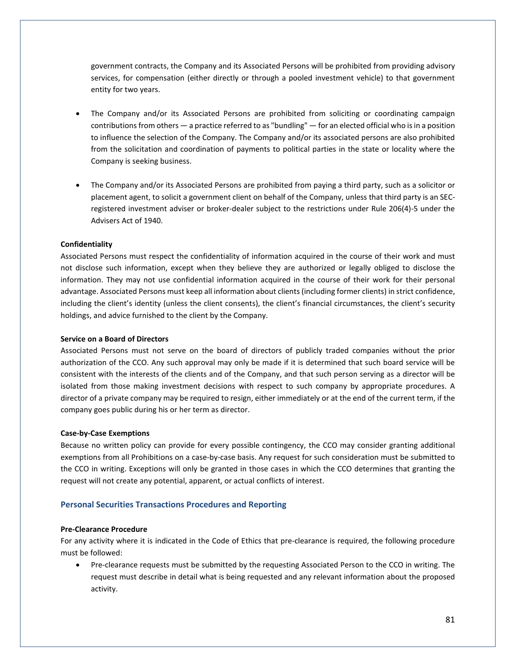government contracts, the Company and its Associated Persons will be prohibited from providing advisory services, for compensation (either directly or through a pooled investment vehicle) to that government entity for two years.

- The Company and/or its Associated Persons are prohibited from soliciting or coordinating campaign contributions from others — a practice referred to as "bundling" — for an elected official who is in a position to influence the selection of the Company. The Company and/or its associated persons are also prohibited from the solicitation and coordination of payments to political parties in the state or locality where the Company is seeking business.
- The Company and/or its Associated Persons are prohibited from paying a third party, such as a solicitor or placement agent, to solicit a government client on behalf of the Company, unless that third party is an SECregistered investment adviser or broker-dealer subject to the restrictions under Rule 206(4)-5 under the Advisers Act of 1940.

#### **Confidentiality**

Associated Persons must respect the confidentiality of information acquired in the course of their work and must not disclose such information, except when they believe they are authorized or legally obliged to disclose the information. They may not use confidential information acquired in the course of their work for their personal advantage. Associated Persons must keep all information about clients (including former clients) in strict confidence, including the client's identity (unless the client consents), the client's financial circumstances, the client's security holdings, and advice furnished to the client by the Company.

#### **Service on a Board of Directors**

Associated Persons must not serve on the board of directors of publicly traded companies without the prior authorization of the CCO. Any such approval may only be made if it is determined that such board service will be consistent with the interests of the clients and of the Company, and that such person serving as a director will be isolated from those making investment decisions with respect to such company by appropriate procedures. A director of a private company may be required to resign, either immediately or at the end of the current term, if the company goes public during his or her term as director.

#### **Case-by-Case Exemptions**

Because no written policy can provide for every possible contingency, the CCO may consider granting additional exemptions from all Prohibitions on a case-by-case basis. Any request for such consideration must be submitted to the CCO in writing. Exceptions will only be granted in those cases in which the CCO determines that granting the request will not create any potential, apparent, or actual conflicts of interest.

## **Personal Securities Transactions Procedures and Reporting**

#### **Pre-Clearance Procedure**

For any activity where it is indicated in the Code of Ethics that pre-clearance is required, the following procedure must be followed:

• Pre-clearance requests must be submitted by the requesting Associated Person to the CCO in writing. The request must describe in detail what is being requested and any relevant information about the proposed activity.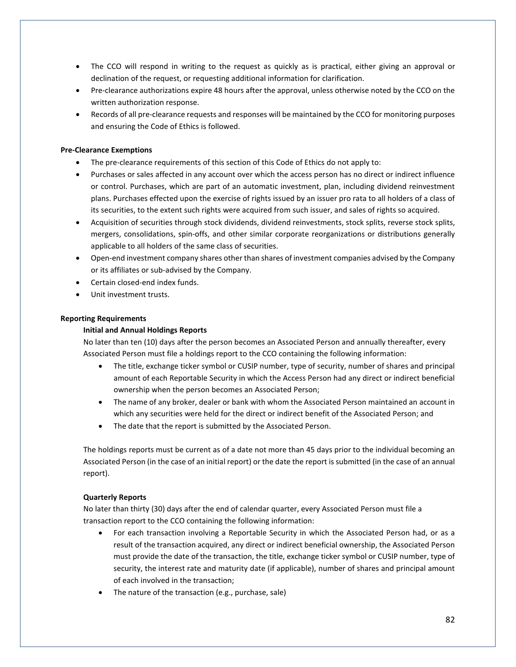- The CCO will respond in writing to the request as quickly as is practical, either giving an approval or declination of the request, or requesting additional information for clarification.
- Pre-clearance authorizations expire 48 hours after the approval, unless otherwise noted by the CCO on the written authorization response.
- Records of all pre-clearance requests and responses will be maintained by the CCO for monitoring purposes and ensuring the Code of Ethics is followed.

## **Pre-Clearance Exemptions**

- The pre-clearance requirements of this section of this Code of Ethics do not apply to:
- Purchases or sales affected in any account over which the access person has no direct or indirect influence or control. Purchases, which are part of an automatic investment, plan, including dividend reinvestment plans. Purchases effected upon the exercise of rights issued by an issuer pro rata to all holders of a class of its securities, to the extent such rights were acquired from such issuer, and sales of rights so acquired.
- Acquisition of securities through stock dividends, dividend reinvestments, stock splits, reverse stock splits, mergers, consolidations, spin-offs, and other similar corporate reorganizations or distributions generally applicable to all holders of the same class of securities.
- Open-end investment company shares other than shares of investment companies advised by the Company or its affiliates or sub-advised by the Company.
- Certain closed-end index funds.
- Unit investment trusts.

### **Reporting Requirements**

### **Initial and Annual Holdings Reports**

No later than ten (10) days after the person becomes an Associated Person and annually thereafter, every Associated Person must file a holdings report to the CCO containing the following information:

- The title, exchange ticker symbol or CUSIP number, type of security, number of shares and principal amount of each Reportable Security in which the Access Person had any direct or indirect beneficial ownership when the person becomes an Associated Person;
- The name of any broker, dealer or bank with whom the Associated Person maintained an account in which any securities were held for the direct or indirect benefit of the Associated Person; and
- The date that the report is submitted by the Associated Person.

The holdings reports must be current as of a date not more than 45 days prior to the individual becoming an Associated Person (in the case of an initial report) or the date the report is submitted (in the case of an annual report).

### **Quarterly Reports**

No later than thirty (30) days after the end of calendar quarter, every Associated Person must file a transaction report to the CCO containing the following information:

- For each transaction involving a Reportable Security in which the Associated Person had, or as a result of the transaction acquired, any direct or indirect beneficial ownership, the Associated Person must provide the date of the transaction, the title, exchange ticker symbol or CUSIP number, type of security, the interest rate and maturity date (if applicable), number of shares and principal amount of each involved in the transaction;
- The nature of the transaction (e.g., purchase, sale)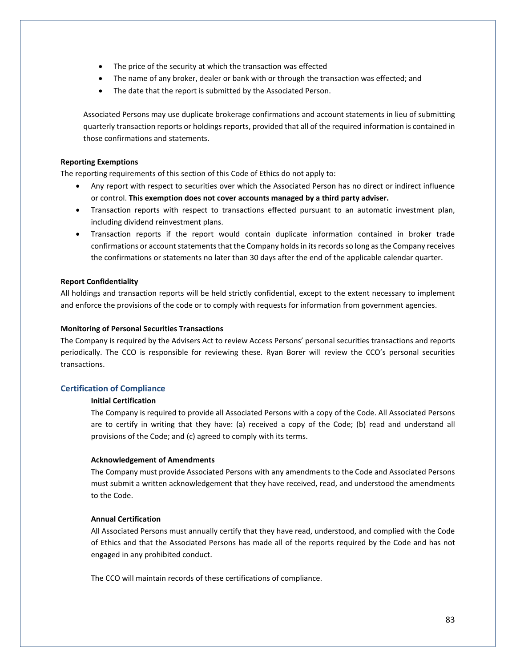- The price of the security at which the transaction was effected
- The name of any broker, dealer or bank with or through the transaction was effected; and
- The date that the report is submitted by the Associated Person.

Associated Persons may use duplicate brokerage confirmations and account statements in lieu of submitting quarterly transaction reports or holdings reports, provided that all of the required information is contained in those confirmations and statements.

## **Reporting Exemptions**

The reporting requirements of this section of this Code of Ethics do not apply to:

- Any report with respect to securities over which the Associated Person has no direct or indirect influence or control. **This exemption does not cover accounts managed by a third party adviser.**
- Transaction reports with respect to transactions effected pursuant to an automatic investment plan, including dividend reinvestment plans.
- Transaction reports if the report would contain duplicate information contained in broker trade confirmations or account statements that the Company holds in its records so long as the Company receives the confirmations or statements no later than 30 days after the end of the applicable calendar quarter.

## **Report Confidentiality**

All holdings and transaction reports will be held strictly confidential, except to the extent necessary to implement and enforce the provisions of the code or to comply with requests for information from government agencies.

## **Monitoring of Personal Securities Transactions**

The Company is required by the Advisers Act to review Access Persons' personal securities transactions and reports periodically. The CCO is responsible for reviewing these. Ryan Borer will review the CCO's personal securities transactions.

# **Certification of Compliance**

# **Initial Certification**

The Company is required to provide all Associated Persons with a copy of the Code. All Associated Persons are to certify in writing that they have: (a) received a copy of the Code; (b) read and understand all provisions of the Code; and (c) agreed to comply with its terms.

### **Acknowledgement of Amendments**

The Company must provide Associated Persons with any amendments to the Code and Associated Persons must submit a written acknowledgement that they have received, read, and understood the amendments to the Code.

## **Annual Certification**

All Associated Persons must annually certify that they have read, understood, and complied with the Code of Ethics and that the Associated Persons has made all of the reports required by the Code and has not engaged in any prohibited conduct.

The CCO will maintain records of these certifications of compliance.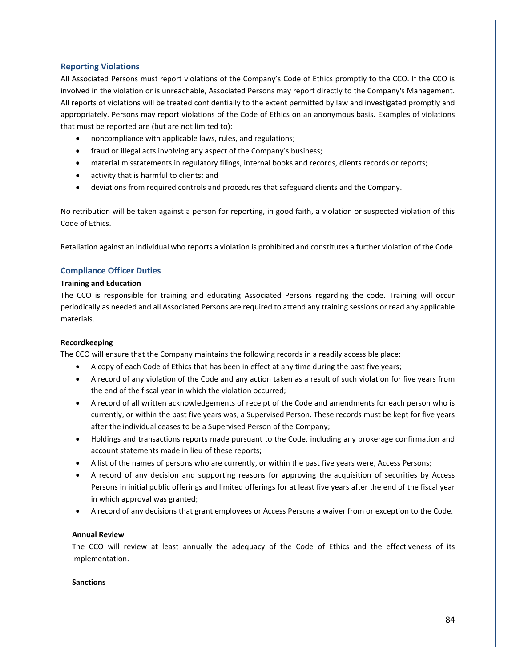# **Reporting Violations**

All Associated Persons must report violations of the Company's Code of Ethics promptly to the CCO. If the CCO is involved in the violation or is unreachable, Associated Persons may report directly to the Company's Management. All reports of violations will be treated confidentially to the extent permitted by law and investigated promptly and appropriately. Persons may report violations of the Code of Ethics on an anonymous basis. Examples of violations that must be reported are (but are not limited to):

- noncompliance with applicable laws, rules, and regulations;
- fraud or illegal acts involving any aspect of the Company's business;
- material misstatements in regulatory filings, internal books and records, clients records or reports;
- activity that is harmful to clients; and
- deviations from required controls and procedures that safeguard clients and the Company.

No retribution will be taken against a person for reporting, in good faith, a violation or suspected violation of this Code of Ethics.

Retaliation against an individual who reports a violation is prohibited and constitutes a further violation of the Code.

# **Compliance Officer Duties**

## **Training and Education**

The CCO is responsible for training and educating Associated Persons regarding the code. Training will occur periodically as needed and all Associated Persons are required to attend any training sessions or read any applicable materials.

# **Recordkeeping**

The CCO will ensure that the Company maintains the following records in a readily accessible place:

- A copy of each Code of Ethics that has been in effect at any time during the past five years;
- A record of any violation of the Code and any action taken as a result of such violation for five years from the end of the fiscal year in which the violation occurred;
- A record of all written acknowledgements of receipt of the Code and amendments for each person who is currently, or within the past five years was, a Supervised Person. These records must be kept for five years after the individual ceases to be a Supervised Person of the Company;
- Holdings and transactions reports made pursuant to the Code, including any brokerage confirmation and account statements made in lieu of these reports;
- A list of the names of persons who are currently, or within the past five years were, Access Persons;
- A record of any decision and supporting reasons for approving the acquisition of securities by Access Persons in initial public offerings and limited offerings for at least five years after the end of the fiscal year in which approval was granted;
- A record of any decisions that grant employees or Access Persons a waiver from or exception to the Code.

# **Annual Review**

The CCO will review at least annually the adequacy of the Code of Ethics and the effectiveness of its implementation.

### **Sanctions**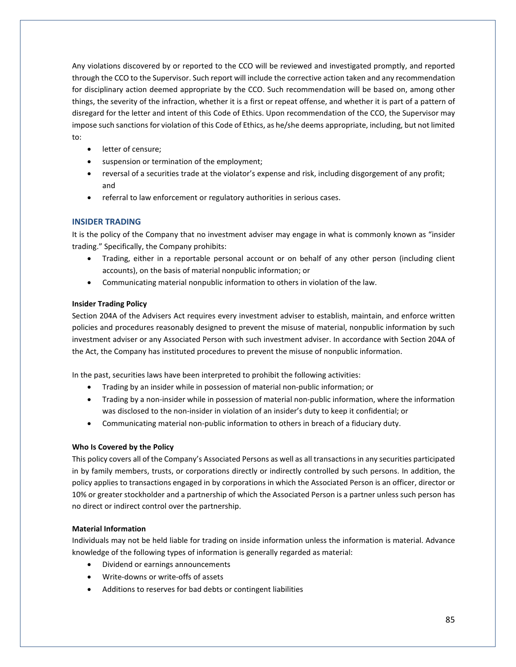Any violations discovered by or reported to the CCO will be reviewed and investigated promptly, and reported through the CCO to the Supervisor. Such report will include the corrective action taken and any recommendation for disciplinary action deemed appropriate by the CCO. Such recommendation will be based on, among other things, the severity of the infraction, whether it is a first or repeat offense, and whether it is part of a pattern of disregard for the letter and intent of this Code of Ethics. Upon recommendation of the CCO, the Supervisor may impose such sanctions for violation of this Code of Ethics, as he/she deems appropriate, including, but not limited to:

- letter of censure;
- suspension or termination of the employment;
- reversal of a securities trade at the violator's expense and risk, including disgorgement of any profit; and
- referral to law enforcement or regulatory authorities in serious cases.

# **INSIDER TRADING**

It is the policy of the Company that no investment adviser may engage in what is commonly known as "insider trading." Specifically, the Company prohibits:

- Trading, either in a reportable personal account or on behalf of any other person (including client accounts), on the basis of material nonpublic information; or
- Communicating material nonpublic information to others in violation of the law.

# **Insider Trading Policy**

Section 204A of the Advisers Act requires every investment adviser to establish, maintain, and enforce written policies and procedures reasonably designed to prevent the misuse of material, nonpublic information by such investment adviser or any Associated Person with such investment adviser. In accordance with Section 204A of the Act, the Company has instituted procedures to prevent the misuse of nonpublic information.

In the past, securities laws have been interpreted to prohibit the following activities:

- Trading by an insider while in possession of material non-public information; or
- Trading by a non-insider while in possession of material non-public information, where the information was disclosed to the non-insider in violation of an insider's duty to keep it confidential; or
- Communicating material non-public information to others in breach of a fiduciary duty.

# **Who Is Covered by the Policy**

This policy covers all of the Company's Associated Persons as well as all transactions in any securities participated in by family members, trusts, or corporations directly or indirectly controlled by such persons. In addition, the policy applies to transactions engaged in by corporations in which the Associated Person is an officer, director or 10% or greater stockholder and a partnership of which the Associated Person is a partner unless such person has no direct or indirect control over the partnership.

# **Material Information**

Individuals may not be held liable for trading on inside information unless the information is material. Advance knowledge of the following types of information is generally regarded as material:

- Dividend or earnings announcements
- Write-downs or write-offs of assets
- Additions to reserves for bad debts or contingent liabilities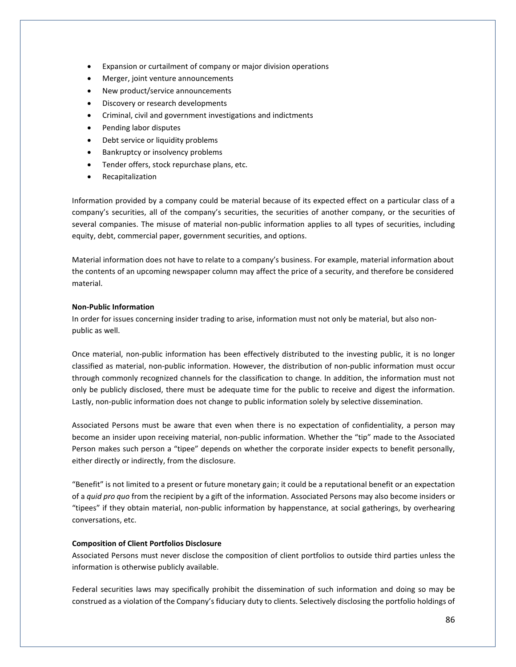- Expansion or curtailment of company or major division operations
- Merger, joint venture announcements
- New product/service announcements
- Discovery or research developments
- Criminal, civil and government investigations and indictments
- Pending labor disputes
- Debt service or liquidity problems
- Bankruptcy or insolvency problems
- Tender offers, stock repurchase plans, etc.
- Recapitalization

Information provided by a company could be material because of its expected effect on a particular class of a company's securities, all of the company's securities, the securities of another company, or the securities of several companies. The misuse of material non-public information applies to all types of securities, including equity, debt, commercial paper, government securities, and options.

Material information does not have to relate to a company's business. For example, material information about the contents of an upcoming newspaper column may affect the price of a security, and therefore be considered material.

### **Non-Public Information**

In order for issues concerning insider trading to arise, information must not only be material, but also nonpublic as well.

Once material, non-public information has been effectively distributed to the investing public, it is no longer classified as material, non-public information. However, the distribution of non-public information must occur through commonly recognized channels for the classification to change. In addition, the information must not only be publicly disclosed, there must be adequate time for the public to receive and digest the information. Lastly, non-public information does not change to public information solely by selective dissemination.

Associated Persons must be aware that even when there is no expectation of confidentiality, a person may become an insider upon receiving material, non-public information. Whether the "tip" made to the Associated Person makes such person a "tipee" depends on whether the corporate insider expects to benefit personally, either directly or indirectly, from the disclosure.

"Benefit" is not limited to a present or future monetary gain; it could be a reputational benefit or an expectation of a *quid pro quo* from the recipient by a gift of the information. Associated Persons may also become insiders or "tipees" if they obtain material, non-public information by happenstance, at social gatherings, by overhearing conversations, etc.

#### **Composition of Client Portfolios Disclosure**

Associated Persons must never disclose the composition of client portfolios to outside third parties unless the information is otherwise publicly available.

Federal securities laws may specifically prohibit the dissemination of such information and doing so may be construed as a violation of the Company's fiduciary duty to clients. Selectively disclosing the portfolio holdings of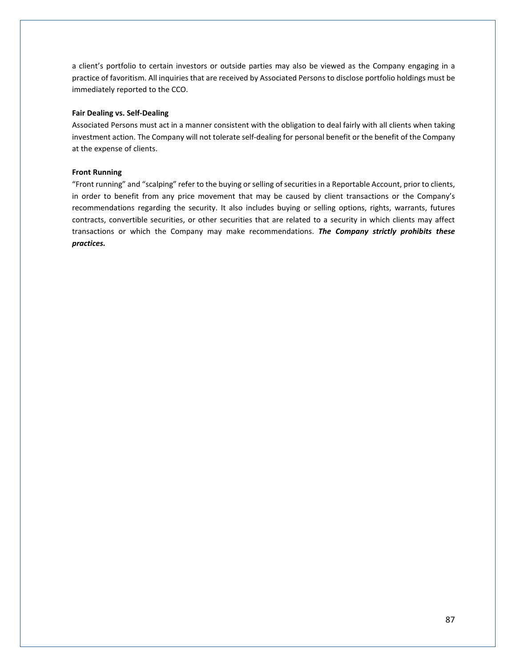a client's portfolio to certain investors or outside parties may also be viewed as the Company engaging in a practice of favoritism. All inquiries that are received by Associated Persons to disclose portfolio holdings must be immediately reported to the CCO.

### **Fair Dealing vs. Self-Dealing**

Associated Persons must act in a manner consistent with the obligation to deal fairly with all clients when taking investment action. The Company will not tolerate self-dealing for personal benefit or the benefit of the Company at the expense of clients.

#### **Front Running**

"Front running" and "scalping" refer to the buying or selling of securities in a Reportable Account, prior to clients, in order to benefit from any price movement that may be caused by client transactions or the Company's recommendations regarding the security. It also includes buying or selling options, rights, warrants, futures contracts, convertible securities, or other securities that are related to a security in which clients may affect transactions or which the Company may make recommendations. *The Company strictly prohibits these practices.*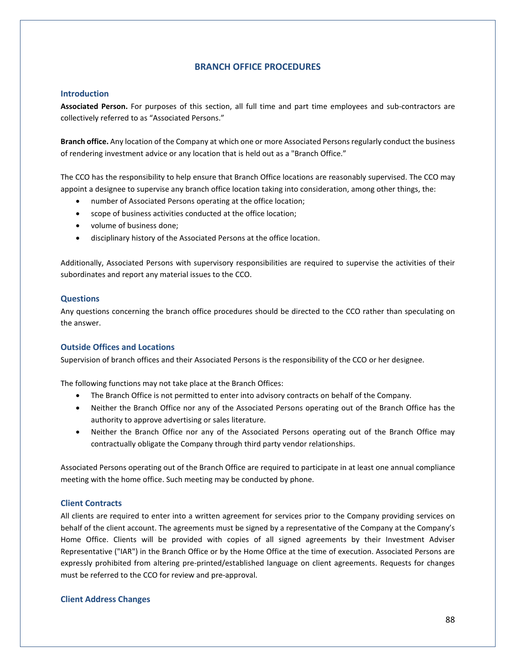# **BRANCH OFFICE PROCEDURES**

## **Introduction**

**Associated Person.** For purposes of this section, all full time and part time employees and sub-contractors are collectively referred to as "Associated Persons."

**Branch office.** Any location of the Company at which one or more Associated Persons regularly conduct the business of rendering investment advice or any location that is held out as a "Branch Office."

The CCO has the responsibility to help ensure that Branch Office locations are reasonably supervised. The CCO may appoint a designee to supervise any branch office location taking into consideration, among other things, the:

- number of Associated Persons operating at the office location;
- scope of business activities conducted at the office location;
- volume of business done;
- disciplinary history of the Associated Persons at the office location.

Additionally, Associated Persons with supervisory responsibilities are required to supervise the activities of their subordinates and report any material issues to the CCO.

## **Questions**

Any questions concerning the branch office procedures should be directed to the CCO rather than speculating on the answer.

# **Outside Offices and Locations**

Supervision of branch offices and their Associated Persons is the responsibility of the CCO or her designee.

The following functions may not take place at the Branch Offices:

- The Branch Office is not permitted to enter into advisory contracts on behalf of the Company.
- Neither the Branch Office nor any of the Associated Persons operating out of the Branch Office has the authority to approve advertising or sales literature.
- Neither the Branch Office nor any of the Associated Persons operating out of the Branch Office may contractually obligate the Company through third party vendor relationships.

Associated Persons operating out of the Branch Office are required to participate in at least one annual compliance meeting with the home office. Such meeting may be conducted by phone.

## **Client Contracts**

All clients are required to enter into a written agreement for services prior to the Company providing services on behalf of the client account. The agreements must be signed by a representative of the Company at the Company's Home Office. Clients will be provided with copies of all signed agreements by their Investment Adviser Representative ("IAR") in the Branch Office or by the Home Office at the time of execution. Associated Persons are expressly prohibited from altering pre-printed/established language on client agreements. Requests for changes must be referred to the CCO for review and pre-approval.

# **Client Address Changes**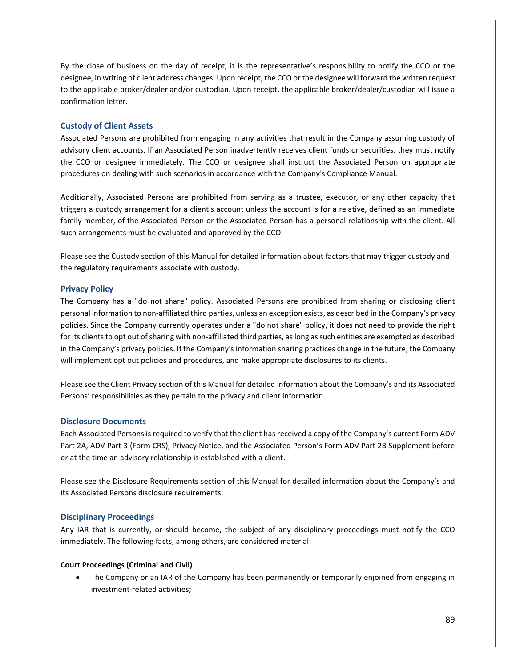By the close of business on the day of receipt, it is the representative's responsibility to notify the CCO or the designee, in writing of client address changes. Upon receipt, the CCO or the designee will forward the written request to the applicable broker/dealer and/or custodian. Upon receipt, the applicable broker/dealer/custodian will issue a confirmation letter.

### **Custody of Client Assets**

Associated Persons are prohibited from engaging in any activities that result in the Company assuming custody of advisory client accounts. If an Associated Person inadvertently receives client funds or securities, they must notify the CCO or designee immediately. The CCO or designee shall instruct the Associated Person on appropriate procedures on dealing with such scenarios in accordance with the Company's Compliance Manual.

Additionally, Associated Persons are prohibited from serving as a trustee, executor, or any other capacity that triggers a custody arrangement for a client's account unless the account is for a relative, defined as an immediate family member, of the Associated Person or the Associated Person has a personal relationship with the client. All such arrangements must be evaluated and approved by the CCO.

Please see the Custody section of this Manual for detailed information about factors that may trigger custody and the regulatory requirements associate with custody.

### **Privacy Policy**

The Company has a "do not share" policy. Associated Persons are prohibited from sharing or disclosing client personal information to non-affiliated third parties, unless an exception exists, as described in the Company's privacy policies. Since the Company currently operates under a "do not share" policy, it does not need to provide the right for its clients to opt out of sharing with non-affiliated third parties, as long as such entities are exempted as described in the Company's privacy policies. If the Company's information sharing practices change in the future, the Company will implement opt out policies and procedures, and make appropriate disclosures to its clients.

Please see the Client Privacy section of this Manual for detailed information about the Company's and its Associated Persons' responsibilities as they pertain to the privacy and client information.

## **Disclosure Documents**

Each Associated Persons is required to verify that the client has received a copy of the Company's current Form ADV Part 2A, ADV Part 3 (Form CRS), Privacy Notice, and the Associated Person's Form ADV Part 2B Supplement before or at the time an advisory relationship is established with a client.

Please see the Disclosure Requirements section of this Manual for detailed information about the Company's and its Associated Persons disclosure requirements.

## **Disciplinary Proceedings**

Any IAR that is currently, or should become, the subject of any disciplinary proceedings must notify the CCO immediately. The following facts, among others, are considered material:

### **Court Proceedings (Criminal and Civil)**

• The Company or an IAR of the Company has been permanently or temporarily enjoined from engaging in investment-related activities;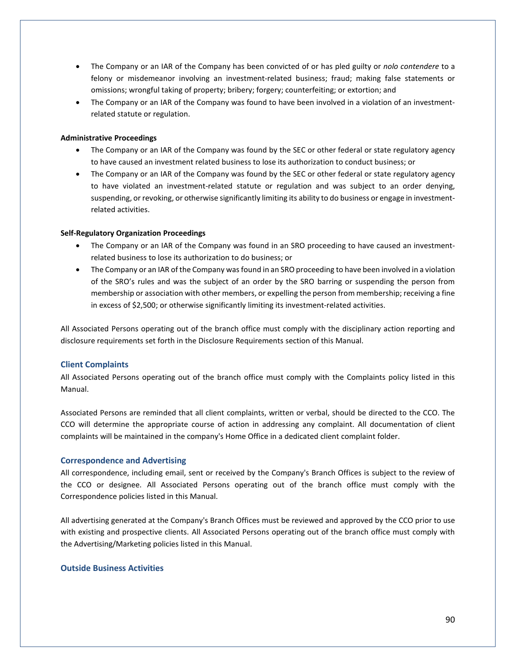- The Company or an IAR of the Company has been convicted of or has pled guilty or *nolo contendere* to a felony or misdemeanor involving an investment-related business; fraud; making false statements or omissions; wrongful taking of property; bribery; forgery; counterfeiting; or extortion; and
- The Company or an IAR of the Company was found to have been involved in a violation of an investmentrelated statute or regulation.

### **Administrative Proceedings**

- The Company or an IAR of the Company was found by the SEC or other federal or state regulatory agency to have caused an investment related business to lose its authorization to conduct business; or
- The Company or an IAR of the Company was found by the SEC or other federal or state regulatory agency to have violated an investment-related statute or regulation and was subject to an order denying, suspending, or revoking, or otherwise significantly limiting its ability to do business or engage in investmentrelated activities.

## **Self-Regulatory Organization Proceedings**

- The Company or an IAR of the Company was found in an SRO proceeding to have caused an investmentrelated business to lose its authorization to do business; or
- The Company or an IAR of the Company was found in an SRO proceeding to have been involved in a violation of the SRO's rules and was the subject of an order by the SRO barring or suspending the person from membership or association with other members, or expelling the person from membership; receiving a fine in excess of \$2,500; or otherwise significantly limiting its investment-related activities.

All Associated Persons operating out of the branch office must comply with the disciplinary action reporting and disclosure requirements set forth in the Disclosure Requirements section of this Manual.

# **Client Complaints**

All Associated Persons operating out of the branch office must comply with the Complaints policy listed in this Manual.

Associated Persons are reminded that all client complaints, written or verbal, should be directed to the CCO. The CCO will determine the appropriate course of action in addressing any complaint. All documentation of client complaints will be maintained in the company's Home Office in a dedicated client complaint folder.

### **Correspondence and Advertising**

All correspondence, including email, sent or received by the Company's Branch Offices is subject to the review of the CCO or designee. All Associated Persons operating out of the branch office must comply with the Correspondence policies listed in this Manual.

All advertising generated at the Company's Branch Offices must be reviewed and approved by the CCO prior to use with existing and prospective clients. All Associated Persons operating out of the branch office must comply with the Advertising/Marketing policies listed in this Manual.

## **Outside Business Activities**